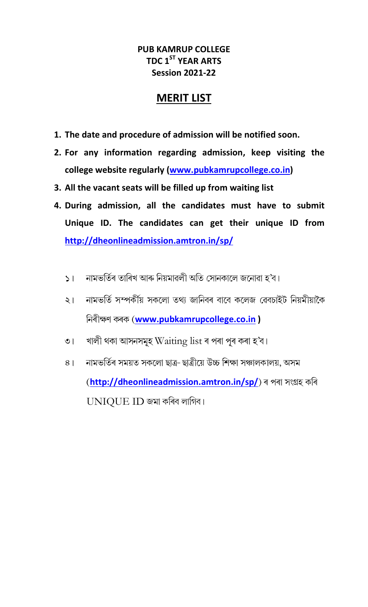### PUB KAMRUP COLLEGE TDC 1<sup>ST</sup> YEAR ARTS Session 2021-22

# MERIT LIST

- 1. The date and procedure of admission will be notified soon.
- 2. For any information regarding admission, keep visiting the college website regularly (www.pubkamrupcollege.co.in)
- 3. All the vacant seats will be filled up from waiting list
- 4. During admission, all the candidates must have to submit Unique ID. The candidates can get their unique ID from http://dheonlineadmission.amtron.in/sp/
	- নামভৰ্তিৰ তাৰিখ আৰু নিয়মাৱলী অতি সোনকালে জনোৱা হ'ব।  $51$
	- নামভৰ্তি সম্পৰ্কীয় সকলো তথ্য জানিবৰ বাবে কলেজ ৱেবচাইট নিয়মীয়াকৈ  $\leq$ নিৰীক্ষণ কৰক (www.pubkamrupcollege.co.in )
	- খালী থকা আসনসমূহ  $\operatorname{Waiting}$   $\operatorname{list}$ ৰ পৰা পূৰ কৰা হ'ব।  $\cup$
	- নামভৰ্তিৰ সময়ত সকলো ছাত্ৰ- ছাত্ৰীয়ে উচ্চ শিক্ষা সঞ্চালকালয়, অসম  $8<sup>1</sup>$ (http://dheonlineadmission.amtron.in/sp/) ৰ পৰা সংগ্ৰহ কৰি UNIQUE ID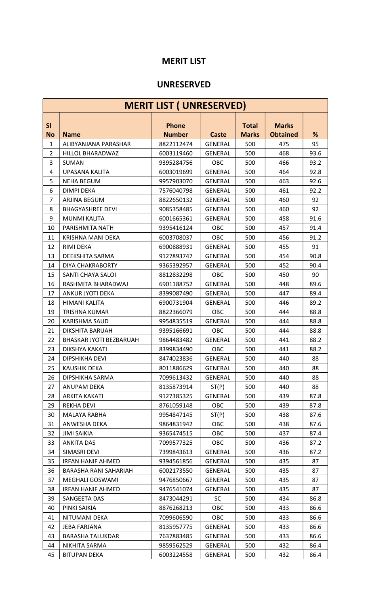### MERIT LIST

#### UNRESERVED

|                  | <b>MERIT LIST ( UNRESERVED)</b> |                               |                |                              |                                 |      |  |  |  |
|------------------|---------------------------------|-------------------------------|----------------|------------------------------|---------------------------------|------|--|--|--|
| SI<br><b>No</b>  | <b>Name</b>                     | <b>Phone</b><br><b>Number</b> | <b>Caste</b>   | <b>Total</b><br><b>Marks</b> | <b>Marks</b><br><b>Obtained</b> | %    |  |  |  |
| $\mathbf{1}$     | ALIBYANJANA PARASHAR            | 8822112474                    | <b>GENERAL</b> | 500                          | 475                             | 95   |  |  |  |
| $\overline{2}$   | HILLOL BHARADWAZ                | 6003119460                    | <b>GENERAL</b> | 500                          | 468                             | 93.6 |  |  |  |
| 3                | <b>SUMAN</b>                    | 9395284756                    | OBC            | 500                          | 466                             | 93.2 |  |  |  |
| 4                | UPASANA KALITA                  | 6003019699                    | <b>GENERAL</b> | 500                          | 464                             | 92.8 |  |  |  |
| 5                | <b>NEHA BEGUM</b>               | 9957903070                    | <b>GENERAL</b> | 500                          | 463                             | 92.6 |  |  |  |
| 6                | <b>DIMPI DEKA</b>               | 7576040798                    | <b>GENERAL</b> | 500                          | 461                             | 92.2 |  |  |  |
| $\overline{7}$   | ARJINA BEGUM                    | 8822650132                    | <b>GENERAL</b> | 500                          | 460                             | 92   |  |  |  |
| 8                | <b>BHAGYASHREE DEVI</b>         | 9085358485                    | <b>GENERAL</b> | 500                          | 460                             | 92   |  |  |  |
| 9                | <b>MUNMI KALITA</b>             | 6001665361                    | <b>GENERAL</b> | 500                          | 458                             | 91.6 |  |  |  |
| 10               | PARISHMITA NATH                 | 9395416124                    | OBC            | 500                          | 457                             | 91.4 |  |  |  |
| 11               | KRISHNA MANI DEKA               | 6003708037                    | OBC            | 500                          | 456                             | 91.2 |  |  |  |
| 12               | RIMI DEKA                       | 6900888931                    | <b>GENERAL</b> | 500                          | 455                             | 91   |  |  |  |
| 13               | DEEKSHITA SARMA                 | 9127893747                    | <b>GENERAL</b> | 500                          | 454                             | 90.8 |  |  |  |
| 14               | DIYA CHAKRABORTY                | 9365392957                    | <b>GENERAL</b> | 500                          | 452                             | 90.4 |  |  |  |
| 15               | SANTI CHAYA SALOI               | 8812832298                    | <b>OBC</b>     | 500                          | 450                             | 90   |  |  |  |
| 16               | RASHMITA BHARADWAJ              | 6901188752                    | <b>GENERAL</b> | 500                          | 448                             | 89.6 |  |  |  |
| 17               | <b>ANKUR JYOTI DEKA</b>         | 8399087490                    | <b>GENERAL</b> | 500                          | 447                             | 89.4 |  |  |  |
| 18               | HIMANI KALITA                   | 6900731904                    | <b>GENERAL</b> | 500                          | 446                             | 89.2 |  |  |  |
| 19               | TRISHNA KUMAR                   | 8822366079                    | <b>OBC</b>     | 500                          | 444                             | 88.8 |  |  |  |
| 20               | <b>KARISHMA SAUD</b>            | 9954835519                    | <b>GENERAL</b> | 500                          | 444                             | 88.8 |  |  |  |
| 21               | DIKSHITA BARUAH                 | 9395166691                    | OBC            | 500                          | 444                             | 88.8 |  |  |  |
| 22               | BHASKAR JYOTI BEZBARUAH         | 9864483482                    | <b>GENERAL</b> | 500                          | 441                             | 88.2 |  |  |  |
| 23               | DIKSHYA KAKATI                  | 8399834490                    | OBC            | 500                          | 441                             | 88.2 |  |  |  |
| 24               | DIPSHIKHA DEVI                  | 8474023836                    | <b>GENERAL</b> | 500                          | 440                             | 88   |  |  |  |
| $25\overline{)}$ | <b>KAUSHIK DEKA</b>             | 8011886629                    | GENERAL        | 500                          | 440                             | 88   |  |  |  |
| 26               | DIPSHIKHA SARMA                 | 7099613432                    | <b>GENERAL</b> | 500                          | 440                             | 88   |  |  |  |
| 27               | ANUPAM DEKA                     | 8135873914                    | ST(P)          | 500                          | 440                             | 88   |  |  |  |
| 28               | <b>ARKITA KAKATI</b>            | 9127385325                    | <b>GENERAL</b> | 500                          | 439                             | 87.8 |  |  |  |
| 29               | <b>REKHA DEVI</b>               | 8761059148                    | <b>OBC</b>     | 500                          | 439                             | 87.8 |  |  |  |
| 30               | MALAYA RABHA                    | 9954847145                    | ST(P)          | 500                          | 438                             | 87.6 |  |  |  |
| 31               | ANWESHA DEKA                    | 9864831942                    | OBC            | 500                          | 438                             | 87.6 |  |  |  |
| 32               | <b>JIMI SAIKIA</b>              | 9365474515                    | OBC            | 500                          | 437                             | 87.4 |  |  |  |
| 33               | <b>ANKITA DAS</b>               | 7099577325                    | OBC            | 500                          | 436                             | 87.2 |  |  |  |
| 34               | SIMASRI DEVI                    | 7399843613                    | <b>GENERAL</b> | 500                          | 436                             | 87.2 |  |  |  |
| 35               | <b>IRFAN HANIF AHMED</b>        | 9394561856                    | <b>GENERAL</b> | 500                          | 435                             | 87   |  |  |  |
| 36               | BARASHA RANI SAHARIAH           | 6002173550                    | <b>GENERAL</b> | 500                          | 435                             | 87   |  |  |  |
| 37               | MEGHALI GOSWAMI                 | 9476850667                    | <b>GENERAL</b> | 500                          | 435                             | 87   |  |  |  |
| 38               | <b>IRFAN HANIF AHMED</b>        | 9476541074                    | <b>GENERAL</b> | 500                          | 435                             | 87   |  |  |  |
| 39               | SANGEETA DAS                    | 8473044291                    | <b>SC</b>      | 500                          | 434                             | 86.8 |  |  |  |
| 40               | PINKI SAIKIA                    | 8876268213                    | <b>OBC</b>     | 500                          | 433                             | 86.6 |  |  |  |
| 41               | NITUMANI DEKA                   | 7099606590                    | OBC            | 500                          | 433                             | 86.6 |  |  |  |
| 42               | <b>JEBA FARJANA</b>             | 8135957775                    | <b>GENERAL</b> | 500                          | 433                             | 86.6 |  |  |  |
| 43               | <b>BARASHA TALUKDAR</b>         | 7637883485                    | <b>GENERAL</b> | 500                          | 433                             | 86.6 |  |  |  |
| 44               | NIKHITA SARMA                   | 9859562529                    | <b>GENERAL</b> | 500                          | 432                             | 86.4 |  |  |  |
| 45               | <b>BITUPAN DEKA</b>             | 6003224558                    | <b>GENERAL</b> | 500                          | 432                             | 86.4 |  |  |  |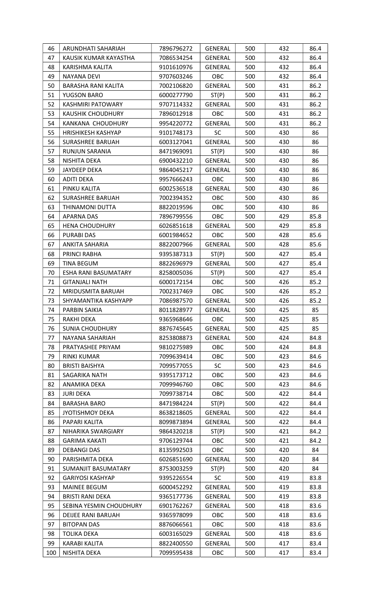| 46       | ARUNDHATI SAHARIAH                            | 7896796272               | GENERAL                          | 500        | 432        | 86.4       |
|----------|-----------------------------------------------|--------------------------|----------------------------------|------------|------------|------------|
| 47       | KAUSIK KUMAR KAYASTHA                         | 7086534254               | GENERAL                          | 500        | 432        | 86.4       |
| 48       | KARISHMA KALITA                               | 9101610976               | <b>GENERAL</b>                   | 500        | 432        | 86.4       |
| 49       | NAYANA DEVI                                   | 9707603246               | OBC                              | 500        | 432        | 86.4       |
| 50       | <b>BARASHA RANI KALITA</b>                    | 7002106820               | GENERAL                          | 500        | 431        | 86.2       |
| 51       | YUGSON BARO                                   | 6000277790               | ST(P)                            | 500        | 431        | 86.2       |
| 52       | KASHMIRI PATOWARY                             | 9707114332               | GENERAL                          | 500        | 431        | 86.2       |
| 53       | <b>KAUSHIK CHOUDHURY</b>                      | 7896012918               | OBC                              | 500        | 431        | 86.2       |
| 54       | KANKANA CHOUDHURY                             | 9954220772               | <b>GENERAL</b>                   | 500        | 431        | 86.2       |
| 55       | <b>HRISHIKESH KASHYAP</b>                     | 9101748173               | <b>SC</b>                        | 500        | 430        | 86         |
| 56       | SURASHREE BARUAH                              | 6003127041               | GENERAL                          | 500        | 430        | 86         |
| 57       | <b>RUNJUN SARANIA</b>                         | 8471969091               | ST(P)                            | 500        | 430        | 86         |
| 58       | NISHITA DEKA                                  | 6900432210               | GENERAL                          | 500        | 430        | 86         |
| 59       | JAYDEEP DEKA                                  | 9864045217               | <b>GENERAL</b>                   | 500        | 430        | 86         |
| 60       | ADITI DEKA                                    | 9957666243               | OBC                              | 500        | 430        | 86         |
| 61       | PINKU KALITA                                  | 6002536518               | <b>GENERAL</b>                   | 500        | 430        | 86         |
| 62       | <b>SURASHREE BARUAH</b>                       | 7002394352               | <b>OBC</b>                       | 500        | 430        | 86         |
| 63       | THINAMONI DUTTA                               | 8822019596               | OBC                              | 500        | 430        | 86         |
| 64       | APARNA DAS                                    | 7896799556               | OBC                              | 500        | 429        | 85.8       |
| 65       | <b>HENA CHOUDHURY</b>                         | 6026851618               | GENERAL                          | 500        | 429        | 85.8       |
| 66       | <b>PURABI DAS</b>                             | 6001984652               | <b>OBC</b>                       | 500        | 428        | 85.6       |
| 67       | ANKITA SAHARIA                                | 8822007966               | GENERAL                          | 500        | 428        | 85.6       |
| 68       | PRINCI RABHA                                  | 9395387313               | ST(P)                            | 500        | 427        | 85.4       |
| 69       | <b>TINA BEGUM</b>                             | 8822696979               | GENERAL                          | 500        | 427        | 85.4       |
|          |                                               |                          |                                  |            | 427        |            |
| 70<br>71 | ESHA RANI BASUMATARY<br><b>GITANJALI NATH</b> | 8258005036               | ST(P)<br>OBC                     | 500<br>500 | 426        | 85.4       |
|          |                                               | 6000172154               |                                  |            |            | 85.2       |
| 72       | MRIDUSMITA BARUAH                             | 7002317469               | OBC                              | 500        | 426        | 85.2       |
| 73       | SHYAMANTIKA KASHYAPP                          | 7086987570               | <b>GENERAL</b><br><b>GENERAL</b> | 500<br>500 | 426<br>425 | 85.2<br>85 |
| 74       | PARBIN SAIKIA                                 | 8011828977               |                                  |            |            |            |
| 75       | RAKHI DEKA                                    | 9365968646               | OBC                              | 500        | 425        | 85         |
| 76       | <b>SUNIA CHOUDHURY</b>                        | 8876745645<br>8253808873 | <b>GENERAL</b><br><b>GENERAL</b> | 500        | 425        | 85         |
| 77       | NAYANA SAHARIAH                               |                          |                                  | 500        | 424        | 84.8       |
| 78       | PRATYASHEE PRIYAM                             | 9810275989               | OBC                              | 500        | 424        | 84.8       |
| 79       | <b>RINKI KUMAR</b>                            | 7099639414               | OBC                              | 500        | 423        | 84.6       |
| 80       | <b>BRISTI BAISHYA</b>                         | 7099577055               | <b>SC</b>                        | 500        | 423        | 84.6       |
| 81       | SAGARIKA NATH                                 | 9395173712               | OBC                              | 500        | 423        | 84.6       |
| 82       | ANAMIKA DEKA                                  | 7099946760               | OBC                              | 500        | 423        | 84.6       |
| 83       | <b>JURI DEKA</b>                              | 7099738714               | OBC                              | 500        | 422        | 84.4       |
| 84       | <b>BARASHA BARO</b>                           | 8471984224               | ST(P)                            | 500        | 422        | 84.4       |
| 85       | <b>JYOTISHMOY DEKA</b>                        | 8638218605               | <b>GENERAL</b>                   | 500        | 422        | 84.4       |
| 86       | PAPARI KALITA                                 | 8099873894               | <b>GENERAL</b>                   | 500        | 422        | 84.4       |
| 87       | NIHARIKA SWARGIARY                            | 9864320218               | ST(P)                            | 500        | 421        | 84.2       |
| 88       | <b>GARIMA KAKATI</b>                          | 9706129744               | OBC                              | 500        | 421        | 84.2       |
| 89       | <b>DEBANGI DAS</b>                            | 8135992503               | OBC                              | 500        | 420        | 84         |
| 90       | PARISHMITA DEKA                               | 6026851690               | <b>GENERAL</b>                   | 500        | 420        | 84         |
| 91       | SUMANJIT BASUMATARY                           | 8753003259               | ST(P)                            | 500        | 420        | 84         |
| 92       | <b>GARIYOSI KASHYAP</b>                       | 9395226554               | <b>SC</b>                        | 500        | 419        | 83.8       |
| 93       | <b>MAINEE BEGUM</b>                           | 6000452292               | GENERAL                          | 500        | 419        | 83.8       |
| 94       | BRISTI RANI DEKA                              | 9365177736               | <b>GENERAL</b>                   | 500        | 419        | 83.8       |
| 95       | SEBINA YESMIN CHOUDHURY                       | 6901762267               | GENERAL                          | 500        | 418        | 83.6       |
| 96       | DEIJEE RANI BARUAH                            | 9365978099               | OBC                              | 500        | 418        | 83.6       |
| 97       | <b>BITOPAN DAS</b>                            | 8876066561               | OBC                              | 500        | 418        | 83.6       |
| 98       | <b>TOLIKA DEKA</b>                            | 6003165029               | GENERAL                          | 500        | 418        | 83.6       |
| 99       | KARABI KALITA                                 | 8822400550               | <b>GENERAL</b>                   | 500        | 417        | 83.4       |
| 100      | NISHITA DEKA                                  | 7099595438               | OBC                              | 500        | 417        | 83.4       |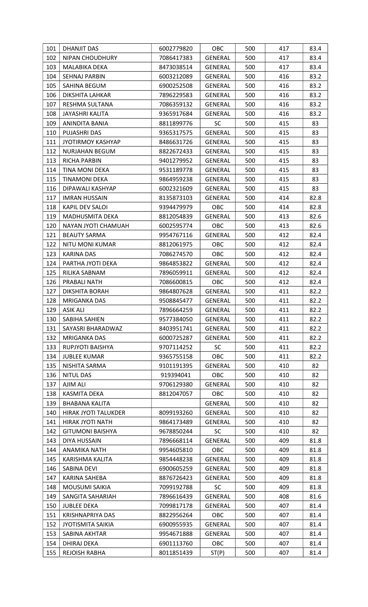| 101 | <b>DHANJIT DAS</b>          | 6002779820 | <b>OBC</b>     | 500 | 417 | 83.4 |
|-----|-----------------------------|------------|----------------|-----|-----|------|
| 102 | <b>NIPAN CHOUDHURY</b>      | 7086417383 | <b>GENERAL</b> | 500 | 417 | 83.4 |
| 103 | MALABIKA DEKA               | 8473038514 | GENERAL        | 500 | 417 | 83.4 |
| 104 | <b>SEHNAJ PARBIN</b>        | 6003212089 | GENERAL        | 500 | 416 | 83.2 |
| 105 | SAHINA BEGUM                | 6900252508 | GENERAL        | 500 | 416 | 83.2 |
| 106 | DIKSHITA LAHKAR             | 7896229583 | GENERAL        | 500 | 416 | 83.2 |
| 107 | RESHMA SULTANA              | 7086359132 | <b>GENERAL</b> | 500 | 416 | 83.2 |
| 108 | <b>JAYASHRI KALITA</b>      | 9365917684 | GENERAL        | 500 | 416 | 83.2 |
| 109 | ANINDITA BANIA              | 8811899776 | <b>SC</b>      | 500 | 415 | 83   |
| 110 | PUJASHRI DAS                | 9365317575 | GENERAL        | 500 | 415 | 83   |
| 111 | <b>JYOTIRMOY KASHYAP</b>    | 8486631726 | GENERAL        | 500 | 415 | 83   |
| 112 | NURJAHAN BEGUM              | 8822672433 | GENERAL        | 500 | 415 | 83   |
| 113 | <b>RICHA PARBIN</b>         | 9401279952 | GENERAL        | 500 | 415 | 83   |
| 114 | TINA MONI DEKA              | 9531189778 | <b>GENERAL</b> | 500 | 415 | 83   |
| 115 | <b>TINAMONI DEKA</b>        | 9864959238 | GENERAL        | 500 | 415 | 83   |
| 116 | DIPAWALI KASHYAP            | 6002321609 | <b>GENERAL</b> | 500 | 415 | 83   |
| 117 | <b>IMRAN HUSSAIN</b>        | 8135873103 | <b>GENERAL</b> | 500 | 414 | 82.8 |
| 118 | KAPIL DEV SALOI             | 9394479979 | OBC            | 500 | 414 | 82.8 |
| 119 | MADHUSMITA DEKA             | 8812054839 | GENERAL        | 500 | 413 | 82.6 |
| 120 | NAYAN JYOTI CHAMUAH         | 6002595774 | OBC            | 500 | 413 | 82.6 |
| 121 | <b>BEAUTY SARMA</b>         | 9954767116 | <b>GENERAL</b> | 500 | 412 | 82.4 |
| 122 | <b>NITU MONI KUMAR</b>      | 8812061975 | OBC            | 500 | 412 | 82.4 |
| 123 | KARINA DAS                  | 7086274570 | OBC            | 500 | 412 | 82.4 |
| 124 | PARTHA JYOTI DEKA           | 9864853822 | GENERAL        | 500 | 412 | 82.4 |
| 125 | RILIKA SABNAM               | 7896059911 | GENERAL        | 500 | 412 | 82.4 |
| 126 | PRABALI NATH                | 7086600815 | OBC            | 500 | 412 | 82.4 |
| 127 | DIKSHITA BORAH              | 9864807628 | GENERAL        | 500 | 411 | 82.2 |
| 128 | MRIGANKA DAS                | 9508845477 | GENERAL        | 500 | 411 | 82.2 |
| 129 | <b>ASIK ALI</b>             | 7896664259 | <b>GENERAL</b> | 500 | 411 | 82.2 |
| 130 | SABIHA SAHIEN               | 9577384050 | <b>GENERAL</b> | 500 | 411 | 82.2 |
| 131 | SAYASRI BHARADWAZ           | 8403951741 | <b>GENERAL</b> | 500 | 411 | 82.2 |
| 132 | <b>MRIGANKA DAS</b>         | 6000725287 | <b>GENERAL</b> | 500 | 411 | 82.2 |
| 133 | RUPJYOTI BAISHYA            | 9707114252 | <b>SC</b>      | 500 | 411 | 82.2 |
| 134 | <b>JUBLEE KUMAR</b>         | 9365755158 | OBC            | 500 | 411 | 82.2 |
| 135 | NISHITA SARMA               | 9101191395 | <b>GENERAL</b> | 500 | 410 | 82   |
| 136 | <b>NITUL DAS</b>            | 919394041  | OBC            | 500 | 410 | 82   |
| 137 | AJIM ALI                    | 9706129380 | <b>GENERAL</b> | 500 | 410 | 82   |
| 138 | KASMITA DEKA                | 8812047057 | OBC            | 500 | 410 | 82   |
| 139 | <b>BHABANA KALITA</b>       |            | <b>GENERAL</b> | 500 | 410 | 82   |
| 140 | <b>HIRAK JYOTI TALUKDER</b> | 8099193260 | GENERAL        | 500 | 410 | 82   |
| 141 | HIRAK JYOTI NATH            | 9864173489 | <b>GENERAL</b> | 500 | 410 | 82   |
| 142 | <b>GITUMONI BAISHYA</b>     | 9678850244 | <b>SC</b>      | 500 | 410 | 82   |
| 143 | <b>DIYA HUSSAIN</b>         | 7896668114 | GENERAL        | 500 | 409 | 81.8 |
| 144 | ANAMIKA NATH                | 9954605810 | OBC            | 500 | 409 | 81.8 |
| 145 | KARISHMA KALITA             | 9854448238 | <b>GENERAL</b> | 500 | 409 | 81.8 |
| 146 | SABINA DEVI                 | 6900605259 | <b>GENERAL</b> | 500 | 409 | 81.8 |
| 147 | KARINA SAHEBA               | 8876726423 | <b>GENERAL</b> | 500 | 409 | 81.8 |
| 148 | MOUSUMI SAIKIA              | 7099192788 | <b>SC</b>      | 500 | 409 | 81.8 |
| 149 | SANGITA SAHARIAH            | 7896616439 | <b>GENERAL</b> | 500 | 408 | 81.6 |
| 150 | <b>JUBLEE DEKA</b>          | 7099817178 | <b>GENERAL</b> | 500 | 407 | 81.4 |
| 151 | KRISHNAPRIYA DAS            | 8822956264 | OBC            | 500 | 407 | 81.4 |
| 152 | <b>JYOTISMITA SAIKIA</b>    | 6900955935 | <b>GENERAL</b> | 500 | 407 | 81.4 |
| 153 | SABINA AKHTAR               | 9954671888 | <b>GENERAL</b> | 500 | 407 | 81.4 |
| 154 | DHIRAJ DEKA                 | 6901113760 | <b>OBC</b>     | 500 | 407 | 81.4 |
| 155 | REJOISH RABHA               | 8011851439 | ST(P)          | 500 | 407 | 81.4 |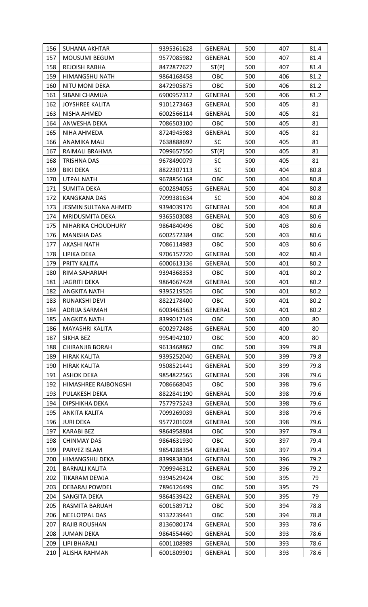| 156 | SUHANA AKHTAR               | 9395361628 | <b>GENERAL</b> | 500 | 407 | 81.4 |
|-----|-----------------------------|------------|----------------|-----|-----|------|
| 157 | <b>MOUSUMI BEGUM</b>        | 9577085982 | GENERAL        | 500 | 407 | 81.4 |
| 158 | REJOISH RABHA               | 8472877627 | ST(P)          | 500 | 407 | 81.4 |
| 159 | HIMANGSHU NATH              | 9864168458 | OBC            | 500 | 406 | 81.2 |
| 160 | <b>NITU MONI DEKA</b>       | 8472905875 | OBC            | 500 | 406 | 81.2 |
| 161 | SIBANI CHAMUA               | 6900957312 | <b>GENERAL</b> | 500 | 406 | 81.2 |
| 162 | <b>JOYSHREE KALITA</b>      | 9101273463 | <b>GENERAL</b> | 500 | 405 | 81   |
| 163 | NISHA AHMED                 | 6002566114 | <b>GENERAL</b> | 500 | 405 | 81   |
| 164 | ANWESHA DEKA                | 7086503100 | <b>OBC</b>     | 500 | 405 | 81   |
| 165 | NIHA AHMEDA                 | 8724945983 | <b>GENERAL</b> | 500 | 405 | 81   |
| 166 | ANAMIKA MALI                | 7638888697 | <b>SC</b>      | 500 | 405 | 81   |
| 167 | RAIMALI BRAHMA              | 7099657550 | ST(P)          | 500 | 405 | 81   |
| 168 | <b>TRISHNA DAS</b>          | 9678490079 | <b>SC</b>      | 500 | 405 | 81   |
| 169 | <b>BIKI DEKA</b>            | 8822307113 | <b>SC</b>      | 500 | 404 | 80.8 |
| 170 | <b>UTPAL NATH</b>           | 9678856168 | OBC            | 500 | 404 | 80.8 |
| 171 | SUMITA DEKA                 | 6002894055 | <b>GENERAL</b> | 500 | 404 | 80.8 |
| 172 | <b>KANGKANA DAS</b>         | 7099381634 | <b>SC</b>      | 500 | 404 | 80.8 |
| 173 | <b>JESMIN SULTANA AHMED</b> | 9394039176 | <b>GENERAL</b> | 500 | 404 | 80.8 |
| 174 | MRIDUSMITA DEKA             | 9365503088 | <b>GENERAL</b> | 500 | 403 | 80.6 |
| 175 | NIHARIKA CHOUDHURY          | 9864840496 | <b>OBC</b>     | 500 | 403 | 80.6 |
| 176 | <b>MANISHA DAS</b>          | 6002572384 | OBC            | 500 | 403 | 80.6 |
| 177 | <b>AKASHI NATH</b>          | 7086114983 | OBC            | 500 | 403 | 80.6 |
| 178 | LIPIKA DEKA                 | 9706157720 | <b>GENERAL</b> | 500 | 402 | 80.4 |
| 179 | PRITY KALITA                | 6000613136 | <b>GENERAL</b> | 500 | 401 | 80.2 |
| 180 | RIMA SAHARIAH               | 9394368353 | <b>OBC</b>     | 500 | 401 | 80.2 |
| 181 | <b>JAGRITI DEKA</b>         | 9864667428 | GENERAL        | 500 | 401 | 80.2 |
| 182 | <b>ANGKITA NATH</b>         | 9395219526 | OBC            | 500 | 401 | 80.2 |
| 183 | RUNAKSHI DEVI               | 8822178400 | OBC            | 500 | 401 | 80.2 |
| 184 | ADRIJA SARMAH               | 6003463563 | <b>GENERAL</b> | 500 | 401 | 80.2 |
| 185 | <b>ANGKITA NATH</b>         | 8399017149 | OBC            | 500 | 400 | 80   |
| 186 | MAYASHRI KALITA             | 6002972486 | <b>GENERAL</b> | 500 | 400 | 80   |
| 187 | SIKHA BEZ                   | 9954942107 | <b>OBC</b>     | 500 | 400 | 80   |
| 188 | <b>CHIRANJIB BORAH</b>      | 9613468862 | OBC            | 500 | 399 | 79.8 |
| 189 | <b>HIRAK KALITA</b>         | 9395252040 | GENERAL        | 500 | 399 | 79.8 |
| 190 | <b>HIRAK KALITA</b>         | 9508521441 | <b>GENERAL</b> | 500 | 399 | 79.8 |
| 191 | <b>ASHOK DEKA</b>           | 9854822565 | <b>GENERAL</b> | 500 | 398 | 79.6 |
| 192 | HIMASHREE RAJBONGSHI        | 7086668045 | OBC            | 500 | 398 | 79.6 |
| 193 | PULAKESH DEKA               | 8822841190 | GENERAL        | 500 | 398 | 79.6 |
| 194 | DIPSHIKHA DEKA              | 7577975243 | <b>GENERAL</b> | 500 | 398 | 79.6 |
| 195 | ANKITA KALITA               | 7099269039 | <b>GENERAL</b> | 500 | 398 | 79.6 |
| 196 | <b>JURI DEKA</b>            | 9577201028 | <b>GENERAL</b> | 500 | 398 | 79.6 |
| 197 | <b>KARABI BEZ</b>           | 9864958804 | OBC            | 500 | 397 | 79.4 |
| 198 | <b>CHINMAY DAS</b>          | 9864631930 | OBC            | 500 | 397 | 79.4 |
| 199 | PARVEZ ISLAM                | 9854288354 | <b>GENERAL</b> | 500 | 397 | 79.4 |
| 200 | HIMANGSHU DEKA              | 8399838304 | <b>GENERAL</b> | 500 | 396 | 79.2 |
| 201 | <b>BARNALI KALITA</b>       | 7099946312 | <b>GENERAL</b> | 500 | 396 | 79.2 |
| 202 | TIKARAM DEWJA               | 9394529424 | <b>OBC</b>     | 500 | 395 | 79   |
| 203 | DEBARAJ POWDEL              | 7896126499 | <b>OBC</b>     | 500 | 395 | 79   |
| 204 | SANGITA DEKA                | 9864539422 | <b>GENERAL</b> | 500 | 395 | 79   |
| 205 | RASMITA BARUAH              | 6001589712 | <b>OBC</b>     | 500 | 394 | 78.8 |
| 206 | NEELOTPAL DAS               | 9132239441 | OBC            | 500 | 394 | 78.8 |
| 207 | <b>RAJIB ROUSHAN</b>        | 8136080174 | <b>GENERAL</b> | 500 | 393 | 78.6 |
| 208 | <b>JUMAN DEKA</b>           | 9864554460 | <b>GENERAL</b> | 500 | 393 | 78.6 |
| 209 | <b>LIPI BHARALI</b>         | 6001108989 | <b>GENERAL</b> | 500 | 393 | 78.6 |
| 210 | <b>ALISHA RAHMAN</b>        | 6001809901 | <b>GENERAL</b> | 500 | 393 | 78.6 |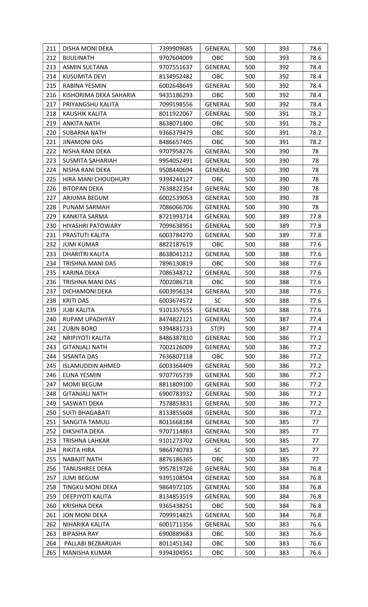| 211 | DISHA MONI DEKA         | 7399909685 | <b>GENERAL</b> | 500 | 393 | 78.6 |
|-----|-------------------------|------------|----------------|-----|-----|------|
| 212 | <b>BIJULINATH</b>       | 9707604009 | OBC            | 500 | 393 | 78.6 |
| 213 | <b>ASMIN SULTANA</b>    | 9707551637 | <b>GENERAL</b> | 500 | 392 | 78.4 |
| 214 | <b>KUSUMITA DEVI</b>    | 8134952482 | <b>OBC</b>     | 500 | 392 | 78.4 |
| 215 | RABINA YESMIN           | 6002648649 | <b>GENERAL</b> | 500 | 392 | 78.4 |
| 216 | KISHORIMA DEKA SAHARIA  | 9435186293 | OBC            | 500 | 392 | 78.4 |
| 217 | PRIYANGSHU KALITA       | 7099198556 | GENERAL        | 500 | 392 | 78.4 |
| 218 | KAUSHIK KALITA          | 8011922067 | <b>GENERAL</b> | 500 | 391 | 78.2 |
| 219 | ANKITA NATH             | 8638071400 | OBC            | 500 | 391 | 78.2 |
| 220 | <b>SUBARNA NATH</b>     | 9366379479 | <b>OBC</b>     | 500 | 391 | 78.2 |
| 221 | <b>JINAMONI DAS</b>     | 8486657405 | OBC            | 500 | 391 | 78.2 |
| 222 | NISHA RANI DEKA         | 9707958276 | <b>GENERAL</b> | 500 | 390 | 78   |
| 223 | SUSMITA SAHARIAH        | 9954052491 | GENERAL        | 500 | 390 | 78   |
| 224 | NISHA RANI DEKA         | 9508440694 | <b>GENERAL</b> | 500 | 390 | 78   |
| 225 | HIRA MANI CHOUDHURY     | 9394244127 | <b>OBC</b>     | 500 | 390 | 78   |
| 226 | <b>BITOPAN DEKA</b>     | 7638822354 | <b>GENERAL</b> | 500 | 390 | 78   |
| 227 | ARJUMA BEGUM            | 6002539053 | <b>GENERAL</b> | 500 | 390 | 78   |
| 228 | PUNAM SARMAH            | 7086066706 | GENERAL        | 500 | 390 | 78   |
| 229 | KANKITA SARMA           | 8721993714 | GENERAL        | 500 | 389 | 77.8 |
| 230 | HIYASHRI PATOWARY       | 7099638951 | GENERAL        | 500 | 389 | 77.8 |
| 231 | PRASTUTI KALITA         | 6003784270 | GENERAL        | 500 | 389 | 77.8 |
| 232 | <b>JUMI KUMAR</b>       | 8822187619 | OBC            | 500 | 388 | 77.6 |
| 233 | DHARITRI KALITA         | 8638041212 | <b>GENERAL</b> | 500 | 388 | 77.6 |
| 234 | TRISHNA MANI DAS        | 7896130819 | OBC            | 500 | 388 | 77.6 |
| 235 | KARINA DEKA             | 7086348712 | <b>GENERAL</b> | 500 | 388 | 77.6 |
| 236 | TRISHNA MANI DAS        | 7002086718 | OBC            | 500 | 388 | 77.6 |
| 237 | DICHAMONI DEKA          | 6003956134 | <b>GENERAL</b> | 500 | 388 | 77.6 |
| 238 | <b>KRITI DAS</b>        | 6003674572 | <b>SC</b>      | 500 | 388 | 77.6 |
| 239 | <b>JUBI KALITA</b>      | 9101357655 | <b>GENERAL</b> | 500 | 388 | 77.6 |
| 240 | RUPAM UPADHYAY          | 8474822121 | <b>GENERAL</b> | 500 | 387 | 77.4 |
| 241 | <b>ZUBIN BORO</b>       | 9394881733 | ST(P)          | 500 | 387 | 77.4 |
| 242 | <b>NRIPJYOTI KALITA</b> | 8486387810 | <b>GENERAL</b> | 500 | 386 | 77.2 |
| 243 | <b>GITANJALI NATH</b>   | 7002126009 | <b>GENERAL</b> | 500 | 386 | 77.2 |
| 244 | <b>SISANTA DAS</b>      | 7636807118 | OBC            | 500 | 386 | 77.2 |
| 245 | <b>ISLAMUDDIN AHMED</b> | 6003364409 | <b>GENERAL</b> | 500 | 386 | 77.2 |
| 246 | <b>ELINA YESMIN</b>     | 9707765739 | <b>GENERAL</b> | 500 | 386 | 77.2 |
| 247 | <b>MOMI BEGUM</b>       | 8811809100 | <b>GENERAL</b> | 500 | 386 | 77.2 |
| 248 | <b>GITANJALI NATH</b>   | 6900783932 | GENERAL        | 500 | 386 | 77.2 |
| 249 | SASWATI DEKA            | 7578853831 | <b>GENERAL</b> | 500 | 386 | 77.2 |
| 250 | <b>SUITI BHAGABATI</b>  | 8133855608 | <b>GENERAL</b> | 500 | 386 | 77.2 |
| 251 | SANGITA TAMULI          | 8011668184 | GENERAL        | 500 | 385 | 77   |
| 252 | DIKSHITA DEKA           | 9707114863 | <b>GENERAL</b> | 500 | 385 | 77   |
| 253 | <b>TRISHNA LAHKAR</b>   | 9101273702 | <b>GENERAL</b> | 500 | 385 | 77   |
| 254 | RIKITA HIRA             | 9864740783 | <b>SC</b>      | 500 | 385 | 77   |
| 255 | <b>NABAJIT NATH</b>     | 8876186365 | OBC            | 500 | 385 | 77   |
| 256 | <b>TANUSHREE DEKA</b>   | 9957819726 | GENERAL        | 500 | 384 | 76.8 |
| 257 | <b>JUMI BEGUM</b>       | 9395108504 | GENERAL        | 500 | 384 | 76.8 |
| 258 | <b>TINGKU MONI DEKA</b> | 9864972105 | <b>GENERAL</b> | 500 | 384 | 76.8 |
| 259 | DEEPJYOTI KALITA        | 8134853519 | <b>GENERAL</b> | 500 | 384 | 76.8 |
| 260 | <b>KRISHNA DEKA</b>     | 9365438251 | OBC            | 500 | 384 | 76.8 |
| 261 | <b>JON MONI DEKA</b>    | 7099914825 | <b>GENERAL</b> | 500 | 384 | 76.8 |
| 262 | NIHARIKA KALITA         | 6001711356 | <b>GENERAL</b> | 500 | 383 | 76.6 |
| 263 | <b>BIPASHA RAY</b>      | 6900889683 | OBC            | 500 | 383 | 76.6 |
| 264 | PALLABI BEZBARUAH       | 8011451342 | <b>OBC</b>     | 500 | 383 | 76.6 |
| 265 | MANISHA KUMAR           | 9394304951 | OBC            | 500 | 383 | 76.6 |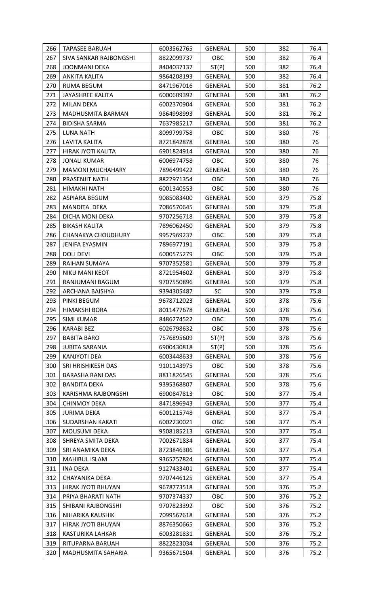| 266 | <b>TAPASEE BARUAH</b>     | 6003562765 | <b>GENERAL</b> | 500 | 382 | 76.4 |
|-----|---------------------------|------------|----------------|-----|-----|------|
| 267 | SIVA SANKAR RAJBONGSHI    | 8822099737 | OBC            | 500 | 382 | 76.4 |
| 268 | <b>JOONMANI DEKA</b>      | 8404037137 | ST(P)          | 500 | 382 | 76.4 |
| 269 | ANKITA KALITA             | 9864208193 | <b>GENERAL</b> | 500 | 382 | 76.4 |
| 270 | <b>RUMA BEGUM</b>         | 8471967016 | GENERAL        | 500 | 381 | 76.2 |
| 271 | <b>JAYASHREE KALITA</b>   | 6000609392 | GENERAL        | 500 | 381 | 76.2 |
| 272 | <b>MILAN DEKA</b>         | 6002370904 | <b>GENERAL</b> | 500 | 381 | 76.2 |
| 273 | MADHUSMITA BARMAN         | 9864998993 | GENERAL        | 500 | 381 | 76.2 |
| 274 | <b>BIDISHA SARMA</b>      | 7637985217 | <b>GENERAL</b> | 500 | 381 | 76.2 |
| 275 | <b>LUNA NATH</b>          | 8099799758 | <b>OBC</b>     | 500 | 380 | 76   |
| 276 | LAVITA KALITA             | 8721842878 | GENERAL        | 500 | 380 | 76   |
| 277 | HIRAK JYOTI KALITA        | 6901824914 | <b>GENERAL</b> | 500 | 380 | 76   |
| 278 | <b>JONALI KUMAR</b>       | 6006974758 | OBC            | 500 | 380 | 76   |
| 279 | <b>MAMONI MUCHAHARY</b>   | 7896499422 | <b>GENERAL</b> | 500 | 380 | 76   |
| 280 | PRASENJIT NATH            | 8822971354 | <b>OBC</b>     | 500 | 380 | 76   |
| 281 | HIMAKHI NATH              | 6001340553 | <b>OBC</b>     | 500 | 380 | 76   |
| 282 | ASPIARA BEGUM             | 9085083400 | GENERAL        | 500 | 379 | 75.8 |
| 283 | MANDITA DEKA              | 7086570645 | GENERAL        | 500 | 379 | 75.8 |
| 284 | DICHA MONI DEKA           | 9707256718 | GENERAL        | 500 | 379 | 75.8 |
| 285 | <b>BIKASH KALITA</b>      | 7896062450 | <b>GENERAL</b> | 500 | 379 | 75.8 |
| 286 | <b>CHANAKYA CHOUDHURY</b> | 9957969237 | <b>OBC</b>     | 500 | 379 | 75.8 |
| 287 | <b>JENIFA EYASMIN</b>     | 7896977191 | <b>GENERAL</b> | 500 | 379 | 75.8 |
| 288 | DOLI DEVI                 | 6000575279 | <b>OBC</b>     | 500 | 379 | 75.8 |
| 289 | RAIHAN SUMAYA             | 9707352581 | <b>GENERAL</b> | 500 | 379 | 75.8 |
| 290 | NIKU MANI KEOT            | 8721954602 | GENERAL        | 500 | 379 | 75.8 |
| 291 | RANJUMANI BAGUM           | 9707550896 | <b>GENERAL</b> | 500 | 379 | 75.8 |
| 292 | ARCHANA BAISHYA           | 9394305487 | <b>SC</b>      | 500 | 379 | 75.8 |
| 293 | PINKI BEGUM               | 9678712023 | <b>GENERAL</b> | 500 | 378 | 75.6 |
| 294 | <b>HIMAKSHI BORA</b>      | 8011477678 | GENERAL        | 500 | 378 | 75.6 |
| 295 | <b>SIMI KUMAR</b>         | 8486274522 | OBC            | 500 | 378 | 75.6 |
| 296 | <b>KARABI BEZ</b>         | 6026798632 | OBC            | 500 | 378 | 75.6 |
| 297 | <b>BABITA BARO</b>        | 7576895609 | ST(P)          | 500 | 378 | 75.6 |
| 298 | <b>JUBITA SARANIA</b>     | 6900430818 | ST(P)          | 500 | 378 | 75.6 |
| 299 | <b>KANJYOTI DEA</b>       | 6003448633 | <b>GENERAL</b> | 500 | 378 | 75.6 |
| 300 | SRI HRISHIKESH DAS        | 9101143975 | OBC            | 500 | 378 | 75.6 |
| 301 | <b>BARASHA RANI DAS</b>   | 8811826545 | GENERAL        | 500 | 378 | 75.6 |
| 302 | <b>BANDITA DEKA</b>       | 9395368807 | <b>GENERAL</b> | 500 | 378 | 75.6 |
| 303 | KARISHMA RAJBONGSHI       | 6900847813 | <b>OBC</b>     | 500 | 377 | 75.4 |
| 304 | <b>CHINMOY DEKA</b>       | 8471896943 | <b>GENERAL</b> | 500 | 377 | 75.4 |
| 305 | <b>JURIMA DEKA</b>        | 6001215748 | <b>GENERAL</b> | 500 | 377 | 75.4 |
| 306 | SUDARSHAN KAKATI          | 6002230021 | OBC            | 500 | 377 | 75.4 |
| 307 | <b>MOUSUMI DEKA</b>       | 9508185213 | GENERAL        | 500 | 377 | 75.4 |
| 308 | SHREYA SMITA DEKA         | 7002671834 | GENERAL        | 500 | 377 | 75.4 |
| 309 | SRI ANAMIKA DEKA          | 8723846306 | <b>GENERAL</b> | 500 | 377 | 75.4 |
| 310 | MAHIBUL ISLAM             | 9365757824 | <b>GENERAL</b> | 500 | 377 | 75.4 |
| 311 | <b>INA DEKA</b>           | 9127433401 | GENERAL        | 500 | 377 | 75.4 |
| 312 | CHAYANIKA DEKA            | 9707446125 | <b>GENERAL</b> | 500 | 377 | 75.4 |
| 313 | HIRAK JYOTI BHUYAN        | 9678773518 | <b>GENERAL</b> | 500 | 376 | 75.2 |
| 314 | PRIYA BHARATI NATH        | 9707374337 | <b>OBC</b>     | 500 | 376 | 75.2 |
| 315 | SHIBANI RAJBONGSHI        | 9707823392 | OBC            | 500 | 376 | 75.2 |
| 316 | NIHARIKA KAUSHIK          | 7099567618 | GENERAL        | 500 | 376 | 75.2 |
| 317 | <b>HIRAK JYOTI BHUYAN</b> | 8876350665 | <b>GENERAL</b> | 500 | 376 | 75.2 |
| 318 | KASTURIKA LAHKAR          | 6003281831 | <b>GENERAL</b> | 500 | 376 | 75.2 |
| 319 | RITUPARNA BARUAH          | 8822823034 | GENERAL        | 500 | 376 | 75.2 |
| 320 | MADHUSMITA SAHARIA        | 9365671504 | <b>GENERAL</b> | 500 | 376 | 75.2 |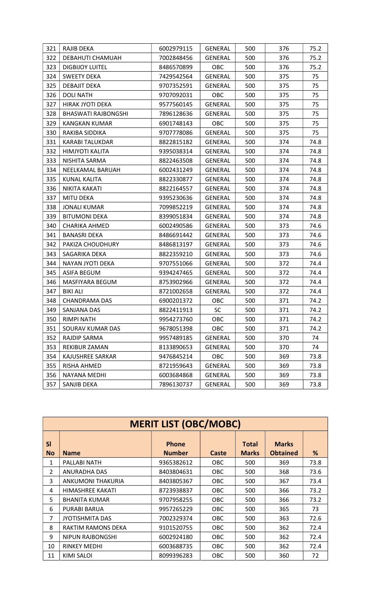| 321 | RAJIB DEKA                 | 6002979115 | GENERAL        | 500 | 376 | 75.2 |
|-----|----------------------------|------------|----------------|-----|-----|------|
| 322 | DEBAHUTI CHAMUAH           | 7002848456 | GENERAL        | 500 | 376 | 75.2 |
| 323 | <b>DIGBIJOY LUITEL</b>     | 8486570899 | <b>OBC</b>     | 500 | 376 | 75.2 |
| 324 | <b>SWEETY DEKA</b>         | 7429542564 | <b>GENERAL</b> | 500 | 375 | 75   |
| 325 | DEBAJIT DEKA               | 9707352591 | GENERAL        | 500 | 375 | 75   |
| 326 | <b>DOLI NATH</b>           | 9707092031 | <b>OBC</b>     | 500 | 375 | 75   |
| 327 | <b>HIRAK JYOTI DEKA</b>    | 9577560145 | <b>GENERAL</b> | 500 | 375 | 75   |
| 328 | <b>BHASWATI RAJBONGSHI</b> | 7896128636 | <b>GENERAL</b> | 500 | 375 | 75   |
| 329 | KANGKAN KUMAR              | 6901748143 | <b>OBC</b>     | 500 | 375 | 75   |
| 330 | RAKIBA SIDDIKA             | 9707778086 | <b>GENERAL</b> | 500 | 375 | 75   |
| 331 | KARABI TALUKDAR            | 8822815182 | GENERAL        | 500 | 374 | 74.8 |
| 332 | HIMJYOTI KALITA            | 9395038314 | GENERAL        | 500 | 374 | 74.8 |
| 333 | NISHITA SARMA              | 8822463508 | <b>GENERAL</b> | 500 | 374 | 74.8 |
| 334 | NEELKAMAL BARUAH           | 6002431249 | <b>GENERAL</b> | 500 | 374 | 74.8 |
| 335 | <b>KUNAL KALITA</b>        | 8822330877 | <b>GENERAL</b> | 500 | 374 | 74.8 |
| 336 | NIKITA KAKATI              | 8822164557 | <b>GENERAL</b> | 500 | 374 | 74.8 |
| 337 | <b>MITU DEKA</b>           | 9395230636 | <b>GENERAL</b> | 500 | 374 | 74.8 |
| 338 | <b>JONALI KUMAR</b>        | 7099852219 | GENERAL        | 500 | 374 | 74.8 |
| 339 | <b>BITUMONI DEKA</b>       | 8399051834 | GENERAL        | 500 | 374 | 74.8 |
| 340 | CHARIKA AHMED              | 6002490586 | GENERAL        | 500 | 373 | 74.6 |
| 341 | <b>BANASRI DEKA</b>        | 8486691442 | GENERAL        | 500 | 373 | 74.6 |
| 342 | PAKIZA CHOUDHURY           | 8486813197 | GENERAL        | 500 | 373 | 74.6 |
| 343 | SAGARIKA DEKA              | 8822359210 | <b>GENERAL</b> | 500 | 373 | 74.6 |
| 344 | NAYAN JYOTI DEKA           | 9707551066 | <b>GENERAL</b> | 500 | 372 | 74.4 |
| 345 | ASIFA BEGUM                | 9394247465 | <b>GENERAL</b> | 500 | 372 | 74.4 |
| 346 | MASFIYARA BEGUM            | 8753902966 | GENERAL        | 500 | 372 | 74.4 |
| 347 | <b>BIKI ALI</b>            | 8721002658 | <b>GENERAL</b> | 500 | 372 | 74.4 |
| 348 | <b>CHANDRAMA DAS</b>       | 6900201372 | OBC            | 500 | 371 | 74.2 |
| 349 | SANJANA DAS                | 8822411913 | <b>SC</b>      | 500 | 371 | 74.2 |
| 350 | <b>RIMPI NATH</b>          | 9954273760 | OBC            | 500 | 371 | 74.2 |
| 351 | SOURAV KUMAR DAS           | 9678051398 | <b>OBC</b>     | 500 | 371 | 74.2 |
| 352 | RAJDIP SARMA               | 9957489185 | <b>GENERAL</b> | 500 | 370 | 74   |
| 353 | REKIBUR ZAMAN              | 8133890653 | <b>GENERAL</b> | 500 | 370 | 74   |
| 354 | KAJUSHREE SARKAR           | 9476845214 | OBC            | 500 | 369 | 73.8 |
| 355 | RISHA AHMED                | 8721959643 | <b>GENERAL</b> | 500 | 369 | 73.8 |
| 356 | NAYANA MEDHI               | 6003684868 | <b>GENERAL</b> | 500 | 369 | 73.8 |
| 357 | SANJIB DEKA                | 7896130737 | <b>GENERAL</b> | 500 | 369 | 73.8 |

|                 | <b>MERIT LIST (OBC/MOBC)</b> |                               |            |                              |                                 |      |  |  |
|-----------------|------------------------------|-------------------------------|------------|------------------------------|---------------------------------|------|--|--|
| SI<br><b>No</b> | <b>Name</b>                  | <b>Phone</b><br><b>Number</b> | Caste      | <b>Total</b><br><b>Marks</b> | <b>Marks</b><br><b>Obtained</b> | %    |  |  |
| 1               | PALLABI NATH                 | 9365382612                    | <b>OBC</b> | 500                          | 369                             | 73.8 |  |  |
| $\mathcal{P}$   | ANURADHA DAS                 | 8403804631                    | <b>OBC</b> | 500                          | 368                             | 73.6 |  |  |
| 3               | ANKUMONI THAKURIA            | 8403805367                    | <b>OBC</b> | 500                          | 367                             | 73.4 |  |  |
| 4               | HIMASHREE KAKATI             | 8723938837                    | <b>OBC</b> | 500                          | 366                             | 73.2 |  |  |
| 5               | <b>BHANITA KUMAR</b>         | 9707958255                    | <b>OBC</b> | 500                          | 366                             | 73.2 |  |  |
| 6               | PURABI BARUA                 | 9957265229                    | <b>OBC</b> | 500                          | 365                             | 73   |  |  |
| 7               | <b>JYOTISHMITA DAS</b>       | 7002329374                    | <b>OBC</b> | 500                          | 363                             | 72.6 |  |  |
| 8               | RAKTIM RAMONS DEKA           | 9101520755                    | <b>OBC</b> | 500                          | 362                             | 72.4 |  |  |
| 9               | NIPUN RAJBONGSHI             | 6002924180                    | <b>OBC</b> | 500                          | 362                             | 72.4 |  |  |
| 10              | RINKEY MEDHI                 | 6003688735                    | <b>OBC</b> | 500                          | 362                             | 72.4 |  |  |
| 11              | KIMI SALOI                   | 8099396283                    | OBC        | 500                          | 360                             | 72   |  |  |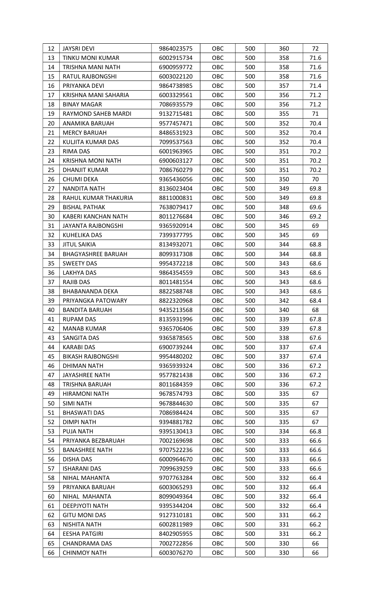| 12 | <b>JAYSRI DEVI</b>        | 9864023575 | OBC        | 500 | 360 | 72   |
|----|---------------------------|------------|------------|-----|-----|------|
| 13 | TINKU MONI KUMAR          | 6002915734 | OBC        | 500 | 358 | 71.6 |
| 14 | TRISHNA MANI NATH         | 6900959772 | OBC        | 500 | 358 | 71.6 |
| 15 | RATUL RAJBONGSHI          | 6003022120 | OBC        | 500 | 358 | 71.6 |
| 16 | PRIYANKA DEVI             | 9864738985 | OBC        | 500 | 357 | 71.4 |
| 17 | KRISHNA MANI SAHARIA      | 6003329561 | OBC        | 500 | 356 | 71.2 |
| 18 | <b>BINAY MAGAR</b>        | 7086935579 | OBC        | 500 | 356 | 71.2 |
| 19 | RAYMOND SAHEB MARDI       | 9132715481 | OBC        | 500 | 355 | 71   |
| 20 | ANAMIKA BARUAH            | 9577457471 | OBC        | 500 | 352 | 70.4 |
| 21 | <b>MERCY BARUAH</b>       | 8486531923 | OBC        | 500 | 352 | 70.4 |
| 22 | KULJITA KUMAR DAS         | 7099537563 | OBC        | 500 | 352 | 70.4 |
| 23 | <b>RIMA DAS</b>           | 6001963965 | OBC        | 500 | 351 | 70.2 |
| 24 | <b>KRISHNA MONI NATH</b>  | 6900603127 | OBC        | 500 | 351 | 70.2 |
| 25 | DHANJIT KUMAR             | 7086760279 | OBC        | 500 | 351 | 70.2 |
| 26 | <b>CHUMI DEKA</b>         | 9365436056 | OBC        | 500 | 350 | 70   |
| 27 | NANDITA NATH              | 8136023404 | OBC        | 500 | 349 | 69.8 |
| 28 | RAHUL KUMAR THAKURIA      | 8811000831 | OBC        | 500 | 349 | 69.8 |
| 29 | <b>BISHAL PATHAK</b>      | 7638079417 | OBC        | 500 | 348 | 69.6 |
| 30 | KABERI KANCHAN NATH       | 8011276684 | OBC        | 500 | 346 | 69.2 |
| 31 | JAYANTA RAJBONGSHI        | 9365920914 | OBC        | 500 | 345 | 69   |
| 32 | KUHELIKA DAS              | 7399377795 | OBC        | 500 | 345 | 69   |
| 33 | <b>JITUL SAIKIA</b>       | 8134932071 | OBC        | 500 | 344 | 68.8 |
| 34 | <b>BHAGYASHREE BARUAH</b> | 8099317308 | OBC        | 500 | 344 | 68.8 |
| 35 | <b>SWEETY DAS</b>         | 9954372218 | OBC        | 500 | 343 | 68.6 |
| 36 | LAKHYA DAS                | 9864354559 | OBC        | 500 | 343 | 68.6 |
| 37 | RAJIB DAS                 | 8011481554 | OBC        | 500 | 343 | 68.6 |
| 38 | BHABANANDA DEKA           | 8822588748 | OBC        | 500 | 343 | 68.6 |
| 39 | PRIYANGKA PATOWARY        | 8822320968 | OBC        | 500 | 342 | 68.4 |
| 40 | <b>BANDITA BARUAH</b>     | 9435213568 | <b>OBC</b> | 500 | 340 | 68   |
| 41 | <b>RUPAM DAS</b>          | 8135931996 | OBC        | 500 | 339 | 67.8 |
| 42 | <b>MANAB KUMAR</b>        | 9365706406 | OBC        | 500 | 339 | 67.8 |
| 43 | SANGITA DAS               | 9365878565 | OBC        | 500 | 338 | 67.6 |
| 44 | <b>KARABI DAS</b>         | 6900739244 | OBC        | 500 | 337 | 67.4 |
| 45 | <b>BIKASH RAJBONGSHI</b>  | 9954480202 | OBC        | 500 | 337 | 67.4 |
| 46 | DHIMAN NATH               | 9365939324 | OBC        | 500 | 336 | 67.2 |
| 47 | <b>JAYASHREE NATH</b>     | 9577821438 | OBC        | 500 | 336 | 67.2 |
| 48 | TRISHNA BARUAH            | 8011684359 | OBC        | 500 | 336 | 67.2 |
| 49 | <b>HIRAMONI NATH</b>      | 9678574793 | OBC        | 500 | 335 | 67   |
| 50 | <b>SIMI NATH</b>          | 9678844630 | OBC        | 500 | 335 | 67   |
| 51 | <b>BHASWATI DAS</b>       | 7086984424 | OBC        | 500 | 335 | 67   |
| 52 | <b>DIMPI NATH</b>         | 9394881782 | OBC        | 500 | 335 | 67   |
| 53 | <b>PUJA NATH</b>          | 9395130413 | OBC        | 500 | 334 | 66.8 |
| 54 | PRIYANKA BEZBARUAH        | 7002169698 | OBC        | 500 | 333 | 66.6 |
| 55 | <b>BANASHREE NATH</b>     | 9707522236 | OBC        | 500 | 333 | 66.6 |
| 56 | DISHA DAS                 | 6000964670 | OBC        | 500 | 333 | 66.6 |
| 57 | <b>ISHARANI DAS</b>       | 7099639259 | OBC        | 500 | 333 | 66.6 |
| 58 | NIHAL MAHANTA             | 9707763284 | OBC        | 500 | 332 | 66.4 |
| 59 | PRIYANKA BARUAH           | 6003065293 | OBC        | 500 | 332 | 66.4 |
| 60 | NIHAL MAHANTA             | 8099049364 | OBC        | 500 | 332 | 66.4 |
| 61 | DEEPJYOTI NATH            | 9395344204 | OBC        | 500 | 332 | 66.4 |
| 62 | <b>GITU MONI DAS</b>      | 9127310181 | OBC        | 500 | 331 | 66.2 |
| 63 | <b>NISHITA NATH</b>       | 6002811989 | OBC        | 500 | 331 | 66.2 |
| 64 | <b>EESHA PATGIRI</b>      | 8402905955 | OBC        | 500 | 331 | 66.2 |
| 65 | <b>CHANDRAMA DAS</b>      | 7002722856 | OBC        | 500 | 330 | 66   |
| 66 | <b>CHINMOY NATH</b>       | 6003076270 | OBC        | 500 | 330 | 66   |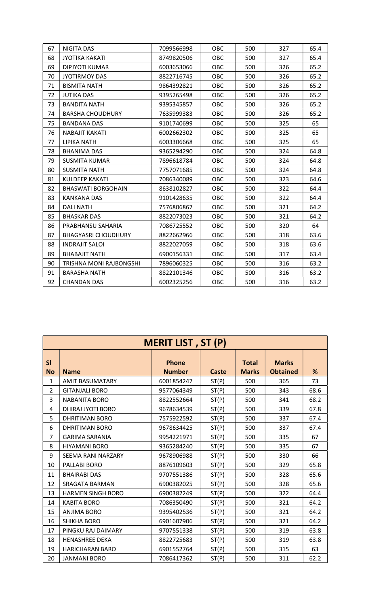| 67 | NIGITA DAS                     | 7099566998 | <b>OBC</b> | 500 | 327 | 65.4 |
|----|--------------------------------|------------|------------|-----|-----|------|
| 68 | <b>JYOTIKA KAKATI</b>          | 8749820506 | <b>OBC</b> | 500 | 327 | 65.4 |
| 69 | DIPJYOTI KUMAR                 | 6003653066 | OBC        | 500 | 326 | 65.2 |
| 70 | <b>JYOTIRMOY DAS</b>           | 8822716745 | OBC        | 500 | 326 | 65.2 |
| 71 | <b>BISMITA NATH</b>            | 9864392821 | OBC        | 500 | 326 | 65.2 |
| 72 | <b>JUTIKA DAS</b>              | 9395265498 | <b>OBC</b> | 500 | 326 | 65.2 |
| 73 | <b>BANDITA NATH</b>            | 9395345857 | OBC        | 500 | 326 | 65.2 |
| 74 | <b>BARSHA CHOUDHURY</b>        | 7635999383 | OBC        | 500 | 326 | 65.2 |
| 75 | <b>BANDANA DAS</b>             | 9101740699 | <b>OBC</b> | 500 | 325 | 65   |
| 76 | <b>NABAJIT KAKATI</b>          | 6002662302 | OBC        | 500 | 325 | 65   |
| 77 | LIPIKA NATH                    | 6003306668 | OBC        | 500 | 325 | 65   |
| 78 | <b>BHANIMA DAS</b>             | 9365294290 | OBC        | 500 | 324 | 64.8 |
| 79 | <b>SUSMITA KUMAR</b>           | 7896618784 | <b>OBC</b> | 500 | 324 | 64.8 |
| 80 | <b>SUSMITA NATH</b>            | 7757071685 | OBC        | 500 | 324 | 64.8 |
| 81 | <b>KULDEEP KAKATI</b>          | 7086340089 | <b>OBC</b> | 500 | 323 | 64.6 |
| 82 | <b>BHASWATI BORGOHAIN</b>      | 8638102827 | <b>OBC</b> | 500 | 322 | 64.4 |
| 83 | <b>KANKANA DAS</b>             | 9101428635 | OBC        | 500 | 322 | 64.4 |
| 84 | <b>DALI NATH</b>               | 7576806867 | OBC        | 500 | 321 | 64.2 |
| 85 | <b>BHASKAR DAS</b>             | 8822073023 | OBC        | 500 | 321 | 64.2 |
| 86 | PRABHANSU SAHARIA              | 7086725552 | <b>OBC</b> | 500 | 320 | 64   |
| 87 | <b>BHAGYASRI CHOUDHURY</b>     | 8822662966 | OBC        | 500 | 318 | 63.6 |
| 88 | <b>INDRAJIT SALOI</b>          | 8822027059 | OBC        | 500 | 318 | 63.6 |
| 89 | <b>BHABAJIT NATH</b>           | 6900156331 | <b>OBC</b> | 500 | 317 | 63.4 |
| 90 | <b>TRISHNA MONI RAJBONGSHI</b> | 7896060325 | OBC        | 500 | 316 | 63.2 |
| 91 | <b>BARASHA NATH</b>            | 8822101346 | OBC        | 500 | 316 | 63.2 |
| 92 | <b>CHANDAN DAS</b>             | 6002325256 | OBC        | 500 | 316 | 63.2 |

|                 | <b>MERIT LIST, ST (P)</b> |                               |              |                              |                                 |      |  |  |  |
|-----------------|---------------------------|-------------------------------|--------------|------------------------------|---------------------------------|------|--|--|--|
| SI<br><b>No</b> | <b>Name</b>               | <b>Phone</b><br><b>Number</b> | <b>Caste</b> | <b>Total</b><br><b>Marks</b> | <b>Marks</b><br><b>Obtained</b> | %    |  |  |  |
| $\mathbf{1}$    | <b>AMIT BASUMATARY</b>    | 6001854247                    | ST(P)        | 500                          | 365                             | 73   |  |  |  |
| $\overline{2}$  | <b>GITANJALI BORO</b>     | 9577064349                    | ST(P)        | 500                          | 343                             | 68.6 |  |  |  |
| 3               | <b>NABANITA BORO</b>      | 8822552664                    | ST(P)        | 500                          | 341                             | 68.2 |  |  |  |
| 4               | DHIRAJ JYOTI BORO         | 9678634539                    | ST(P)        | 500                          | 339                             | 67.8 |  |  |  |
| 5               | DHRITIMAN BORO            | 7575922592                    | ST(P)        | 500                          | 337                             | 67.4 |  |  |  |
| 6               | <b>DHRITIMAN BORO</b>     | 9678634425                    | ST(P)        | 500                          | 337                             | 67.4 |  |  |  |
| $\overline{7}$  | <b>GARIMA SARANIA</b>     | 9954221971                    | ST(P)        | 500                          | 335                             | 67   |  |  |  |
| 8               | <b>HIYAMANI BORO</b>      | 9365284240                    | ST(P)        | 500                          | 335                             | 67   |  |  |  |
| 9               | SEEMA RANI NARZARY        | 9678906988                    | ST(P)        | 500                          | 330                             | 66   |  |  |  |
| 10              | PALLABI BORO              | 8876109603                    | ST(P)        | 500                          | 329                             | 65.8 |  |  |  |
| 11              | <b>BHAIRABI DAS</b>       | 9707551386                    | ST(P)        | 500                          | 328                             | 65.6 |  |  |  |
| 12              | SRAGATA BARMAN            | 6900382025                    | ST(P)        | 500                          | 328                             | 65.6 |  |  |  |
| 13              | <b>HARMEN SINGH BORO</b>  | 6900382249                    | ST(P)        | 500                          | 322                             | 64.4 |  |  |  |
| 14              | <b>KABITA BORO</b>        | 7086350490                    | ST(P)        | 500                          | 321                             | 64.2 |  |  |  |
| 15              | <b>ANJIMA BORO</b>        | 9395402536                    | ST(P)        | 500                          | 321                             | 64.2 |  |  |  |
| 16              | <b>SHIKHA BORO</b>        | 6901607906                    | ST(P)        | 500                          | 321                             | 64.2 |  |  |  |
| 17              | PINGKU RAJ DAIMARY        | 9707551338                    | ST(P)        | 500                          | 319                             | 63.8 |  |  |  |
| 18              | <b>HENASHREE DEKA</b>     | 8822725683                    | ST(P)        | 500                          | 319                             | 63.8 |  |  |  |
| 19              | <b>HARICHARAN BARO</b>    | 6901552764                    | ST(P)        | 500                          | 315                             | 63   |  |  |  |
| 20              | <b>JANMANI BORO</b>       | 7086417362                    | ST(P)        | 500                          | 311                             | 62.2 |  |  |  |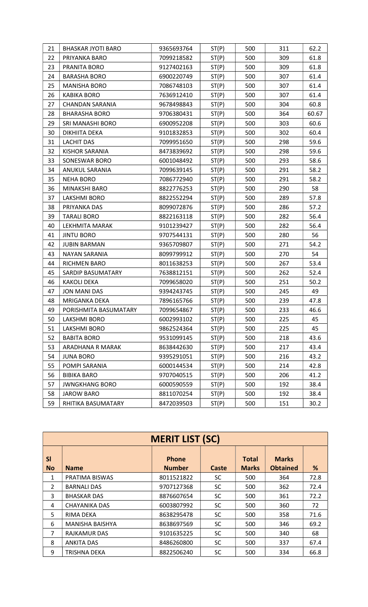| 21 | <b>BHASKAR JYOTI BARO</b> | 9365693764 | ST(P) | 500 | 311 | 62.2  |
|----|---------------------------|------------|-------|-----|-----|-------|
| 22 | PRIYANKA BARO             | 7099218582 | ST(P) | 500 | 309 | 61.8  |
| 23 | PRANITA BORO              | 9127402163 | ST(P) | 500 | 309 | 61.8  |
| 24 | <b>BARASHA BORO</b>       | 6900220749 | ST(P) | 500 | 307 | 61.4  |
| 25 | <b>MANISHA BORO</b>       | 7086748103 | ST(P) | 500 | 307 | 61.4  |
| 26 | <b>KABIKA BORO</b>        | 7636912410 | ST(P) | 500 | 307 | 61.4  |
| 27 | <b>CHANDAN SARANIA</b>    | 9678498843 | ST(P) | 500 | 304 | 60.8  |
| 28 | <b>BHARASHA BORO</b>      | 9706380431 | ST(P) | 500 | 364 | 60.67 |
| 29 | SRI MANASHI BORO          | 6900952208 | ST(P) | 500 | 303 | 60.6  |
| 30 | DIKHIITA DEKA             | 9101832853 | ST(P) | 500 | 302 | 60.4  |
| 31 | <b>LACHIT DAS</b>         | 7099951650 | ST(P) | 500 | 298 | 59.6  |
| 32 | <b>KISHOR SARANIA</b>     | 8473839692 | ST(P) | 500 | 298 | 59.6  |
| 33 | SONESWAR BORO             | 6001048492 | ST(P) | 500 | 293 | 58.6  |
| 34 | ANUKUL SARANIA            | 7099639145 | ST(P) | 500 | 291 | 58.2  |
| 35 | <b>NEHA BORO</b>          | 7086772940 | ST(P) | 500 | 291 | 58.2  |
| 36 | MINAKSHI BARO             | 8822776253 | ST(P) | 500 | 290 | 58    |
| 37 | LAKSHMI BORO              | 8822552294 | ST(P) | 500 | 289 | 57.8  |
| 38 | PRIYANKA DAS              | 8099072876 | ST(P) | 500 | 286 | 57.2  |
| 39 | <b>TARALI BORO</b>        | 8822163118 | ST(P) | 500 | 282 | 56.4  |
| 40 | LEKHMITA MARAK            | 9101239427 | ST(P) | 500 | 282 | 56.4  |
| 41 | <b>JINTU BORO</b>         | 9707544131 | ST(P) | 500 | 280 | 56    |
| 42 | <b>JUBIN BARMAN</b>       | 9365709807 | ST(P) | 500 | 271 | 54.2  |
| 43 | NAYAN SARANIA             | 8099799912 | ST(P) | 500 | 270 | 54    |
| 44 | RICHMEN BARO              | 8011638253 | ST(P) | 500 | 267 | 53.4  |
| 45 | SARDIP BASUMATARY         | 7638812151 | ST(P) | 500 | 262 | 52.4  |
| 46 | <b>KAKOLI DEKA</b>        | 7099658020 | ST(P) | 500 | 251 | 50.2  |
| 47 | <b>JON MANI DAS</b>       | 9394243745 | ST(P) | 500 | 245 | 49    |
| 48 | MRIGANKA DEKA             | 7896165766 | ST(P) | 500 | 239 | 47.8  |
| 49 | PORISHMITA BASUMATARY     | 7099654867 | ST(P) | 500 | 233 | 46.6  |
| 50 | LAKSHMI BORO              | 6002993102 | ST(P) | 500 | 225 | 45    |
| 51 | LAKSHMI BORO              | 9862524364 | ST(P) | 500 | 225 | 45    |
| 52 | <b>BABITA BORO</b>        | 9531099145 | ST(P) | 500 | 218 | 43.6  |
| 53 | ARADHANA R MARAK          | 8638442630 | ST(P) | 500 | 217 | 43.4  |
| 54 | <b>JUNA BORO</b>          | 9395291051 | ST(P) | 500 | 216 | 43.2  |
| 55 | POMPI SARANIA             | 6000144534 | ST(P) | 500 | 214 | 42.8  |
| 56 | <b>BIBIKA BARO</b>        | 9707040515 | ST(P) | 500 | 206 | 41.2  |
| 57 | <b>JWNGKHANG BORO</b>     | 6000590559 | ST(P) | 500 | 192 | 38.4  |
| 58 | <b>JAROW BARO</b>         | 8811070254 | ST(P) | 500 | 192 | 38.4  |
| 59 | RHITIKA BASUMATARY        | 8472039503 | ST(P) | 500 | 151 | 30.2  |

|                 | <b>MERIT LIST (SC)</b> |                               |           |                              |                                 |      |  |  |  |
|-----------------|------------------------|-------------------------------|-----------|------------------------------|---------------------------------|------|--|--|--|
| SI<br><b>No</b> | <b>Name</b>            | <b>Phone</b><br><b>Number</b> | Caste     | <b>Total</b><br><b>Marks</b> | <b>Marks</b><br><b>Obtained</b> | %    |  |  |  |
| 1               | PRATIMA BISWAS         | 8011521822                    | SC        | 500                          | 364                             | 72.8 |  |  |  |
| $\overline{2}$  | <b>BARNALI DAS</b>     | 9707127368                    | <b>SC</b> | 500                          | 362                             | 72.4 |  |  |  |
| 3               | <b>BHASKAR DAS</b>     | 8876607654                    | <b>SC</b> | 500                          | 361                             | 72.2 |  |  |  |
| 4               | <b>CHAYANIKA DAS</b>   | 6003807992                    | <b>SC</b> | 500                          | 360                             | 72   |  |  |  |
| 5               | RIMA DEKA              | 8638295478                    | <b>SC</b> | 500                          | 358                             | 71.6 |  |  |  |
| 6               | <b>MANISHA BAISHYA</b> | 8638697569                    | <b>SC</b> | 500                          | 346                             | 69.2 |  |  |  |
| 7               | <b>RAJKAMUR DAS</b>    | 9101635225                    | <b>SC</b> | 500                          | 340                             | 68   |  |  |  |
| 8               | <b>ANKITA DAS</b>      | 8486260800                    | SC.       | 500                          | 337                             | 67.4 |  |  |  |
| 9               | TRISHNA DEKA           | 8822506240                    | SC        | 500                          | 334                             | 66.8 |  |  |  |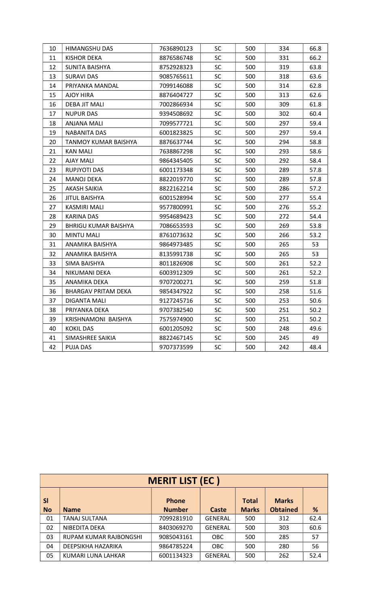| <b>SC</b><br>500<br>10<br><b>HIMANGSHU DAS</b><br>7636890123<br>334<br><b>SC</b><br>11<br>500<br>331<br><b>KISHOR DEKA</b><br>8876586748<br>12<br><b>SC</b><br>500<br>319<br>SUNITA BAISHYA<br>8752928323<br><b>SC</b><br>500<br>13<br><b>SURAVI DAS</b><br>9085765611<br>318<br>14<br><b>SC</b><br>500<br>314<br>PRIYANKA MANDAL<br>7099146088<br>15<br><b>SC</b><br>500<br>313<br>AJOY HIRA<br>8876404727<br>16<br><b>SC</b><br>309<br><b>DEBA JIT MALI</b><br>500<br>7002866934<br>500<br>17<br><b>NUPUR DAS</b><br>9394508692<br><b>SC</b><br>302<br>18<br>7099577721<br><b>SC</b><br>500<br>297<br>ANJANA MALI<br><b>SC</b><br>19<br>500<br>297<br>NABANITA DAS<br>6001823825<br>20<br><b>SC</b><br>500<br>294<br>TANMOY KUMAR BAISHYA<br>8876637744<br>21<br>7638867298<br>SC<br>500<br>293<br>KAN MALI<br>22<br><b>AJAY MALI</b><br><b>SC</b><br>500<br>292<br>9864345405<br><b>SC</b><br>289<br>23<br><b>RUPJYOTI DAS</b><br>500<br>6001173348<br>24<br><b>SC</b><br>500<br>289<br>MANOJ DEKA<br>8822019770<br>25<br><b>SC</b><br>500<br>286<br><b>AKASH SAIKIA</b><br>8822162214<br>26<br><b>SC</b><br>500<br>277<br><b>JITUL BAISHYA</b><br>6001528994<br><b>SC</b><br>27<br>500<br>276<br>KASMIRI MALI<br>9577800991<br>28<br><b>SC</b><br>500<br>272<br>KARINA DAS<br>9954689423<br>29<br>7086653593<br>SC<br>500<br>269<br>BHRIGU KUMAR BAISHYA<br><b>SC</b><br>30<br><b>MINTU MALI</b><br>500<br>266<br>8761073632<br><b>SC</b><br>265<br>31<br>500<br>ANAMIKA BAISHYA<br>9864973485<br>32<br><b>SC</b><br>500<br>265<br>ANAMIKA BAISHYA<br>8135991738<br>33<br><b>SC</b><br>500<br>261<br>SIMA BAISHYA<br>8011826908<br>34<br><b>SC</b><br>500<br>261<br>NIKUMANI DEKA<br>6003912309<br>35<br><b>SC</b><br>500<br>259<br>ANAMIKA DEKA<br>9707200271<br>36<br><b>BHARGAV PRITAM DEKA</b><br>9854347922<br><b>SC</b><br>500<br>258<br>37<br><b>SC</b><br>500<br>253<br><b>DIGANTA MALI</b><br>9127245716<br>38<br>9707382540<br><b>SC</b><br>500<br>251<br>PRIYANKA DEKA<br>39<br><b>SC</b><br>251<br>7575974900<br>500<br>KRISHNAMONI BAISHYA<br><b>SC</b><br>500<br>248<br>40<br><b>KOKIL DAS</b><br>6001205092<br><b>SC</b><br>500<br>245<br>41<br>SIMASHREE SAIKIA<br>8822467145 |  |  |  |      |
|---------------------------------------------------------------------------------------------------------------------------------------------------------------------------------------------------------------------------------------------------------------------------------------------------------------------------------------------------------------------------------------------------------------------------------------------------------------------------------------------------------------------------------------------------------------------------------------------------------------------------------------------------------------------------------------------------------------------------------------------------------------------------------------------------------------------------------------------------------------------------------------------------------------------------------------------------------------------------------------------------------------------------------------------------------------------------------------------------------------------------------------------------------------------------------------------------------------------------------------------------------------------------------------------------------------------------------------------------------------------------------------------------------------------------------------------------------------------------------------------------------------------------------------------------------------------------------------------------------------------------------------------------------------------------------------------------------------------------------------------------------------------------------------------------------------------------------------------------------------------------------------------------------------------------------------------------------------------------------------------------------------------------------------------------------------------------------------------------------------------------------------------------------------------------------------------------|--|--|--|------|
|                                                                                                                                                                                                                                                                                                                                                                                                                                                                                                                                                                                                                                                                                                                                                                                                                                                                                                                                                                                                                                                                                                                                                                                                                                                                                                                                                                                                                                                                                                                                                                                                                                                                                                                                                                                                                                                                                                                                                                                                                                                                                                                                                                                                   |  |  |  | 66.8 |
|                                                                                                                                                                                                                                                                                                                                                                                                                                                                                                                                                                                                                                                                                                                                                                                                                                                                                                                                                                                                                                                                                                                                                                                                                                                                                                                                                                                                                                                                                                                                                                                                                                                                                                                                                                                                                                                                                                                                                                                                                                                                                                                                                                                                   |  |  |  | 66.2 |
|                                                                                                                                                                                                                                                                                                                                                                                                                                                                                                                                                                                                                                                                                                                                                                                                                                                                                                                                                                                                                                                                                                                                                                                                                                                                                                                                                                                                                                                                                                                                                                                                                                                                                                                                                                                                                                                                                                                                                                                                                                                                                                                                                                                                   |  |  |  | 63.8 |
|                                                                                                                                                                                                                                                                                                                                                                                                                                                                                                                                                                                                                                                                                                                                                                                                                                                                                                                                                                                                                                                                                                                                                                                                                                                                                                                                                                                                                                                                                                                                                                                                                                                                                                                                                                                                                                                                                                                                                                                                                                                                                                                                                                                                   |  |  |  | 63.6 |
|                                                                                                                                                                                                                                                                                                                                                                                                                                                                                                                                                                                                                                                                                                                                                                                                                                                                                                                                                                                                                                                                                                                                                                                                                                                                                                                                                                                                                                                                                                                                                                                                                                                                                                                                                                                                                                                                                                                                                                                                                                                                                                                                                                                                   |  |  |  | 62.8 |
|                                                                                                                                                                                                                                                                                                                                                                                                                                                                                                                                                                                                                                                                                                                                                                                                                                                                                                                                                                                                                                                                                                                                                                                                                                                                                                                                                                                                                                                                                                                                                                                                                                                                                                                                                                                                                                                                                                                                                                                                                                                                                                                                                                                                   |  |  |  | 62.6 |
|                                                                                                                                                                                                                                                                                                                                                                                                                                                                                                                                                                                                                                                                                                                                                                                                                                                                                                                                                                                                                                                                                                                                                                                                                                                                                                                                                                                                                                                                                                                                                                                                                                                                                                                                                                                                                                                                                                                                                                                                                                                                                                                                                                                                   |  |  |  | 61.8 |
|                                                                                                                                                                                                                                                                                                                                                                                                                                                                                                                                                                                                                                                                                                                                                                                                                                                                                                                                                                                                                                                                                                                                                                                                                                                                                                                                                                                                                                                                                                                                                                                                                                                                                                                                                                                                                                                                                                                                                                                                                                                                                                                                                                                                   |  |  |  | 60.4 |
|                                                                                                                                                                                                                                                                                                                                                                                                                                                                                                                                                                                                                                                                                                                                                                                                                                                                                                                                                                                                                                                                                                                                                                                                                                                                                                                                                                                                                                                                                                                                                                                                                                                                                                                                                                                                                                                                                                                                                                                                                                                                                                                                                                                                   |  |  |  | 59.4 |
|                                                                                                                                                                                                                                                                                                                                                                                                                                                                                                                                                                                                                                                                                                                                                                                                                                                                                                                                                                                                                                                                                                                                                                                                                                                                                                                                                                                                                                                                                                                                                                                                                                                                                                                                                                                                                                                                                                                                                                                                                                                                                                                                                                                                   |  |  |  | 59.4 |
|                                                                                                                                                                                                                                                                                                                                                                                                                                                                                                                                                                                                                                                                                                                                                                                                                                                                                                                                                                                                                                                                                                                                                                                                                                                                                                                                                                                                                                                                                                                                                                                                                                                                                                                                                                                                                                                                                                                                                                                                                                                                                                                                                                                                   |  |  |  | 58.8 |
|                                                                                                                                                                                                                                                                                                                                                                                                                                                                                                                                                                                                                                                                                                                                                                                                                                                                                                                                                                                                                                                                                                                                                                                                                                                                                                                                                                                                                                                                                                                                                                                                                                                                                                                                                                                                                                                                                                                                                                                                                                                                                                                                                                                                   |  |  |  | 58.6 |
|                                                                                                                                                                                                                                                                                                                                                                                                                                                                                                                                                                                                                                                                                                                                                                                                                                                                                                                                                                                                                                                                                                                                                                                                                                                                                                                                                                                                                                                                                                                                                                                                                                                                                                                                                                                                                                                                                                                                                                                                                                                                                                                                                                                                   |  |  |  | 58.4 |
|                                                                                                                                                                                                                                                                                                                                                                                                                                                                                                                                                                                                                                                                                                                                                                                                                                                                                                                                                                                                                                                                                                                                                                                                                                                                                                                                                                                                                                                                                                                                                                                                                                                                                                                                                                                                                                                                                                                                                                                                                                                                                                                                                                                                   |  |  |  | 57.8 |
|                                                                                                                                                                                                                                                                                                                                                                                                                                                                                                                                                                                                                                                                                                                                                                                                                                                                                                                                                                                                                                                                                                                                                                                                                                                                                                                                                                                                                                                                                                                                                                                                                                                                                                                                                                                                                                                                                                                                                                                                                                                                                                                                                                                                   |  |  |  | 57.8 |
|                                                                                                                                                                                                                                                                                                                                                                                                                                                                                                                                                                                                                                                                                                                                                                                                                                                                                                                                                                                                                                                                                                                                                                                                                                                                                                                                                                                                                                                                                                                                                                                                                                                                                                                                                                                                                                                                                                                                                                                                                                                                                                                                                                                                   |  |  |  | 57.2 |
|                                                                                                                                                                                                                                                                                                                                                                                                                                                                                                                                                                                                                                                                                                                                                                                                                                                                                                                                                                                                                                                                                                                                                                                                                                                                                                                                                                                                                                                                                                                                                                                                                                                                                                                                                                                                                                                                                                                                                                                                                                                                                                                                                                                                   |  |  |  | 55.4 |
|                                                                                                                                                                                                                                                                                                                                                                                                                                                                                                                                                                                                                                                                                                                                                                                                                                                                                                                                                                                                                                                                                                                                                                                                                                                                                                                                                                                                                                                                                                                                                                                                                                                                                                                                                                                                                                                                                                                                                                                                                                                                                                                                                                                                   |  |  |  | 55.2 |
|                                                                                                                                                                                                                                                                                                                                                                                                                                                                                                                                                                                                                                                                                                                                                                                                                                                                                                                                                                                                                                                                                                                                                                                                                                                                                                                                                                                                                                                                                                                                                                                                                                                                                                                                                                                                                                                                                                                                                                                                                                                                                                                                                                                                   |  |  |  | 54.4 |
|                                                                                                                                                                                                                                                                                                                                                                                                                                                                                                                                                                                                                                                                                                                                                                                                                                                                                                                                                                                                                                                                                                                                                                                                                                                                                                                                                                                                                                                                                                                                                                                                                                                                                                                                                                                                                                                                                                                                                                                                                                                                                                                                                                                                   |  |  |  | 53.8 |
|                                                                                                                                                                                                                                                                                                                                                                                                                                                                                                                                                                                                                                                                                                                                                                                                                                                                                                                                                                                                                                                                                                                                                                                                                                                                                                                                                                                                                                                                                                                                                                                                                                                                                                                                                                                                                                                                                                                                                                                                                                                                                                                                                                                                   |  |  |  | 53.2 |
|                                                                                                                                                                                                                                                                                                                                                                                                                                                                                                                                                                                                                                                                                                                                                                                                                                                                                                                                                                                                                                                                                                                                                                                                                                                                                                                                                                                                                                                                                                                                                                                                                                                                                                                                                                                                                                                                                                                                                                                                                                                                                                                                                                                                   |  |  |  | 53   |
|                                                                                                                                                                                                                                                                                                                                                                                                                                                                                                                                                                                                                                                                                                                                                                                                                                                                                                                                                                                                                                                                                                                                                                                                                                                                                                                                                                                                                                                                                                                                                                                                                                                                                                                                                                                                                                                                                                                                                                                                                                                                                                                                                                                                   |  |  |  | 53   |
|                                                                                                                                                                                                                                                                                                                                                                                                                                                                                                                                                                                                                                                                                                                                                                                                                                                                                                                                                                                                                                                                                                                                                                                                                                                                                                                                                                                                                                                                                                                                                                                                                                                                                                                                                                                                                                                                                                                                                                                                                                                                                                                                                                                                   |  |  |  | 52.2 |
|                                                                                                                                                                                                                                                                                                                                                                                                                                                                                                                                                                                                                                                                                                                                                                                                                                                                                                                                                                                                                                                                                                                                                                                                                                                                                                                                                                                                                                                                                                                                                                                                                                                                                                                                                                                                                                                                                                                                                                                                                                                                                                                                                                                                   |  |  |  | 52.2 |
|                                                                                                                                                                                                                                                                                                                                                                                                                                                                                                                                                                                                                                                                                                                                                                                                                                                                                                                                                                                                                                                                                                                                                                                                                                                                                                                                                                                                                                                                                                                                                                                                                                                                                                                                                                                                                                                                                                                                                                                                                                                                                                                                                                                                   |  |  |  | 51.8 |
|                                                                                                                                                                                                                                                                                                                                                                                                                                                                                                                                                                                                                                                                                                                                                                                                                                                                                                                                                                                                                                                                                                                                                                                                                                                                                                                                                                                                                                                                                                                                                                                                                                                                                                                                                                                                                                                                                                                                                                                                                                                                                                                                                                                                   |  |  |  | 51.6 |
|                                                                                                                                                                                                                                                                                                                                                                                                                                                                                                                                                                                                                                                                                                                                                                                                                                                                                                                                                                                                                                                                                                                                                                                                                                                                                                                                                                                                                                                                                                                                                                                                                                                                                                                                                                                                                                                                                                                                                                                                                                                                                                                                                                                                   |  |  |  | 50.6 |
|                                                                                                                                                                                                                                                                                                                                                                                                                                                                                                                                                                                                                                                                                                                                                                                                                                                                                                                                                                                                                                                                                                                                                                                                                                                                                                                                                                                                                                                                                                                                                                                                                                                                                                                                                                                                                                                                                                                                                                                                                                                                                                                                                                                                   |  |  |  | 50.2 |
|                                                                                                                                                                                                                                                                                                                                                                                                                                                                                                                                                                                                                                                                                                                                                                                                                                                                                                                                                                                                                                                                                                                                                                                                                                                                                                                                                                                                                                                                                                                                                                                                                                                                                                                                                                                                                                                                                                                                                                                                                                                                                                                                                                                                   |  |  |  | 50.2 |
|                                                                                                                                                                                                                                                                                                                                                                                                                                                                                                                                                                                                                                                                                                                                                                                                                                                                                                                                                                                                                                                                                                                                                                                                                                                                                                                                                                                                                                                                                                                                                                                                                                                                                                                                                                                                                                                                                                                                                                                                                                                                                                                                                                                                   |  |  |  | 49.6 |
|                                                                                                                                                                                                                                                                                                                                                                                                                                                                                                                                                                                                                                                                                                                                                                                                                                                                                                                                                                                                                                                                                                                                                                                                                                                                                                                                                                                                                                                                                                                                                                                                                                                                                                                                                                                                                                                                                                                                                                                                                                                                                                                                                                                                   |  |  |  | 49   |
| 42<br><b>PUJA DAS</b><br>9707373599<br>SC<br>500<br>242                                                                                                                                                                                                                                                                                                                                                                                                                                                                                                                                                                                                                                                                                                                                                                                                                                                                                                                                                                                                                                                                                                                                                                                                                                                                                                                                                                                                                                                                                                                                                                                                                                                                                                                                                                                                                                                                                                                                                                                                                                                                                                                                           |  |  |  | 48.4 |

|                        | <b>MERIT LIST (EC)</b> |                               |                |                              |                                 |      |  |  |  |
|------------------------|------------------------|-------------------------------|----------------|------------------------------|---------------------------------|------|--|--|--|
| <b>SI</b><br><b>No</b> | <b>Name</b>            | <b>Phone</b><br><b>Number</b> | Caste          | <b>Total</b><br><b>Marks</b> | <b>Marks</b><br><b>Obtained</b> | %    |  |  |  |
| 01                     | TANAJ SULTANA          | 7099281910                    | <b>GENERAL</b> | 500                          | 312                             | 62.4 |  |  |  |
| 02                     | NIBEDITA DEKA          | 8403069270                    | <b>GENERAL</b> | 500                          | 303                             | 60.6 |  |  |  |
| 03                     | RUPAM KUMAR RAJBONGSHI | 9085043161                    | <b>OBC</b>     | 500                          | 285                             | 57   |  |  |  |
| 04                     | DEEPSIKHA HAZARIKA     | 9864785224                    | <b>OBC</b>     | 500                          | 280                             | 56   |  |  |  |
| 05                     | KUMARI LUNA LAHKAR     | 6001134323                    | <b>GENERAL</b> | 500                          | 262                             | 52.4 |  |  |  |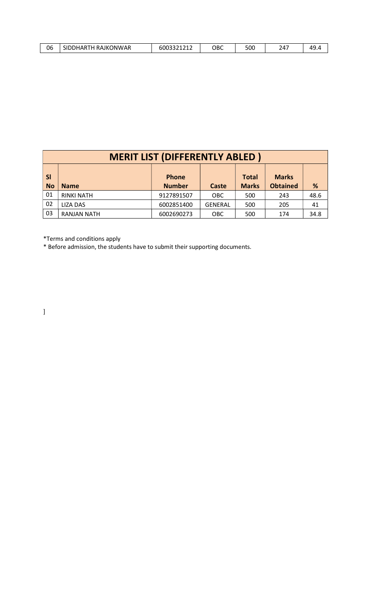| 06<br><b>SIDF</b> | <b>' RAJKONWAR</b><br>NHAR<br>. | ۹۹۹۹۹۹<br>.600.<br>,,,,,, | ОВС | ⊏∩∩<br>ouc | , | л٥<br>. |
|-------------------|---------------------------------|---------------------------|-----|------------|---|---------|
|-------------------|---------------------------------|---------------------------|-----|------------|---|---------|

|                        | <b>MERIT LIST (DIFFERENTLY ABLED)</b> |                               |                |                              |                                 |      |  |  |  |
|------------------------|---------------------------------------|-------------------------------|----------------|------------------------------|---------------------------------|------|--|--|--|
| <b>SI</b><br><b>No</b> | <b>Name</b>                           | <b>Phone</b><br><b>Number</b> | Caste          | <b>Total</b><br><b>Marks</b> | <b>Marks</b><br><b>Obtained</b> | %    |  |  |  |
| 01                     | <b>RINKI NATH</b>                     | 9127891507                    | <b>OBC</b>     | 500                          | 243                             | 48.6 |  |  |  |
| 02                     | <b>LIZA DAS</b>                       | 6002851400                    | <b>GENERAL</b> | 500                          | 205                             | 41   |  |  |  |
| 03                     | <b>RANJAN NATH</b>                    | 6002690273                    | OBC            | 500                          | 174                             | 34.8 |  |  |  |

\*Terms and conditions apply

\* Before admission, the students have to submit their supporting documents.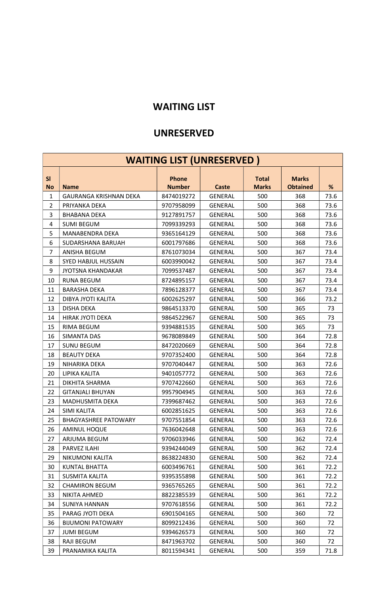## WAITING LIST

### UNRESERVED

|                 | <b>WAITING LIST (UNRESERVED)</b> |                               |                |                              |                                 |      |  |  |  |  |
|-----------------|----------------------------------|-------------------------------|----------------|------------------------------|---------------------------------|------|--|--|--|--|
| SI<br><b>No</b> | <b>Name</b>                      | <b>Phone</b><br><b>Number</b> | <b>Caste</b>   | <b>Total</b><br><b>Marks</b> | <b>Marks</b><br><b>Obtained</b> | %    |  |  |  |  |
| $\mathbf{1}$    | <b>GAURANGA KRISHNAN DEKA</b>    | 8474019272                    | <b>GENERAL</b> | 500                          | 368                             | 73.6 |  |  |  |  |
| $\overline{2}$  | PRIYANKA DEKA                    | 9707958099                    | <b>GENERAL</b> | 500                          | 368                             | 73.6 |  |  |  |  |
| 3               | <b>BHABANA DEKA</b>              | 9127891757                    | <b>GENERAL</b> | 500                          | 368                             | 73.6 |  |  |  |  |
| 4               | <b>SUMI BEGUM</b>                | 7099339293                    | <b>GENERAL</b> | 500                          | 368                             | 73.6 |  |  |  |  |
| 5               | MANABENDRA DEKA                  | 9365164129                    | <b>GENERAL</b> | 500                          | 368                             | 73.6 |  |  |  |  |
| 6               | SUDARSHANA BARUAH                | 6001797686                    | <b>GENERAL</b> | 500                          | 368                             | 73.6 |  |  |  |  |
| $\overline{7}$  | ANISHA BEGUM                     | 8761073034                    | <b>GENERAL</b> | 500                          | 367                             | 73.4 |  |  |  |  |
| 8               | SYED HABJUL HUSSAIN              | 6003990042                    | <b>GENERAL</b> | 500                          | 367                             | 73.4 |  |  |  |  |
| 9               | <b>JYOTSNA KHANDAKAR</b>         | 7099537487                    | <b>GENERAL</b> | 500                          | 367                             | 73.4 |  |  |  |  |
| 10              | <b>RUNA BEGUM</b>                | 8724895157                    | <b>GENERAL</b> | 500                          | 367                             | 73.4 |  |  |  |  |
| 11              | <b>BARASHA DEKA</b>              | 7896128377                    | <b>GENERAL</b> | 500                          | 367                             | 73.4 |  |  |  |  |
| 12              | DIBYA JYOTI KALITA               | 6002625297                    | <b>GENERAL</b> | 500                          | 366                             | 73.2 |  |  |  |  |
| 13              | <b>DISHA DEKA</b>                | 9864513370                    | <b>GENERAL</b> | 500                          | 365                             | 73   |  |  |  |  |
| 14              | <b>HIRAK JYOTI DEKA</b>          | 9864522967                    | <b>GENERAL</b> | 500                          | 365                             | 73   |  |  |  |  |
| 15              | RIMA BEGUM                       | 9394881535                    | <b>GENERAL</b> | 500                          | 365                             | 73   |  |  |  |  |
| 16              | <b>SIMANTA DAS</b>               | 9678089849                    | <b>GENERAL</b> | 500                          | 364                             | 72.8 |  |  |  |  |
| 17              | <b>SUNU BEGUM</b>                | 8472020669                    | <b>GENERAL</b> | 500                          | 364                             | 72.8 |  |  |  |  |
| 18              | <b>BEAUTY DEKA</b>               | 9707352400                    | <b>GENERAL</b> | 500                          | 364                             | 72.8 |  |  |  |  |
| 19              | NIHARIKA DEKA                    | 9707040447                    | <b>GENERAL</b> | 500                          | 363                             | 72.6 |  |  |  |  |
| 20              | LIPIKA KALITA                    | 9401057772                    | <b>GENERAL</b> | 500                          | 363                             | 72.6 |  |  |  |  |
| 21              | DIKHITA SHARMA                   | 9707422660                    | <b>GENERAL</b> | 500                          | 363                             | 72.6 |  |  |  |  |
| 22              | <b>GITANJALI BHUYAN</b>          | 9957904945                    | <b>GENERAL</b> | 500                          | 363                             | 72.6 |  |  |  |  |
| 23              | MADHUSMITA DEKA                  | 7399687462                    | GENERAL        | 500                          | 363                             | 72.6 |  |  |  |  |
| 24              | <b>SIMI KALITA</b>               | 6002851625                    | <b>GENERAL</b> | 500                          | 363                             | 72.6 |  |  |  |  |
| 25              | <b>BHAGYASHREE PATOWARY</b>      | 9707551854                    | <b>GENERAL</b> | 500                          | 363                             | 72.6 |  |  |  |  |
| 26              | AMINUL HOQUE                     | 7636042648                    | GENERAL        | 500                          | 363                             | 72.6 |  |  |  |  |
| 27              | ARJUMA BEGUM                     | 9706033946                    | <b>GENERAL</b> | 500                          | 362                             | 72.4 |  |  |  |  |
| 28              | PARVEZ ILAHI                     | 9394244049                    | <b>GENERAL</b> | 500                          | 362                             | 72.4 |  |  |  |  |
| 29              | NIKUMONI KALITA                  | 8638224830                    | <b>GENERAL</b> | 500                          | 362                             | 72.4 |  |  |  |  |
| 30              | KUNTAL BHATTA                    | 6003496761                    | <b>GENERAL</b> | 500                          | 361                             | 72.2 |  |  |  |  |
| 31              | <b>SUSMITA KALITA</b>            | 9395355898                    | GENERAL        | 500                          | 361                             | 72.2 |  |  |  |  |
| 32              | <b>CHAMIRON BEGUM</b>            | 9365765265                    | GENERAL        | 500                          | 361                             | 72.2 |  |  |  |  |
| 33              | NIKITA AHMED                     | 8822385539                    | <b>GENERAL</b> | 500                          | 361                             | 72.2 |  |  |  |  |
| 34              | <b>SUNIYA HANNAN</b>             | 9707618556                    | <b>GENERAL</b> | 500                          | 361                             | 72.2 |  |  |  |  |
| 35              | PARAG JYOTI DEKA                 | 6901504165                    | GENERAL        | 500                          | 360                             | 72   |  |  |  |  |
| 36              | <b>BIJUMONI PATOWARY</b>         | 8099212436                    | <b>GENERAL</b> | 500                          | 360                             | 72   |  |  |  |  |
| 37              | <b>JUMI BEGUM</b>                | 9394626573                    | <b>GENERAL</b> | 500                          | 360                             | 72   |  |  |  |  |
| 38              | RAJI BEGUM                       | 8471963702                    | GENERAL        | 500                          | 360                             | 72   |  |  |  |  |
| 39              | PRANAMIKA KALITA                 | 8011594341                    | <b>GENERAL</b> | 500                          | 359                             | 71.8 |  |  |  |  |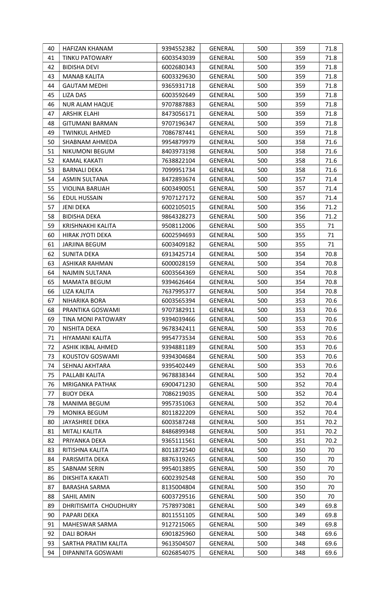| 40       | HAFIZAN KHANAM                     | 9394552382               | <b>GENERAL</b>            | 500        | 359        | 71.8         |
|----------|------------------------------------|--------------------------|---------------------------|------------|------------|--------------|
| 41       | <b>TINKU PATOWARY</b>              | 6003543039               | GENERAL                   | 500        | 359        | 71.8         |
| 42       | <b>BIDISHA DEVI</b>                | 6002680343               | <b>GENERAL</b>            | 500        | 359        | 71.8         |
| 43       | MANAB KALITA                       | 6003329630               | GENERAL                   | 500        | 359        | 71.8         |
| 44       | <b>GAUTAM MEDHI</b>                | 9365931718               | GENERAL                   | 500        | 359        | 71.8         |
| 45       | <b>LIZA DAS</b>                    | 6003592649               | GENERAL                   | 500        | 359        | 71.8         |
| 46       | <b>NUR ALAM HAQUE</b>              | 9707887883               | GENERAL                   | 500        | 359        | 71.8         |
| 47       | ARSHIK ELAHI                       | 8473056171               | <b>GENERAL</b>            | 500        | 359        | 71.8         |
| 48       | <b>GITUMANI BARMAN</b>             | 9707196347               | GENERAL                   | 500        | 359        | 71.8         |
| 49       | <b>TWINKUL AHMED</b>               | 7086787441               | GENERAL                   | 500        | 359        | 71.8         |
| 50       | SHABNAM AHMEDA                     | 9954879979               | GENERAL                   | 500        | 358        | 71.6         |
| 51       | NIKUMONI BEGUM                     | 8403973198               | GENERAL                   | 500        | 358        | 71.6         |
| 52       | KAMAL KAKATI                       | 7638822104               | GENERAL                   | 500        | 358        | 71.6         |
| 53       | <b>BARNALI DEKA</b>                | 7099951734               | GENERAL                   | 500        | 358        | 71.6         |
| 54       | <b>ASMIN SULTANA</b>               | 8472893674               | GENERAL                   | 500        | 357        | 71.4         |
| 55       | <b>VIOLINA BARUAH</b>              | 6003490051               | GENERAL                   | 500        | 357        | 71.4         |
| 56       | <b>EDUL HUSSAIN</b>                | 9707127172               | GENERAL                   | 500        | 357        | 71.4         |
| 57       | JENI DEKA                          | 6002105015               | GENERAL                   | 500        | 356        | 71.2         |
| 58       | <b>BIDISHA DEKA</b>                | 9864328273               | GENERAL                   | 500        | 356        | 71.2         |
| 59       | KRISHNAKHI KALITA                  | 9508112006               | GENERAL                   | 500        | 355        | 71           |
| 60       | HIRAK JYOTI DEKA                   | 6002594693               | GENERAL                   | 500        | 355        | 71           |
| 61       | JARJINA BEGUM                      | 6003409182               | GENERAL                   | 500        | 355        | 71           |
| 62       | SUNITA DEKA                        | 6913425714               | GENERAL                   | 500        | 354        | 70.8         |
| 63       | <b>ASHIKAR RAHMAN</b>              | 6000028159               | GENERAL                   | 500        | 354        | 70.8         |
| 64       | NAJMIN SULTANA                     | 6003564369               | GENERAL                   | 500        | 354        | 70.8         |
| 65       |                                    |                          |                           | 500        | 354        | 70.8         |
|          | MAMATA BEGUM<br><b>LIZA KALITA</b> | 9394626464               | GENERAL                   |            |            |              |
| 66<br>67 |                                    | 7637995377               | GENERAL                   | 500        | 354        | 70.8         |
| 68       | NIHARIKA BORA<br>PRANTIKA GOSWAMI  | 6003565394<br>9707382911 | GENERAL<br><b>GENERAL</b> | 500<br>500 | 353<br>353 | 70.6<br>70.6 |
|          |                                    |                          |                           |            |            |              |
| 69       | TINA MONI PATOWARY                 | 9394039466<br>9678342411 | GENERAL                   | 500        | 353        | 70.6         |
| 70       | NISHITA DEKA                       | 9954773534               | GENERAL<br><b>GENERAL</b> | 500        | 353        | 70.6         |
| 71       | HIYAMANI KALITA                    |                          |                           | 500        | 353        | 70.6         |
| 72       | ASHIK IKBAL AHMED                  | 9394881189               | <b>GENERAL</b>            | 500        | 353        | 70.6         |
| 73       | KOUSTOV GOSWAMI                    | 9394304684               | GENERAL                   | 500        | 353        | 70.6         |
| 74       | SEHNAJ AKHTARA                     | 9395402449               | <b>GENERAL</b>            | 500        | 353        | 70.6         |
| 75       | PALLABI KALITA                     | 9678838344               | GENERAL                   | 500        | 352        | 70.4         |
| 76       | <b>MRIGANKA PATHAK</b>             | 6900471230               | GENERAL                   | 500        | 352        | 70.4         |
| 77       | <b>BIJOY DEKA</b>                  | 7086219035               | GENERAL                   | 500        | 352        | 70.4         |
| 78       | MANIMA BEGUM                       | 9957351063               | <b>GENERAL</b>            | 500        | 352        | 70.4         |
| 79       | <b>MONIKA BEGUM</b>                | 8011822209               | GENERAL                   | 500        | 352        | 70.4         |
| 80       | JAYASHREE DEKA                     | 6003587248               | GENERAL                   | 500        | 351        | 70.2         |
| 81       | <b>MITALI KALITA</b>               | 8486899348               | <b>GENERAL</b>            | 500        | 351        | 70.2         |
| 82       | PRIYANKA DEKA                      | 9365111561               | GENERAL                   | 500        | 351        | 70.2         |
| 83       | RITISHNA KALITA                    | 8011872540               | GENERAL                   | 500        | 350        | 70           |
| 84       | PARISMITA DEKA                     | 8876319265               | GENERAL                   | 500        | 350        | 70           |
| 85       | <b>SABNAM SERIN</b>                | 9954013895               | GENERAL                   | 500        | 350        | 70           |
| 86       | DIKSHITA KAKATI                    | 6002392548               | GENERAL                   | 500        | 350        | 70           |
| 87       | <b>BARASHA SARMA</b>               | 8135004804               | GENERAL                   | 500        | 350        | 70           |
| 88       | SAHIL AMIN                         | 6003729516               | GENERAL                   | 500        | 350        | 70           |
| 89       | DHRITISMITA CHOUDHURY              | 7578973081               | GENERAL                   | 500        | 349        | 69.8         |
| 90       | PAPARI DEKA                        | 8011551105               | GENERAL                   | 500        | 349        | 69.8         |
| 91       | MAHESWAR SARMA                     | 9127215065               | <b>GENERAL</b>            | 500        | 349        | 69.8         |
| 92       | <b>DALI BORAH</b>                  | 6901825960               | GENERAL                   | 500        | 348        | 69.6         |
| 93       | SARTHA PRATIM KALITA               | 9613504507               | GENERAL                   | 500        | 348        | 69.6         |
| 94       | DIPANNITA GOSWAMI                  | 6026854075               | GENERAL                   | 500        | 348        | 69.6         |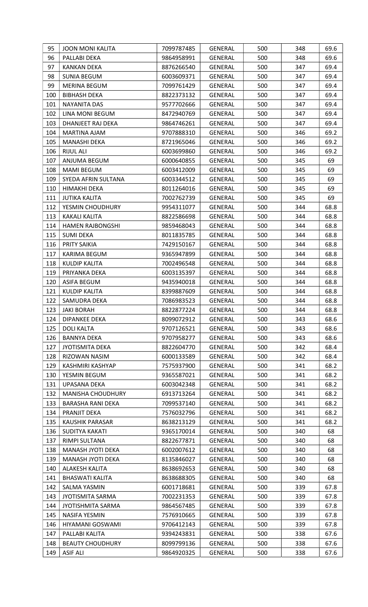| 95  | <b>JOON MONI KALITA</b>  | 7099787485 | <b>GENERAL</b> | 500 | 348 | 69.6 |
|-----|--------------------------|------------|----------------|-----|-----|------|
| 96  | PALLABI DEKA             | 9864958991 | GENERAL        | 500 | 348 | 69.6 |
| 97  | <b>KANKAN DEKA</b>       | 8876266540 | <b>GENERAL</b> | 500 | 347 | 69.4 |
| 98  | <b>SUNIA BEGUM</b>       | 6003609371 | <b>GENERAL</b> | 500 | 347 | 69.4 |
| 99  | MERINA BEGUM             | 7099761429 | GENERAL        | 500 | 347 | 69.4 |
| 100 | <b>BIBHASH DEKA</b>      | 8822373132 | GENERAL        | 500 | 347 | 69.4 |
| 101 | NAYANITA DAS             | 9577702666 | GENERAL        | 500 | 347 | 69.4 |
| 102 | LINA MONI BEGUM          | 8472940769 | GENERAL        | 500 | 347 | 69.4 |
| 103 | DHANJEET RAJ DEKA        | 9864746261 | <b>GENERAL</b> | 500 | 347 | 69.4 |
| 104 | MARTINA AJAM             | 9707888310 | GENERAL        | 500 | 346 | 69.2 |
| 105 | MANASHI DEKA             | 8721965046 | GENERAL        | 500 | 346 | 69.2 |
| 106 | <b>RIJUL ALI</b>         | 6003699860 | <b>GENERAL</b> | 500 | 346 | 69.2 |
| 107 | ANJUMA BEGUM             | 6000640855 | GENERAL        | 500 | 345 | 69   |
| 108 | <b>MAMI BEGUM</b>        | 6003412009 | GENERAL        | 500 | 345 | 69   |
| 109 | SYEDA AFRIN SULTANA      | 6003344512 | GENERAL        | 500 | 345 | 69   |
| 110 | HIMAKHI DEKA             | 8011264016 | GENERAL        | 500 | 345 | 69   |
| 111 | <b>JUTIKA KALITA</b>     | 7002762739 | GENERAL        | 500 | 345 | 69   |
| 112 | YESMIN CHOUDHURY         | 9954311077 | GENERAL        | 500 | 344 | 68.8 |
| 113 | <b>KAKALI KALITA</b>     | 8822586698 | <b>GENERAL</b> | 500 | 344 | 68.8 |
| 114 | <b>HAMEN RAJBONGSHI</b>  | 9859468043 | GENERAL        | 500 | 344 | 68.8 |
| 115 | <b>SUMI DEKA</b>         | 8011835785 | GENERAL        | 500 | 344 | 68.8 |
| 116 | PRITY SAIKIA             | 7429150167 | GENERAL        | 500 | 344 | 68.8 |
| 117 | KARIMA BEGUM             | 9365947899 | GENERAL        | 500 | 344 | 68.8 |
| 118 | <b>KULDIP KALITA</b>     | 7002496548 | GENERAL        | 500 | 344 | 68.8 |
| 119 | PRIYANKA DEKA            | 6003135397 | GENERAL        | 500 | 344 | 68.8 |
| 120 | ASIFA BEGUM              | 9435940018 | GENERAL        | 500 | 344 | 68.8 |
| 121 | <b>KULDIP KALITA</b>     | 8399887609 | GENERAL        | 500 | 344 | 68.8 |
| 122 | SAMUDRA DEKA             | 7086983523 | GENERAL        | 500 | 344 | 68.8 |
| 123 | <b>JAKI BORAH</b>        | 8822877224 | <b>GENERAL</b> | 500 | 344 | 68.8 |
| 124 | <b>DIPANKEE DEKA</b>     | 8099072912 | <b>GENERAL</b> | 500 | 343 | 68.6 |
| 125 | <b>DOLI KALTA</b>        | 9707126521 | GENERAL        | 500 | 343 | 68.6 |
| 126 | <b>BANNYA DEKA</b>       | 9707958277 | GENERAL        | 500 | 343 | 68.6 |
| 127 | <b>JYOTISMITA DEKA</b>   | 8822604770 | GENERAL        | 500 | 342 | 68.4 |
| 128 | RIZOWAN NASIM            | 6000133589 | <b>GENERAL</b> | 500 | 342 | 68.4 |
| 129 | KASHMIRI KASHYAP         | 7575937900 | GENERAL        | 500 | 341 | 68.2 |
| 130 | YESMIN BEGUM             | 9365587021 | <b>GENERAL</b> | 500 | 341 | 68.2 |
| 131 | UPASANA DEKA             | 6003042348 | GENERAL        | 500 | 341 | 68.2 |
| 132 | <b>MANISHA CHOUDHURY</b> | 6913713264 | GENERAL        | 500 | 341 | 68.2 |
| 133 | <b>BARASHA RANI DEKA</b> | 7099537140 | <b>GENERAL</b> | 500 | 341 | 68.2 |
| 134 | PRANJIT DEKA             | 7576032796 | <b>GENERAL</b> | 500 | 341 | 68.2 |
| 135 | <b>KAUSHIK PARASAR</b>   | 8638213129 | GENERAL        | 500 | 341 | 68.2 |
| 136 | SUDITYA KAKATI           | 9365170014 | <b>GENERAL</b> | 500 | 340 | 68   |
| 137 | RIMPI SULTANA            | 8822677871 | GENERAL        | 500 | 340 | 68   |
| 138 | MANASH JYOTI DEKA        | 6002007612 | GENERAL        | 500 | 340 | 68   |
| 139 | MANASH JYOTI DEKA        | 8135846027 | GENERAL        | 500 | 340 | 68   |
| 140 | ALAKESH KALITA           | 8638692653 | <b>GENERAL</b> | 500 | 340 | 68   |
| 141 | <b>BHASWATI KALITA</b>   | 8638688305 | GENERAL        | 500 | 340 | 68   |
| 142 | <b>SALMA YASMIN</b>      | 6001718681 | GENERAL        | 500 | 339 | 67.8 |
| 143 | <b>JYOTISMITA SARMA</b>  | 7002231353 | GENERAL        | 500 | 339 | 67.8 |
| 144 | <b>JYOTISHMITA SARMA</b> | 9864567485 | <b>GENERAL</b> | 500 | 339 | 67.8 |
| 145 | <b>NASIFA YESMIN</b>     | 7576910665 | <b>GENERAL</b> | 500 | 339 | 67.8 |
| 146 | <b>HIYAMANI GOSWAMI</b>  | 9706412143 | GENERAL        | 500 | 339 | 67.8 |
| 147 | PALLABI KALITA           | 9394243831 | <b>GENERAL</b> | 500 | 338 | 67.6 |
| 148 | <b>BEAUTY CHOUDHURY</b>  | 8099799136 | <b>GENERAL</b> | 500 | 338 | 67.6 |
| 149 | <b>ASIF ALI</b>          | 9864920325 | GENERAL        | 500 | 338 | 67.6 |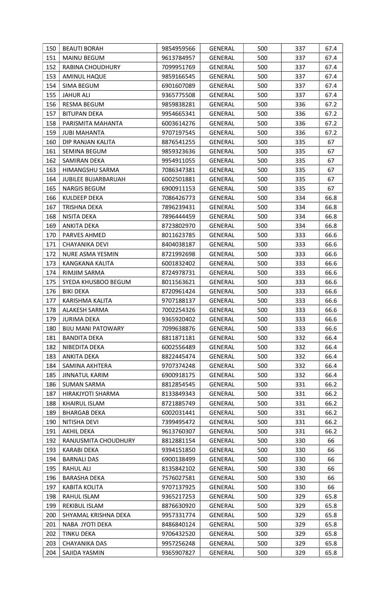| 150 | <b>BEAUTI BORAH</b>        | 9854959566 | GENERAL        | 500 | 337 | 67.4 |
|-----|----------------------------|------------|----------------|-----|-----|------|
| 151 | <b>MAINU BEGUM</b>         | 9613784957 | <b>GENERAL</b> | 500 | 337 | 67.4 |
| 152 | RABINA CHOUDHURY           | 7099951769 | <b>GENERAL</b> | 500 | 337 | 67.4 |
| 153 | <b>AMINUL HAQUE</b>        | 9859166545 | <b>GENERAL</b> | 500 | 337 | 67.4 |
| 154 | SIMA BEGUM                 | 6901607089 | <b>GENERAL</b> | 500 | 337 | 67.4 |
| 155 | <b>JAHUR ALI</b>           | 9365775508 | <b>GENERAL</b> | 500 | 337 | 67.4 |
| 156 | <b>RESMA BEGUM</b>         | 9859838281 | GENERAL        | 500 | 336 | 67.2 |
| 157 | <b>BITUPAN DEKA</b>        | 9954665341 | GENERAL        | 500 | 336 | 67.2 |
| 158 | PARISMITA MAHANTA          | 6003614276 | <b>GENERAL</b> | 500 | 336 | 67.2 |
| 159 | <b>JUBI MAHANTA</b>        | 9707197545 | <b>GENERAL</b> | 500 | 336 | 67.2 |
| 160 | DIP RANJAN KALITA          | 8876541255 | GENERAL        | 500 | 335 | 67   |
| 161 | <b>SEMINA BEGUM</b>        | 9859323636 | <b>GENERAL</b> | 500 | 335 | 67   |
| 162 | SAMIRAN DEKA               | 9954911055 | <b>GENERAL</b> | 500 | 335 | 67   |
| 163 | HIMANGSHU SARMA            | 7086347381 | GENERAL        | 500 | 335 | 67   |
| 164 | <b>JUBILEE BUJARBARUAH</b> | 6002501881 | <b>GENERAL</b> | 500 | 335 | 67   |
| 165 | <b>NARGIS BEGUM</b>        | 6900911153 | <b>GENERAL</b> | 500 | 335 | 67   |
| 166 | KULDEEP DEKA               | 7086426773 | <b>GENERAL</b> | 500 | 334 | 66.8 |
| 167 | TRISHNA DEKA               | 7896239431 | GENERAL        | 500 | 334 | 66.8 |
| 168 | NISITA DEKA                | 7896444459 | GENERAL        | 500 | 334 | 66.8 |
| 169 | <b>ANKITA DEKA</b>         | 8723802970 | <b>GENERAL</b> | 500 | 334 | 66.8 |
| 170 | PARVES AHMED               | 8011623785 | <b>GENERAL</b> | 500 | 333 | 66.6 |
| 171 | CHAYANIKA DEVI             | 8404038187 | <b>GENERAL</b> | 500 | 333 | 66.6 |
| 172 | NURE ASMA YESMIN           | 8721992698 | <b>GENERAL</b> | 500 | 333 | 66.6 |
| 173 | KANGKANA KALITA            | 6001832402 | GENERAL        | 500 | 333 | 66.6 |
| 174 | RIMJIM SARMA               | 8724978731 | GENERAL        | 500 | 333 | 66.6 |
| 175 | SYEDA KHUSBOO BEGUM        | 8011563621 | GENERAL        | 500 | 333 | 66.6 |
| 176 | <b>BIKI DEKA</b>           | 8720961424 | <b>GENERAL</b> | 500 | 333 | 66.6 |
| 177 | KARISHMA KALITA            | 9707188137 | <b>GENERAL</b> | 500 | 333 | 66.6 |
| 178 | ALAKESH SARMA              | 7002254326 | <b>GENERAL</b> | 500 | 333 | 66.6 |
| 179 | <b>JURIMA DEKA</b>         | 9365920402 | <b>GENERAL</b> | 500 | 333 | 66.6 |
| 180 | <b>BIJU MANI PATOWARY</b>  | 7099638876 | <b>GENERAL</b> | 500 | 333 | 66.6 |
| 181 | <b>BANDITA DEKA</b>        | 8811871181 | <b>GENERAL</b> | 500 | 332 | 66.4 |
| 182 | NIBEDITA DEKA              | 6002556489 | GENERAL        | 500 | 332 | 66.4 |
| 183 | <b>ANKITA DEKA</b>         | 8822445474 | <b>GENERAL</b> | 500 | 332 | 66.4 |
| 184 | SAMINA AKHTERA             | 9707374248 | GENERAL        | 500 | 332 | 66.4 |
| 185 | <b>JINNATUL KARIM</b>      | 6900918175 | <b>GENERAL</b> | 500 | 332 | 66.4 |
| 186 | <b>SUMAN SARMA</b>         | 8812854545 | <b>GENERAL</b> | 500 | 331 | 66.2 |
| 187 | HIRAKJYOTI SHARMA          | 8133849343 | GENERAL        | 500 | 331 | 66.2 |
| 188 | <b>KHAIRUL ISLAM</b>       | 8721885749 | <b>GENERAL</b> | 500 | 331 | 66.2 |
| 189 | <b>BHARGAB DEKA</b>        | 6002031441 | GENERAL        | 500 | 331 | 66.2 |
| 190 | NITISHA DEVI               | 7399495472 | <b>GENERAL</b> | 500 | 331 | 66.2 |
| 191 | <b>AKHIL DEKA</b>          | 9613760307 | <b>GENERAL</b> | 500 | 331 | 66.2 |
| 192 | RANJUSMITA CHOUDHURY       | 8812881154 | GENERAL        | 500 | 330 | 66   |
| 193 | KARABI DEKA                | 9394151850 | <b>GENERAL</b> | 500 | 330 | 66   |
| 194 | <b>BARNALI DAS</b>         | 6900138499 | GENERAL        | 500 | 330 | 66   |
| 195 | <b>RAHUL ALI</b>           | 8135842102 | <b>GENERAL</b> | 500 | 330 | 66   |
| 196 | <b>BARASHA DEKA</b>        | 7576027581 | <b>GENERAL</b> | 500 | 330 | 66   |
| 197 | <b>KABITA KOLITA</b>       | 9707137925 | <b>GENERAL</b> | 500 | 330 | 66   |
| 198 | RAHUL ISLAM                | 9365217253 | GENERAL        | 500 | 329 | 65.8 |
| 199 | REKIBUL ISLAM              | 8876630920 | <b>GENERAL</b> | 500 | 329 | 65.8 |
| 200 | SHYAMAL KRISHNA DEKA       | 9957331774 | <b>GENERAL</b> | 500 | 329 | 65.8 |
| 201 | NABA JYOTI DEKA            | 8486840124 | <b>GENERAL</b> | 500 | 329 | 65.8 |
| 202 | <b>TINKU DEKA</b>          | 9706432520 | <b>GENERAL</b> | 500 | 329 | 65.8 |
| 203 | CHAYANIKA DAS              | 9957256248 | <b>GENERAL</b> | 500 | 329 | 65.8 |
| 204 | SAJIDA YASMIN              | 9365907827 | <b>GENERAL</b> | 500 | 329 | 65.8 |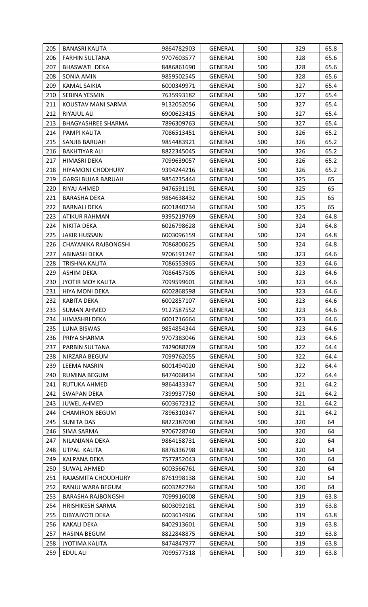| 205        | <b>BANASRI KALITA</b>     | 9864782903 | <b>GENERAL</b>                   | 500 | 329        | 65.8         |
|------------|---------------------------|------------|----------------------------------|-----|------------|--------------|
| 206        | <b>FARHIN SULTANA</b>     | 9707603577 | <b>GENERAL</b>                   | 500 | 328        | 65.6         |
| 207        | <b>BHASWATI DEKA</b>      | 8486861690 | GENERAL                          | 500 | 328        | 65.6         |
| 208        | <b>SONIA AMIN</b>         | 9859502545 | GENERAL                          | 500 | 328        | 65.6         |
| 209        | <b>KAMAL SAIKIA</b>       | 6000349971 | <b>GENERAL</b>                   | 500 | 327        | 65.4         |
| 210        | SEBINA YESMIN             | 7635993182 | <b>GENERAL</b>                   | 500 | 327        | 65.4         |
| 211        | KOUSTAV MANI SARMA        | 9132052056 | GENERAL                          | 500 | 327        | 65.4         |
| 212        | RIYAJUL ALI               | 6900623415 | GENERAL                          | 500 | 327        | 65.4         |
| 213        | <b>BHAGYASHREE SHARMA</b> | 7896309763 | GENERAL                          | 500 | 327        | 65.4         |
| 214        | PAMPI KALITA              | 7086513451 | <b>GENERAL</b>                   | 500 | 326        | 65.2         |
| 215        | SANJIB BARUAH             | 9854483921 | <b>GENERAL</b>                   | 500 | 326        | 65.2         |
| 216        | <b>BAKHTIYAR ALI</b>      | 8822345045 | <b>GENERAL</b>                   | 500 | 326        | 65.2         |
| 217        | HIMASRI DEKA              | 7099639057 | GENERAL                          | 500 | 326        | 65.2         |
| 218        | <b>HIYAMONI CHODHURY</b>  | 9394244216 | GENERAL                          | 500 | 326        | 65.2         |
| 219        | <b>GARGI BUJAR BARUAH</b> | 9854235444 | GENERAL                          | 500 | 325        | 65           |
| 220        | RIYAJ AHMED               | 9476591191 | <b>GENERAL</b>                   | 500 | 325        | 65           |
| 221        | BARASHA DEKA              | 9864638432 | <b>GENERAL</b>                   | 500 | 325        | 65           |
| 222        | <b>BARNALI DEKA</b>       | 6001840734 | <b>GENERAL</b>                   | 500 | 325        | 65           |
| 223        | <b>ATIKUR RAHMAN</b>      | 9395219769 | <b>GENERAL</b>                   | 500 | 324        | 64.8         |
| 224        | NIKITA DEKA               | 6026798628 | <b>GENERAL</b>                   | 500 | 324        | 64.8         |
| 225        | <b>JAKIR HUSSAIN</b>      | 6003096159 | <b>GENERAL</b>                   | 500 | 324        | 64.8         |
| 226        | CHAYANIKA RAJBONGSHI      | 7086800625 | GENERAL                          | 500 | 324        | 64.8         |
| 227        | ABINASH DEKA              | 9706191247 | GENERAL                          | 500 | 323        | 64.6         |
| 228        | TRISHNA KALITA            | 7086553965 | GENERAL                          | 500 | 323        | 64.6         |
| 229        |                           |            |                                  |     |            | 64.6         |
|            | ASHIM DEKA                | 7086457505 | GENERAL                          | 500 | 323        |              |
| 230        | <b>JYOTIR MOY KALITA</b>  | 7099599601 | GENERAL                          | 500 | 323        | 64.6         |
| 231        | <b>HIYA MONI DEKA</b>     | 6002868598 | <b>GENERAL</b>                   | 500 | 323        | 64.6         |
| 232<br>233 | KABITA DEKA               | 6002857107 | <b>GENERAL</b><br><b>GENERAL</b> | 500 | 323<br>323 | 64.6<br>64.6 |
|            | <b>SUMAN AHMED</b>        | 9127587552 |                                  | 500 |            |              |
| 234        | HIMASHRI DEKA             | 6001716664 | GENERAL                          | 500 | 323        | 64.6         |
| 235        | LUNA BISWAS               | 9854854344 | <b>GENERAL</b>                   | 500 | 323        | 64.6         |
| 236        | PRIYA SHARMA              | 9707383046 | <b>GENERAL</b>                   | 500 | 323        | 64.6         |
| 237        | PARBIN SULTANA            | 7429088769 | GENERAL                          | 500 | 322        | 64.4         |
| 238        | NIRZARA BEGUM             | 7099762055 | <b>GENERAL</b>                   | 500 | 322        | 64.4         |
| 239        | <b>LEEMA NASRIN</b>       | 6001494020 | <b>GENERAL</b>                   | 500 | 322        | 64.4         |
| 240        | <b>RUMINA BEGUM</b>       | 8474068434 | <b>GENERAL</b>                   | 500 | 322        | 64.4         |
| 241        | RUTUKA AHMED              | 9864433347 | GENERAL                          | 500 | 321        | 64.2         |
| 242        | <b>SWAPAN DEKA</b>        | 7399937750 | GENERAL                          | 500 | 321        | 64.2         |
| 243        | <b>JUWEL AHMED</b>        | 6003672312 | <b>GENERAL</b>                   | 500 | 321        | 64.2         |
| 244        | <b>CHAMIRON BEGUM</b>     | 7896310347 | GENERAL                          | 500 | 321        | 64.2         |
| 245        | <b>SUNITA DAS</b>         | 8822387090 | <b>GENERAL</b>                   | 500 | 320        | 64           |
| 246        | SIMA SARMA                | 9706728740 | <b>GENERAL</b>                   | 500 | 320        | 64           |
| 247        | NILANJANA DEKA            | 9864158731 | GENERAL                          | 500 | 320        | 64           |
| 248        | UTPAL KALITA              | 8876336798 | GENERAL                          | 500 | 320        | 64           |
| 249        | <b>KALPANA DEKA</b>       | 7577852043 | <b>GENERAL</b>                   | 500 | 320        | 64           |
| 250        | <b>SUWAL AHMED</b>        | 6003566761 | GENERAL                          | 500 | 320        | 64           |
| 251        | RAJASMITA CHOUDHURY       | 8761998138 | <b>GENERAL</b>                   | 500 | 320        | 64           |
| 252        | RANJU WARA BEGUM          | 6003282784 | <b>GENERAL</b>                   | 500 | 320        | 64           |
| 253        | <b>BARASHA RAJBONGSHI</b> | 7099916008 | GENERAL                          | 500 | 319        | 63.8         |
| 254        | <b>HRISHIKESH SARMA</b>   | 6003092181 | GENERAL                          | 500 | 319        | 63.8         |
| 255        | DIBYAJYOTI DEKA           | 6003614966 | <b>GENERAL</b>                   | 500 | 319        | 63.8         |
| 256        | <b>KAKALI DEKA</b>        | 8402913601 | GENERAL                          | 500 | 319        | 63.8         |
| 257        | <b>HASINA BEGUM</b>       | 8822848875 | <b>GENERAL</b>                   | 500 | 319        | 63.8         |
| 258        | <b>JYOTIMA KALITA</b>     | 8474847977 | GENERAL                          | 500 | 319        | 63.8         |
| 259        | EDUL ALI                  | 7099577518 | GENERAL                          | 500 | 319        | 63.8         |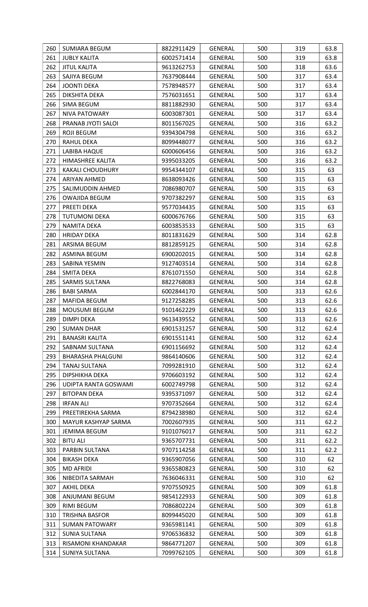| 260 | SUMIARA BEGUM            | 8822911429 | <b>GENERAL</b> | 500 | 319 | 63.8 |
|-----|--------------------------|------------|----------------|-----|-----|------|
| 261 | <b>JUBLY KALITA</b>      | 6002571414 | GENERAL        | 500 | 319 | 63.8 |
| 262 | <b>JITUL KALITA</b>      | 9613262753 | GENERAL        | 500 | 318 | 63.6 |
| 263 | SAJIYA BEGUM             | 7637908444 | <b>GENERAL</b> | 500 | 317 | 63.4 |
| 264 | <b>JOONTI DEKA</b>       | 7578948577 | <b>GENERAL</b> | 500 | 317 | 63.4 |
| 265 | DIKSHITA DEKA            | 7576031651 | GENERAL        | 500 | 317 | 63.4 |
| 266 | SIMA BEGUM               | 8811882930 | GENERAL        | 500 | 317 | 63.4 |
| 267 | NIVA PATOWARY            | 6003087301 | GENERAL        | 500 | 317 | 63.4 |
| 268 | PRANAB JYOTI SALOI       | 8011567025 | GENERAL        | 500 | 316 | 63.2 |
| 269 | <b>ROJI BEGUM</b>        | 9394304798 | <b>GENERAL</b> | 500 | 316 | 63.2 |
| 270 | RAHUL DEKA               | 8099448077 | GENERAL        | 500 | 316 | 63.2 |
| 271 | LABIBA HAQUE             | 6000606456 | <b>GENERAL</b> | 500 | 316 | 63.2 |
| 272 | HIMASHREE KALITA         | 9395033205 | <b>GENERAL</b> | 500 | 316 | 63.2 |
| 273 | <b>KAKALI CHOUDHURY</b>  | 9954344107 | GENERAL        | 500 | 315 | 63   |
| 274 | ARIYAN AHMED             | 8638093426 | <b>GENERAL</b> | 500 | 315 | 63   |
| 275 | SALIMUDDIN AHMED         | 7086980707 | <b>GENERAL</b> | 500 | 315 | 63   |
| 276 | <b>OWAJIDA BEGUM</b>     | 9707382297 | GENERAL        | 500 | 315 | 63   |
| 277 | PREETI DEKA              | 9577034435 | GENERAL        | 500 | 315 | 63   |
| 278 | <b>TUTUMONI DEKA</b>     | 6000676766 | <b>GENERAL</b> | 500 | 315 | 63   |
| 279 | NAMITA DEKA              | 6003853533 | GENERAL        | 500 | 315 | 63   |
| 280 | HRIDAY DEKA              | 8011831629 | <b>GENERAL</b> | 500 | 314 | 62.8 |
| 281 | ARSIMA BEGUM             | 8812859125 | <b>GENERAL</b> | 500 | 314 | 62.8 |
| 282 | ASMINA BEGUM             | 6900202015 | GENERAL        | 500 | 314 | 62.8 |
| 283 | SABINA YESMIN            | 9127403514 | GENERAL        | 500 | 314 | 62.8 |
| 284 | SMITA DEKA               | 8761071550 | GENERAL        | 500 | 314 | 62.8 |
| 285 | SARMIS SULTANA           | 8822768083 | <b>GENERAL</b> | 500 | 314 | 62.8 |
| 286 | <b>BABI SARMA</b>        | 6002844170 | <b>GENERAL</b> | 500 | 313 | 62.6 |
| 287 | MAFIDA BEGUM             | 9127258285 | <b>GENERAL</b> | 500 | 313 | 62.6 |
| 288 | MOUSUMI BEGUM            | 9101462229 | <b>GENERAL</b> | 500 | 313 | 62.6 |
| 289 | <b>DIMPI DEKA</b>        | 9613439552 | <b>GENERAL</b> | 500 | 313 | 62.6 |
| 290 | <b>SUMAN DHAR</b>        | 6901531257 | <b>GENERAL</b> | 500 | 312 | 62.4 |
| 291 | <b>BANASRI KALITA</b>    | 6901551141 | <b>GENERAL</b> | 500 | 312 | 62.4 |
| 292 | SABNAM SULTANA           | 6901156692 | <b>GENERAL</b> | 500 | 312 | 62.4 |
| 293 | <b>BHARASHA PHALGUNI</b> | 9864140606 | <b>GENERAL</b> | 500 | 312 | 62.4 |
| 294 | TANAJ SULTANA            | 7099281910 | <b>GENERAL</b> | 500 | 312 | 62.4 |
| 295 | DIPSHIKHA DEKA           | 9706603192 | GENERAL        | 500 | 312 | 62.4 |
| 296 | UDIPTA RANTA GOSWAMI     | 6002749798 | <b>GENERAL</b> | 500 | 312 | 62.4 |
| 297 | <b>BITOPAN DEKA</b>      | 9395371097 | GENERAL        | 500 | 312 | 62.4 |
| 298 | <b>IRFAN ALI</b>         | 9707352664 | GENERAL        | 500 | 312 | 62.4 |
| 299 | PREETIREKHA SARMA        | 8794238980 | <b>GENERAL</b> | 500 | 312 | 62.4 |
| 300 | MAYUR KASHYAP SARMA      | 7002607935 | <b>GENERAL</b> | 500 | 311 | 62.2 |
| 301 | JEMIMA BEGUM             | 9101076017 | <b>GENERAL</b> | 500 | 311 | 62.2 |
| 302 | <b>BITU ALI</b>          | 9365707731 | <b>GENERAL</b> | 500 | 311 | 62.2 |
| 303 | PARBIN SULTANA           | 9707114258 | GENERAL        | 500 | 311 | 62.2 |
| 304 | <b>BIKASH DEKA</b>       | 9365907056 | GENERAL        | 500 | 310 | 62   |
| 305 | <b>MD AFRIDI</b>         | 9365580823 | <b>GENERAL</b> | 500 | 310 | 62   |
| 306 | NIBEDITA SARMAH          | 7636046331 | <b>GENERAL</b> | 500 | 310 | 62   |
| 307 | AKHIL DEKA               | 9707550925 | GENERAL        | 500 | 309 | 61.8 |
| 308 | ANJUMANI BEGUM           | 9854122933 | <b>GENERAL</b> | 500 | 309 | 61.8 |
| 309 | RIMI BEGUM               | 7086802224 | GENERAL        | 500 | 309 | 61.8 |
| 310 | <b>TRISHNA BASFOR</b>    | 8099445020 | <b>GENERAL</b> | 500 | 309 | 61.8 |
| 311 | <b>SUMAN PATOWARY</b>    | 9365981141 | <b>GENERAL</b> | 500 | 309 | 61.8 |
| 312 | <b>SUNIA SULTANA</b>     | 9706536832 | <b>GENERAL</b> | 500 | 309 | 61.8 |
| 313 | RISAMONI KHANDAKAR       | 9864771207 | GENERAL        | 500 | 309 | 61.8 |
| 314 | SUNIYA SULTANA           | 7099762105 | GENERAL        | 500 | 309 | 61.8 |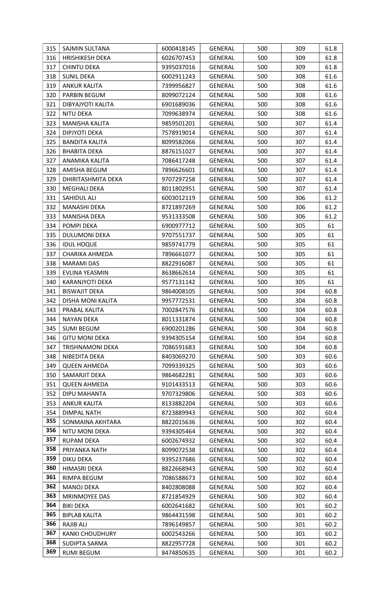| 315 | SAJMIN SULTANA          | 6000418145 | <b>GENERAL</b> | 500 | 309 | 61.8 |
|-----|-------------------------|------------|----------------|-----|-----|------|
| 316 | <b>HRISHIKESH DEKA</b>  | 6026707453 | GENERAL        | 500 | 309 | 61.8 |
| 317 | <b>CHINTU DEKA</b>      | 9395037016 | <b>GENERAL</b> | 500 | 309 | 61.8 |
| 318 | <b>SUNIL DEKA</b>       | 6002911243 | <b>GENERAL</b> | 500 | 308 | 61.6 |
| 319 | <b>ANKUR KALITA</b>     | 7399956827 | <b>GENERAL</b> | 500 | 308 | 61.6 |
| 320 | PARBIN BEGUM            | 8099072124 | <b>GENERAL</b> | 500 | 308 | 61.6 |
| 321 | DIBYAJYOTI KALITA       | 6901689036 | GENERAL        | 500 | 308 | 61.6 |
| 322 | NITU DEKA               | 7099638974 | GENERAL        | 500 | 308 | 61.6 |
| 323 | MANISHA KALITA          | 9859501201 | GENERAL        | 500 | 307 | 61.4 |
| 324 | DIPJYOTI DEKA           | 7578919014 | <b>GENERAL</b> | 500 | 307 | 61.4 |
| 325 | <b>BANDITA KALITA</b>   | 8099582066 | <b>GENERAL</b> | 500 | 307 | 61.4 |
| 326 | <b>BHABITA DEKA</b>     | 8876151027 | <b>GENERAL</b> | 500 | 307 | 61.4 |
| 327 | ANAMIKA KALITA          | 7086417248 | <b>GENERAL</b> | 500 | 307 | 61.4 |
| 328 | AMISHA BEGUM            | 7896626601 | GENERAL        | 500 | 307 | 61.4 |
| 329 | DHIRITASHMITA DEKA      | 9707297258 | GENERAL        | 500 | 307 | 61.4 |
| 330 | MEGHALI DEKA            | 8011802951 | <b>GENERAL</b> | 500 | 307 | 61.4 |
| 331 | SAHIDUL ALI             | 6003012119 | <b>GENERAL</b> | 500 | 306 | 61.2 |
| 332 | MANASHI DEKA            | 8721897269 | <b>GENERAL</b> | 500 | 306 | 61.2 |
| 333 | <b>MANISHA DEKA</b>     | 9531333508 | <b>GENERAL</b> | 500 | 306 | 61.2 |
| 334 | POMPI DEKA              | 6900977712 | <b>GENERAL</b> | 500 | 305 | 61   |
| 335 | DULUMONI DEKA           | 9707551737 | <b>GENERAL</b> | 500 | 305 | 61   |
| 336 | <b>IDUL HOQUE</b>       | 9859741779 | GENERAL        | 500 | 305 | 61   |
| 337 | CHARIKA AHMEDA          | 7896661077 | <b>GENERAL</b> | 500 | 305 | 61   |
| 338 | <b>MARAMI DAS</b>       | 8822916087 | GENERAL        | 500 | 305 | 61   |
| 339 | EVLINA YEASMIN          | 8638662614 | GENERAL        | 500 | 305 | 61   |
| 340 | KARANJYOTI DEKA         | 9577131142 | GENERAL        | 500 | 305 | 61   |
| 341 | <b>BISWAJIT DEKA</b>    | 9864008105 | GENERAL        | 500 | 304 | 60.8 |
| 342 | DISHA MONI KALITA       | 9957772531 | <b>GENERAL</b> | 500 | 304 | 60.8 |
| 343 | PRABAL KALITA           | 7002847576 | <b>GENERAL</b> | 500 | 304 | 60.8 |
| 344 | NAYAN DEKA              | 8011331874 | <b>GENERAL</b> | 500 | 304 | 60.8 |
| 345 | <b>SUMI BEGUM</b>       | 6900201286 | <b>GENERAL</b> | 500 | 304 | 60.8 |
| 346 | <b>GITU MONI DEKA</b>   | 9394305154 | <b>GENERAL</b> | 500 | 304 | 60.8 |
| 347 | <b>TRISHNAMONI DEKA</b> | 7086591683 | GENERAL        | 500 | 304 | 60.8 |
| 348 | NIBEDITA DEKA           | 8403069270 | <b>GENERAL</b> | 500 | 303 | 60.6 |
| 349 | <b>QUEEN AHMEDA</b>     | 7099339325 | <b>GENERAL</b> | 500 | 303 | 60.6 |
| 350 | SAMARJIT DEKA           | 9864682281 | <b>GENERAL</b> | 500 | 303 | 60.6 |
| 351 | <b>QUEEN AHMEDA</b>     | 9101433513 | <b>GENERAL</b> | 500 | 303 | 60.6 |
| 352 | DIPU MAHANTA            | 9707329806 | <b>GENERAL</b> | 500 | 303 | 60.6 |
| 353 | <b>ANKUR KALITA</b>     | 8133882204 | <b>GENERAL</b> | 500 | 303 | 60.6 |
| 354 | <b>DIMPAL NATH</b>      | 8723889943 | GENERAL        | 500 | 302 | 60.4 |
| 355 | SONMAINA AKHTARA        | 8822015636 | <b>GENERAL</b> | 500 | 302 | 60.4 |
| 356 | NITU MONI DEKA          | 9394305464 | <b>GENERAL</b> | 500 | 302 | 60.4 |
| 357 | <b>RUPAM DEKA</b>       | 6002674932 | GENERAL        | 500 | 302 | 60.4 |
| 358 | PRIYANKA NATH           | 8099072538 | GENERAL        | 500 | 302 | 60.4 |
| 359 | <b>DIKU DEKA</b>        | 9395237686 | <b>GENERAL</b> | 500 | 302 | 60.4 |
| 360 | HIMASRI DEKA            | 8822668943 | <b>GENERAL</b> | 500 | 302 | 60.4 |
| 361 | RIMPA BEGUM             | 7086588673 | <b>GENERAL</b> | 500 | 302 | 60.4 |
| 362 | <b>MANOJ DEKA</b>       | 8402808088 | <b>GENERAL</b> | 500 | 302 | 60.4 |
| 363 | MRINMOYEE DAS           | 8721854929 | GENERAL        | 500 | 302 | 60.4 |
| 364 | <b>BIKI DEKA</b>        | 6002641682 | <b>GENERAL</b> | 500 | 301 | 60.2 |
| 365 | <b>BIPLAB KALITA</b>    | 9864431598 | GENERAL        | 500 | 301 | 60.2 |
| 366 | <b>RAJIB ALI</b>        | 7896149857 | GENERAL        | 500 | 301 | 60.2 |
| 367 | <b>KANKI CHOUDHURY</b>  | 6002543266 | <b>GENERAL</b> | 500 | 301 | 60.2 |
| 368 | SUDIPTA SARMA           | 8822957728 | GENERAL        | 500 | 301 | 60.2 |
| 369 | <b>RUMI BEGUM</b>       | 8474850635 | GENERAL        | 500 | 301 | 60.2 |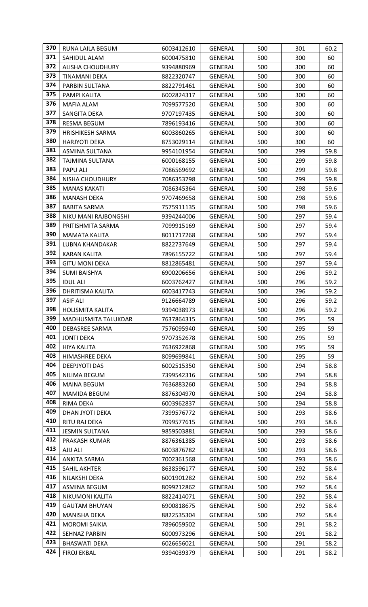| 370 | RUNA LAILA BEGUM        | 6003412610 | <b>GENERAL</b> | 500 | 301 | 60.2 |
|-----|-------------------------|------------|----------------|-----|-----|------|
| 371 | SAHIDUL ALAM            | 6000475810 | <b>GENERAL</b> | 500 | 300 | 60   |
| 372 | <b>ALISHA CHOUDHURY</b> | 9394880969 | <b>GENERAL</b> | 500 | 300 | 60   |
| 373 | TINAMANI DEKA           | 8822320747 | <b>GENERAL</b> | 500 | 300 | 60   |
| 374 | PARBIN SULTANA          | 8822791461 | GENERAL        | 500 | 300 | 60   |
| 375 | PAMPI KALITA            | 6002824317 | GENERAL        | 500 | 300 | 60   |
| 376 | MAFIA ALAM              | 7099577520 | <b>GENERAL</b> | 500 | 300 | 60   |
| 377 | SANGITA DEKA            | 9707197435 | <b>GENERAL</b> | 500 | 300 | 60   |
| 378 | <b>RESMA BEGUM</b>      | 7896193416 | GENERAL        | 500 | 300 | 60   |
| 379 | <b>HRISHIKESH SARMA</b> | 6003860265 | GENERAL        | 500 | 300 | 60   |
| 380 | <b>HARJYOTI DEKA</b>    | 8753029114 | GENERAL        | 500 | 300 | 60   |
| 381 | ASMINA SULTANA          | 9954101954 | GENERAL        | 500 | 299 | 59.8 |
| 382 | TAJMINA SULTANA         | 6000168155 | <b>GENERAL</b> | 500 | 299 | 59.8 |
| 383 | <b>PAPU ALI</b>         | 7086569692 | GENERAL        | 500 | 299 | 59.8 |
| 384 | NISHA CHOUDHURY         | 7086353798 | GENERAL        | 500 | 299 | 59.8 |
| 385 | <b>MANAS KAKATI</b>     | 7086345364 | GENERAL        | 500 | 298 | 59.6 |
| 386 | <b>MANASH DEKA</b>      | 9707469658 | GENERAL        | 500 | 298 | 59.6 |
| 387 | <b>BABITA SARMA</b>     | 7575911135 | GENERAL        | 500 | 298 | 59.6 |
| 388 | NIKU MANI RAJBONGSHI    | 9394244006 | <b>GENERAL</b> | 500 | 297 | 59.4 |
| 389 | PRITISHMITA SARMA       | 7099915169 | <b>GENERAL</b> | 500 | 297 | 59.4 |
| 390 | MAMATA KALITA           | 8011717268 | GENERAL        | 500 | 297 | 59.4 |
| 391 | LUBNA KHANDAKAR         | 8822737649 | GENERAL        | 500 | 297 | 59.4 |
| 392 | <b>KARAN KALITA</b>     | 7896155722 | GENERAL        | 500 | 297 | 59.4 |
| 393 | <b>GITU MONI DEKA</b>   | 8812865481 | GENERAL        | 500 | 297 | 59.4 |
| 394 | <b>SUMI BAISHYA</b>     | 6900206656 | GENERAL        | 500 | 296 | 59.2 |
| 395 | <b>IDUL ALI</b>         | 6003762427 | GENERAL        | 500 | 296 | 59.2 |
| 396 | <b>DHRITISMA KALITA</b> | 6003417743 | GENERAL        | 500 | 296 | 59.2 |
| 397 | <b>ASIF ALI</b>         | 9126664789 | GENERAL        | 500 | 296 | 59.2 |
| 398 | <b>HOLISMITA KALITA</b> | 9394038973 | <b>GENERAL</b> | 500 | 296 | 59.2 |
| 399 | MADHUSMITA TALUKDAR     | 7637864315 | <b>GENERAL</b> | 500 | 295 | 59   |
| 400 | DEBASREE SARMA          | 7576095940 | <b>GENERAL</b> | 500 | 295 | 59   |
| 401 | <b>JONTI DEKA</b>       | 9707352678 | <b>GENERAL</b> | 500 | 295 | 59   |
| 402 | <b>HIYA KALITA</b>      | 7636922868 | <b>GENERAL</b> | 500 | 295 | 59   |
| 403 | HIMASHREE DEKA          | 8099699841 | <b>GENERAL</b> | 500 | 295 | 59   |
| 404 | <b>DEEPJYOTI DAS</b>    | 6002515350 | <b>GENERAL</b> | 500 | 294 | 58.8 |
| 405 | NILIMA BEGUM            | 7399542316 | GENERAL        | 500 | 294 | 58.8 |
| 406 | <b>MAINA BEGUM</b>      | 7636883260 | GENERAL        | 500 | 294 | 58.8 |
| 407 | MAMIDA BEGUM            | 8876304970 | GENERAL        | 500 | 294 | 58.8 |
| 408 | RIMA DEKA               | 6003962837 | <b>GENERAL</b> | 500 | 294 | 58.8 |
| 409 | DHAN JYOTI DEKA         | 7399576772 | GENERAL        | 500 | 293 | 58.6 |
| 410 | RITU RAJ DEKA           | 7099577615 | <b>GENERAL</b> | 500 | 293 | 58.6 |
| 411 | <b>JESMIN SULTANA</b>   | 9859503881 | GENERAL        | 500 | 293 | 58.6 |
| 412 | PRAKASH KUMAR           | 8876361385 | GENERAL        | 500 | 293 | 58.6 |
| 413 | AJIJ ALI                | 6003876782 | GENERAL        | 500 | 293 | 58.6 |
| 414 | ANKITA SARMA            | 7002361568 | GENERAL        | 500 | 293 | 58.6 |
| 415 | SAHIL AKHTER            | 8638596177 | GENERAL        | 500 | 292 | 58.4 |
| 416 | NILAKSHI DEKA           | 6001901282 | <b>GENERAL</b> | 500 | 292 | 58.4 |
| 417 | ASMINA BEGUM            | 8099212862 | GENERAL        | 500 | 292 | 58.4 |
| 418 | NIKUMONI KALITA         | 8822414071 | <b>GENERAL</b> | 500 | 292 | 58.4 |
| 419 | <b>GAUTAM BHUYAN</b>    | 6900818675 | GENERAL        | 500 | 292 | 58.4 |
| 420 | <b>MANISHA DEKA</b>     | 8822535304 | <b>GENERAL</b> | 500 | 292 | 58.4 |
| 421 | <b>MOROMI SAIKIA</b>    | 7896059502 | GENERAL        | 500 | 291 | 58.2 |
| 422 | <b>SEHNAZ PARBIN</b>    | 6000973296 | <b>GENERAL</b> | 500 | 291 | 58.2 |
| 423 | <b>BHASWATI DEKA</b>    | 6026656021 | GENERAL        | 500 | 291 | 58.2 |
| 424 | <b>FIROJ EKBAL</b>      | 9394039379 | <b>GENERAL</b> | 500 | 291 | 58.2 |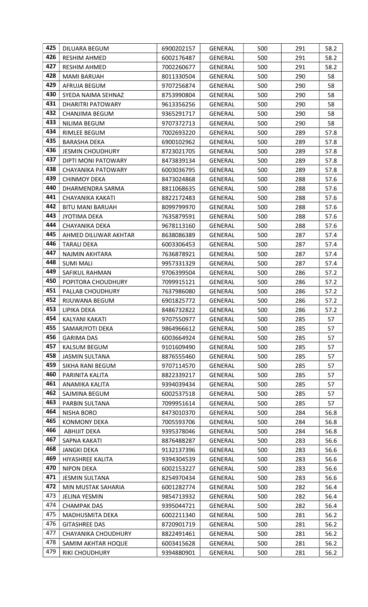| 425 | DILUARA BEGUM              | 6900202157 | <b>GENERAL</b> | 500 | 291 | 58.2 |
|-----|----------------------------|------------|----------------|-----|-----|------|
| 426 | <b>RESHIM AHMED</b>        | 6002176487 | GENERAL        | 500 | 291 | 58.2 |
| 427 | <b>RESHIM AHMED</b>        | 7002260677 | <b>GENERAL</b> | 500 | 291 | 58.2 |
| 428 | <b>MAMI BARUAH</b>         | 8011330504 | GENERAL        | 500 | 290 | 58   |
| 429 | AFRUJA BEGUM               | 9707256874 | <b>GENERAL</b> | 500 | 290 | 58   |
| 430 | SYEDA NAIMA SEHNAZ         | 8753990804 | <b>GENERAL</b> | 500 | 290 | 58   |
| 431 | DHARITRI PATOWARY          | 9613356256 | GENERAL        | 500 | 290 | 58   |
| 432 | CHANJIMA BEGUM             | 9365291717 | GENERAL        | 500 | 290 | 58   |
| 433 | NILIMA BEGUM               | 9707372713 | GENERAL        | 500 | 290 | 58   |
| 434 | RIMLEE BEGUM               | 7002693220 | <b>GENERAL</b> | 500 | 289 | 57.8 |
| 435 | <b>BARASHA DEKA</b>        | 6900102962 | GENERAL        | 500 | 289 | 57.8 |
| 436 | <b>JESMIN CHOUDHURY</b>    | 8723021705 | <b>GENERAL</b> | 500 | 289 | 57.8 |
| 437 | DIPTI MONI PATOWARY        | 8473839134 | GENERAL        | 500 | 289 | 57.8 |
| 438 | CHAYANIKA PATOWARY         | 6003036795 | <b>GENERAL</b> | 500 | 289 | 57.8 |
| 439 | <b>CHINMOY DEKA</b>        | 8473024868 | GENERAL        | 500 | 288 | 57.6 |
| 440 | DHARMENDRA SARMA           | 8811068635 | <b>GENERAL</b> | 500 | 288 | 57.6 |
| 441 | CHAYANIKA KAKATI           | 8822172483 | <b>GENERAL</b> | 500 | 288 | 57.6 |
| 442 | <b>BITU MANI BARUAH</b>    | 8099799970 | GENERAL        | 500 | 288 | 57.6 |
| 443 | <b>JYOTIMA DEKA</b>        | 7635879591 | GENERAL        | 500 | 288 | 57.6 |
| 444 | CHAYANIKA DEKA             | 9678113160 | GENERAL        | 500 | 288 | 57.6 |
| 445 | AHMED DILUWAR AKHTAR       | 8638086389 | GENERAL        | 500 | 287 | 57.4 |
| 446 | <b>TARALI DEKA</b>         | 6003306453 | <b>GENERAL</b> | 500 | 287 | 57.4 |
| 447 | NAJMIN AKHTARA             | 7636878921 | <b>GENERAL</b> | 500 | 287 | 57.4 |
| 448 | <b>SUMI MALI</b>           | 9957331329 | <b>GENERAL</b> | 500 | 287 | 57.4 |
| 449 | SAFIKUL RAHMAN             | 9706399504 | GENERAL        | 500 | 286 | 57.2 |
| 450 | POPITORA CHOUDHURY         | 7099915121 | GENERAL        | 500 | 286 | 57.2 |
| 451 | PALLAB CHOUDHURY           | 7637986080 | <b>GENERAL</b> | 500 | 286 | 57.2 |
| 452 | RIJUWANA BEGUM             | 6901825772 | GENERAL        | 500 | 286 | 57.2 |
| 453 | LIPIKA DEKA                | 8486732822 | <b>GENERAL</b> | 500 | 286 | 57.2 |
| 454 | KALYANI KAKATI             | 9707550977 | <b>GENERAL</b> | 500 | 285 | 57   |
| 455 | SAMARJYOTI DEKA            | 9864966612 | <b>GENERAL</b> | 500 | 285 | 57   |
| 456 | <b>GARIMA DAS</b>          | 6003664924 | <b>GENERAL</b> | 500 | 285 | 57   |
| 457 | KALSUM BEGUM               | 9101609490 | <b>GENERAL</b> | 500 | 285 | 57   |
| 458 | <b>JASMIN SULTANA</b>      | 8876555460 | <b>GENERAL</b> | 500 | 285 | 57   |
| 459 | SIKHA RANI BEGUM           | 9707114570 | <b>GENERAL</b> | 500 | 285 | 57   |
| 460 | PARINITA KALITA            | 8822339217 | <b>GENERAL</b> | 500 | 285 | 57   |
| 461 | ANAMIKA KALITA             | 9394039434 | <b>GENERAL</b> | 500 | 285 | 57   |
| 462 | SAJMINA BEGUM              | 6002537518 | GENERAL        | 500 | 285 | 57   |
| 463 | PARBIN SULTANA             | 7099951614 | <b>GENERAL</b> | 500 | 285 | 57   |
| 464 | <b>NISHA BORO</b>          | 8473010370 | <b>GENERAL</b> | 500 | 284 | 56.8 |
| 465 | <b>KONMONY DEKA</b>        | 7005593706 | GENERAL        | 500 | 284 | 56.8 |
| 466 | <b>ABHIJIT DEKA</b>        | 9395378046 | <b>GENERAL</b> | 500 | 284 | 56.8 |
| 467 | <b>SAPNA KAKATI</b>        | 8876488287 | GENERAL        | 500 | 283 | 56.6 |
| 468 | <b>JANGKI DEKA</b>         | 9132137396 | <b>GENERAL</b> | 500 | 283 | 56.6 |
| 469 | HIYASHREE KALITA           | 9394304539 | <b>GENERAL</b> | 500 | 283 | 56.6 |
| 470 | <b>NIPON DEKA</b>          | 6002153227 | GENERAL        | 500 | 283 | 56.6 |
| 471 | <b>JESMIN SULTANA</b>      | 8254970434 | GENERAL        | 500 | 283 | 56.6 |
| 472 | MIN MUSTAK SAHARIA         | 6001282774 | <b>GENERAL</b> | 500 | 282 | 56.4 |
| 473 | <b>JELINA YESMIN</b>       | 9854713932 | GENERAL        | 500 | 282 | 56.4 |
| 474 | <b>CHAMPAK DAS</b>         | 9395044721 | <b>GENERAL</b> | 500 | 282 | 56.4 |
| 475 | MADHUSMITA DEKA            | 6002211340 | <b>GENERAL</b> | 500 | 281 | 56.2 |
| 476 | <b>GITASHREE DAS</b>       | 8720901719 | <b>GENERAL</b> | 500 | 281 | 56.2 |
| 477 | <b>CHAYANIKA CHOUDHURY</b> | 8822491461 | <b>GENERAL</b> | 500 | 281 | 56.2 |
| 478 | SAMIM AKHTAR HOQUE         | 6003415628 | GENERAL        | 500 | 281 | 56.2 |
| 479 | <b>RIKI CHOUDHURY</b>      | 9394880901 | <b>GENERAL</b> | 500 | 281 | 56.2 |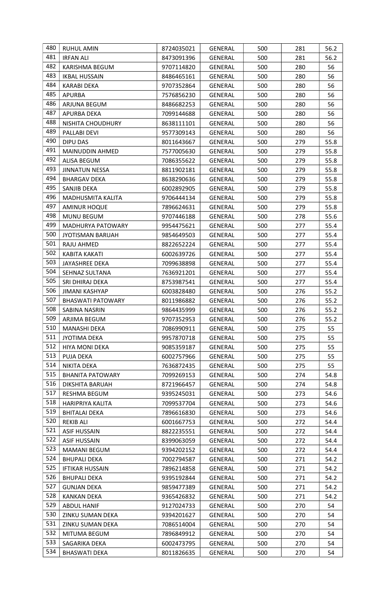| 480 | RUHUL AMIN               | 8724035021 | <b>GENERAL</b> | 500 | 281 | 56.2 |
|-----|--------------------------|------------|----------------|-----|-----|------|
| 481 | <b>IRFAN ALI</b>         | 8473091396 | GENERAL        | 500 | 281 | 56.2 |
| 482 | KARISHMA BEGUM           | 9707114820 | <b>GENERAL</b> | 500 | 280 | 56   |
| 483 | <b>IKBAL HUSSAIN</b>     | 8486465161 | GENERAL        | 500 | 280 | 56   |
| 484 | <b>KARABI DEKA</b>       | 9707352864 | <b>GENERAL</b> | 500 | 280 | 56   |
| 485 | <b>APURBA</b>            | 7576856230 | <b>GENERAL</b> | 500 | 280 | 56   |
| 486 | ARJUNA BEGUM             | 8486682253 | GENERAL        | 500 | 280 | 56   |
| 487 | APURBA DEKA              | 7099144688 | <b>GENERAL</b> | 500 | 280 | 56   |
| 488 | NISHITA CHOUDHURY        | 8638111101 | <b>GENERAL</b> | 500 | 280 | 56   |
| 489 | PALLABI DEVI             | 9577309143 | <b>GENERAL</b> | 500 | 280 | 56   |
| 490 | DIPU DAS                 | 8011643667 | GENERAL        | 500 | 279 | 55.8 |
| 491 | <b>MAINUDDIN AHMED</b>   | 7577005630 | <b>GENERAL</b> | 500 | 279 | 55.8 |
| 492 | ALISA BEGUM              | 7086355622 | <b>GENERAL</b> | 500 | 279 | 55.8 |
| 493 | <b>JINNATUN NESSA</b>    | 8811902181 | <b>GENERAL</b> | 500 | 279 | 55.8 |
| 494 | <b>BHARGAV DEKA</b>      | 8638290636 | <b>GENERAL</b> | 500 | 279 | 55.8 |
| 495 | SANJIB DEKA              | 6002892905 | <b>GENERAL</b> | 500 | 279 | 55.8 |
| 496 | MADHUSMITA KALITA        | 9706444134 | <b>GENERAL</b> | 500 | 279 | 55.8 |
| 497 | <b>AMINUR HOQUE</b>      | 7896624631 | <b>GENERAL</b> | 500 | 279 | 55.8 |
| 498 | <b>MUNU BEGUM</b>        | 9707446188 | <b>GENERAL</b> | 500 | 278 | 55.6 |
| 499 | MADHURYA PATOWARY        | 9954475621 | <b>GENERAL</b> | 500 | 277 | 55.4 |
| 500 | <b>JYOTISMAN BARUAH</b>  | 9854649503 | <b>GENERAL</b> | 500 | 277 | 55.4 |
| 501 | RAJU AHMED               | 8822652224 | <b>GENERAL</b> | 500 | 277 | 55.4 |
| 502 | KABITA KAKATI            | 6002639726 | <b>GENERAL</b> | 500 | 277 | 55.4 |
| 503 | JAYASHREE DEKA           | 7099638898 | <b>GENERAL</b> | 500 | 277 | 55.4 |
| 504 | SEHNAZ SULTANA           | 7636921201 | GENERAL        | 500 | 277 | 55.4 |
| 505 | SRI DHIRAJ DEKA          | 8753987541 | <b>GENERAL</b> | 500 | 277 | 55.4 |
| 506 | JIMANI KASHYAP           | 6003828480 | <b>GENERAL</b> | 500 | 276 | 55.2 |
| 507 | <b>BHASWATI PATOWARY</b> | 8011986882 | <b>GENERAL</b> | 500 | 276 | 55.2 |
| 508 | SABINA NASRIN            | 9864435999 | <b>GENERAL</b> | 500 | 276 | 55.2 |
| 509 | ARJIMA BEGUM             | 9707352953 | <b>GENERAL</b> | 500 | 276 | 55.2 |
| 510 | <b>MANASHI DEKA</b>      | 7086990911 | <b>GENERAL</b> | 500 | 275 | 55   |
| 511 | <b>JYOTIMA DEKA</b>      | 9957870718 | <b>GENERAL</b> | 500 | 275 | 55   |
| 512 | <b>HIYA MONI DEKA</b>    | 9085359187 | <b>GENERAL</b> | 500 | 275 | 55   |
| 513 | PUJA DEKA                | 6002757966 | <b>GENERAL</b> | 500 | 275 | 55   |
| 514 | NIKITA DEKA              | 7636872435 | <b>GENERAL</b> | 500 | 275 | 55   |
| 515 | <b>BHANITA PATOWARY</b>  | 7099269153 | <b>GENERAL</b> | 500 | 274 | 54.8 |
| 516 | DIKSHITA BARUAH          | 8721966457 | GENERAL        | 500 | 274 | 54.8 |
| 517 | RESHMA BEGUM             | 9395245031 | GENERAL        | 500 | 273 | 54.6 |
| 518 | HARIPRIYA KALITA         | 7099537704 | <b>GENERAL</b> | 500 | 273 | 54.6 |
| 519 | <b>BHITALAI DEKA</b>     | 7896616830 | <b>GENERAL</b> | 500 | 273 | 54.6 |
| 520 | <b>REKIB ALI</b>         | 6001667753 | <b>GENERAL</b> | 500 | 272 | 54.4 |
| 521 | <b>ASIF HUSSAIN</b>      | 8822235551 | <b>GENERAL</b> | 500 | 272 | 54.4 |
| 522 | <b>ASIF HUSSAIN</b>      | 8399063059 | GENERAL        | 500 | 272 | 54.4 |
| 523 | <b>MAMANI BEGUM</b>      | 9394202152 | <b>GENERAL</b> | 500 | 272 | 54.4 |
| 524 | <b>BHUPALI DEKA</b>      | 7002794587 | GENERAL        | 500 | 271 | 54.2 |
| 525 | <b>IFTIKAR HUSSAIN</b>   | 7896214858 | <b>GENERAL</b> | 500 | 271 | 54.2 |
| 526 | <b>BHUPALI DEKA</b>      | 9395192844 | <b>GENERAL</b> | 500 | 271 | 54.2 |
| 527 | <b>GUNJAN DEKA</b>       | 9859477389 | <b>GENERAL</b> | 500 | 271 | 54.2 |
| 528 | <b>KANKAN DEKA</b>       | 9365426832 | GENERAL        | 500 | 271 | 54.2 |
| 529 | <b>ABDUL HANIF</b>       | 9127024733 | <b>GENERAL</b> | 500 | 270 | 54   |
| 530 | ZINKU SUMAN DEKA         | 9394201627 | <b>GENERAL</b> | 500 | 270 | 54   |
| 531 | ZINKU SUMAN DEKA         | 7086514004 | <b>GENERAL</b> | 500 | 270 | 54   |
| 532 | MITUMA BEGUM             | 7896849912 | <b>GENERAL</b> | 500 | 270 | 54   |
| 533 | SAGARIKA DEKA            | 6002473795 | <b>GENERAL</b> | 500 | 270 | 54   |
| 534 | <b>BHASWATI DEKA</b>     | 8011826635 | <b>GENERAL</b> | 500 | 270 | 54   |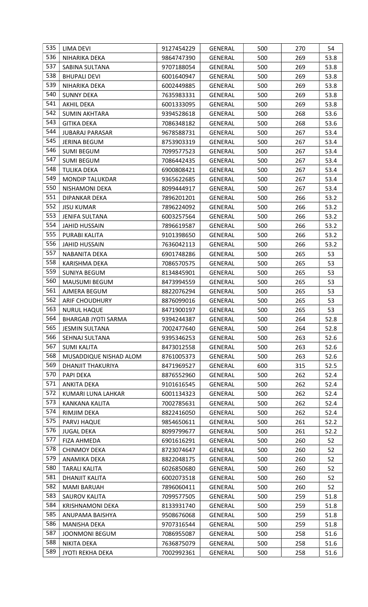| 535 | LIMA DEVI                  | 9127454229 | <b>GENERAL</b> | 500 | 270 | 54   |
|-----|----------------------------|------------|----------------|-----|-----|------|
| 536 | NIHARIKA DEKA              | 9864747390 | <b>GENERAL</b> | 500 | 269 | 53.8 |
| 537 | SABINA SULTANA             | 9707188054 | <b>GENERAL</b> | 500 | 269 | 53.8 |
| 538 | <b>BHUPALI DEVI</b>        | 6001640947 | <b>GENERAL</b> | 500 | 269 | 53.8 |
| 539 | NIHARIKA DEKA              | 6002449885 | <b>GENERAL</b> | 500 | 269 | 53.8 |
| 540 | <b>SUNNY DEKA</b>          | 7635983331 | <b>GENERAL</b> | 500 | 269 | 53.8 |
| 541 | <b>AKHIL DEKA</b>          | 6001333095 | <b>GENERAL</b> | 500 | 269 | 53.8 |
| 542 | <b>SUMIN AKHTARA</b>       | 9394528618 | <b>GENERAL</b> | 500 | 268 | 53.6 |
| 543 | <b>GITIKA DEKA</b>         | 7086348182 | <b>GENERAL</b> | 500 | 268 | 53.6 |
| 544 | <b>JUBARAJ PARASAR</b>     | 9678588731 | <b>GENERAL</b> | 500 | 267 | 53.4 |
| 545 | <b>JERINA BEGUM</b>        | 8753903319 | GENERAL        | 500 | 267 | 53.4 |
| 546 | <b>SUMI BEGUM</b>          | 7099577523 | <b>GENERAL</b> | 500 | 267 | 53.4 |
| 547 | <b>SUMI BEGUM</b>          | 7086442435 | <b>GENERAL</b> | 500 | 267 | 53.4 |
| 548 | <b>TULIKA DEKA</b>         | 6900808421 | GENERAL        | 500 | 267 | 53.4 |
| 549 | <b>MONDIP TALUKDAR</b>     | 9365622685 | <b>GENERAL</b> | 500 | 267 | 53.4 |
| 550 | <b>NISHAMONI DEKA</b>      | 8099444917 | <b>GENERAL</b> | 500 | 267 | 53.4 |
| 551 | DIPANKAR DEKA              | 7896201201 | GENERAL        | 500 | 266 | 53.2 |
| 552 | <b>JISU KUMAR</b>          | 7896224092 | <b>GENERAL</b> | 500 | 266 | 53.2 |
| 553 | <b>JENIFA SULTANA</b>      | 6003257564 | GENERAL        | 500 | 266 | 53.2 |
| 554 | JAHID HUSSAIN              | 7896619587 | GENERAL        | 500 | 266 | 53.2 |
| 555 | PURABI KALITA              | 9101398650 | <b>GENERAL</b> | 500 | 266 | 53.2 |
| 556 | <b>JAHID HUSSAIN</b>       | 7636042113 | <b>GENERAL</b> | 500 | 266 | 53.2 |
| 557 | NABANITA DEKA              | 6901748286 | <b>GENERAL</b> | 500 | 265 | 53   |
| 558 | KARISHMA DEKA              | 7086570575 | GENERAL        | 500 | 265 | 53   |
| 559 | <b>SUNIYA BEGUM</b>        | 8134845901 | <b>GENERAL</b> | 500 | 265 | 53   |
| 560 | <b>MAUSUMI BEGUM</b>       | 8473994559 | GENERAL        | 500 | 265 | 53   |
| 561 | AJMERA BEGUM               | 8822076294 | <b>GENERAL</b> | 500 | 265 | 53   |
| 562 | <b>ARIF CHOUDHURY</b>      | 8876099016 | <b>GENERAL</b> | 500 | 265 | 53   |
| 563 | <b>NURUL HAQUE</b>         | 8471900197 | <b>GENERAL</b> | 500 | 265 | 53   |
| 564 | <b>BHARGAB JYOTI SARMA</b> | 9394244387 | <b>GENERAL</b> | 500 | 264 | 52.8 |
| 565 | <b>JESMIN SULTANA</b>      | 7002477640 | GENERAL        | 500 | 264 | 52.8 |
| 566 | SEHNAJ SULTANA             | 9395346253 | <b>GENERAL</b> | 500 | 263 | 52.6 |
| 567 | <b>SUMI KALITA</b>         | 8473012558 | <b>GENERAL</b> | 500 | 263 | 52.6 |
| 568 | MUSADDIQUE NISHAD ALOM     | 8761005373 | <b>GENERAL</b> | 500 | 263 | 52.6 |
| 569 | <b>DHANJIT THAKURIYA</b>   | 8471969527 | <b>GENERAL</b> | 600 | 315 | 52.5 |
| 570 | PAPI DEKA                  | 8876552960 | GENERAL        | 500 | 262 | 52.4 |
| 571 | <b>ANKITA DEKA</b>         | 9101616545 | <b>GENERAL</b> | 500 | 262 | 52.4 |
| 572 | KUMARI LUNA LAHKAR         | 6001134323 | <b>GENERAL</b> | 500 | 262 | 52.4 |
| 573 | KANKANA KALITA             | 7002785631 | <b>GENERAL</b> | 500 | 262 | 52.4 |
| 574 | RIMJIM DEKA                | 8822416050 | <b>GENERAL</b> | 500 | 262 | 52.4 |
| 575 | PARVJ HAQUE                | 9854650611 | <b>GENERAL</b> | 500 | 261 | 52.2 |
| 576 | <b>JUGAL DEKA</b>          | 8099799677 | <b>GENERAL</b> | 500 | 261 | 52.2 |
| 577 | FIZA AHMEDA                | 6901616291 | <b>GENERAL</b> | 500 | 260 | 52   |
| 578 | <b>CHINMOY DEKA</b>        | 8723074647 | <b>GENERAL</b> | 500 | 260 | 52   |
| 579 | ANAMIKA DEKA               | 8822048175 | <b>GENERAL</b> | 500 | 260 | 52   |
| 580 | <b>TARALI KALITA</b>       | 6026850680 | <b>GENERAL</b> | 500 | 260 | 52   |
| 581 | <b>DHANJIT KALITA</b>      | 6002073518 | <b>GENERAL</b> | 500 | 260 | 52   |
| 582 | <b>MAMI BARUAH</b>         | 7896060411 | <b>GENERAL</b> | 500 | 260 | 52   |
| 583 | <b>SAUROV KALITA</b>       | 7099577505 | <b>GENERAL</b> | 500 | 259 | 51.8 |
| 584 | <b>KRISHNAMONI DEKA</b>    | 8133931740 | GENERAL        | 500 | 259 | 51.8 |
| 585 | ANUPAMA BAISHYA            | 9508676068 | <b>GENERAL</b> | 500 | 259 | 51.8 |
| 586 | <b>MANISHA DEKA</b>        | 9707316544 | <b>GENERAL</b> | 500 | 259 | 51.8 |
| 587 | <b>JOONMONI BEGUM</b>      | 7086955087 | <b>GENERAL</b> | 500 | 258 | 51.6 |
| 588 | NIKITA DEKA                | 7636875079 | <b>GENERAL</b> | 500 | 258 | 51.6 |
| 589 | <b>JYOTI REKHA DEKA</b>    | 7002992361 | <b>GENERAL</b> | 500 | 258 | 51.6 |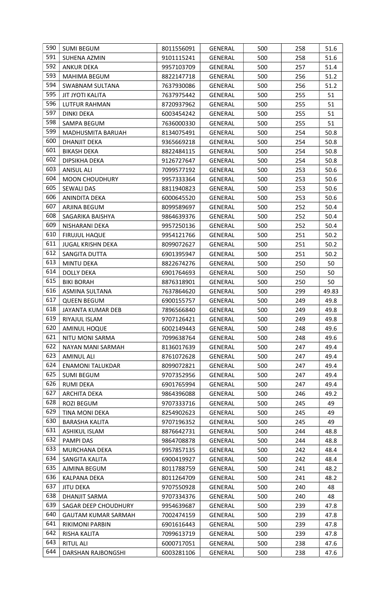| 590 | <b>SUMI BEGUM</b>          | 8011556091 | <b>GENERAL</b> | 500 | 258 | 51.6  |
|-----|----------------------------|------------|----------------|-----|-----|-------|
| 591 | SUHENA AZMIN               | 9101115241 | GENERAL        | 500 | 258 | 51.6  |
| 592 | <b>ANKUR DEKA</b>          | 9957103709 | <b>GENERAL</b> | 500 | 257 | 51.4  |
| 593 | <b>MAHIMA BEGUM</b>        | 8822147718 | GENERAL        | 500 | 256 | 51.2  |
| 594 | <b>SWABNAM SULTANA</b>     | 7637930086 | <b>GENERAL</b> | 500 | 256 | 51.2  |
| 595 | JIT JYOTI KALITA           | 7637975442 | <b>GENERAL</b> | 500 | 255 | 51    |
| 596 | LUTFUR RAHMAN              | 8720937962 | GENERAL        | 500 | 255 | 51    |
| 597 | <b>DINKI DEKA</b>          | 6003454242 | GENERAL        | 500 | 255 | 51    |
| 598 | SAMPA BEGUM                | 7636000330 | <b>GENERAL</b> | 500 | 255 | 51    |
| 599 | MADHUSMITA BARUAH          | 8134075491 | GENERAL        | 500 | 254 | 50.8  |
| 600 | DHANJIT DEKA               | 9365669218 | GENERAL        | 500 | 254 | 50.8  |
| 601 | <b>BIKASH DEKA</b>         | 8822484115 | GENERAL        | 500 | 254 | 50.8  |
| 602 | DIPSIKHA DEKA              | 9126727647 | GENERAL        | 500 | 254 | 50.8  |
| 603 | <b>ANISUL ALI</b>          | 7099577192 | <b>GENERAL</b> | 500 | 253 | 50.6  |
| 604 | <b>MOON CHOUDHURY</b>      | 9957333364 | GENERAL        | 500 | 253 | 50.6  |
| 605 | SEWALI DAS                 | 8811940823 | GENERAL        | 500 | 253 | 50.6  |
| 606 | <b>ANINDITA DEKA</b>       | 6000645520 | GENERAL        | 500 | 253 | 50.6  |
| 607 | ARJINA BEGUM               | 8099589697 | GENERAL        | 500 | 252 | 50.4  |
| 608 | SAGARIKA BAISHYA           | 9864639376 | GENERAL        | 500 | 252 | 50.4  |
| 609 | NISHARANI DEKA             | 9957250136 | GENERAL        | 500 | 252 | 50.4  |
| 610 | <b>FIRUJUL HAQUE</b>       | 9954121766 | GENERAL        | 500 | 251 | 50.2  |
| 611 | <b>JUGAL KRISHN DEKA</b>   | 8099072627 | GENERAL        | 500 | 251 | 50.2  |
| 612 | SANGITA DUTTA              | 6901395947 | GENERAL        | 500 | 251 | 50.2  |
| 613 | <b>MINTU DEKA</b>          | 8822674276 | GENERAL        | 500 | 250 | 50    |
| 614 | <b>DOLLY DEKA</b>          | 6901764693 | GENERAL        | 500 | 250 | 50    |
| 615 | <b>BIKI BORAH</b>          | 8876318901 | GENERAL        | 500 | 250 | 50    |
| 616 | ASMINA SULTANA             | 7637864620 | GENERAL        | 500 | 299 | 49.83 |
| 617 | <b>QUEEN BEGUM</b>         | 6900155757 | <b>GENERAL</b> | 500 | 249 | 49.8  |
| 618 | JAYANTA KUMAR DEB          | 7896566840 | <b>GENERAL</b> | 500 | 249 | 49.8  |
| 619 | RIYAJUL ISLAM              | 9707126421 | GENERAL        | 500 | 249 | 49.8  |
| 620 | <b>AMINUL HOQUE</b>        | 6002149443 | GENERAL        | 500 | 248 | 49.6  |
| 621 | NITU MONI SARMA            | 7099638764 | <b>GENERAL</b> | 500 | 248 | 49.6  |
| 622 | NAYAN MANI SARMAH          | 8136017639 | GENERAL        | 500 | 247 | 49.4  |
| 623 | <b>AMINUL ALI</b>          | 8761072628 | GENERAL        | 500 | 247 | 49.4  |
| 624 | <b>ENAMONI TALUKDAR</b>    | 8099072821 | GENERAL        | 500 | 247 | 49.4  |
| 625 | <b>SUMI BEGUM</b>          | 9707352956 | <b>GENERAL</b> | 500 | 247 | 49.4  |
| 626 | RUMI DEKA                  | 6901765994 | GENERAL        | 500 | 247 | 49.4  |
| 627 | ARCHITA DEKA               | 9864396088 | <b>GENERAL</b> | 500 | 246 | 49.2  |
| 628 | ROZI BEGUM                 | 9707333716 | <b>GENERAL</b> | 500 | 245 | 49    |
| 629 | <b>TINA MONI DEKA</b>      | 8254902623 | <b>GENERAL</b> | 500 | 245 | 49    |
| 630 | <b>BARASHA KALITA</b>      | 9707196352 | GENERAL        | 500 | 245 | 49    |
| 631 | <b>ASHIKUL ISLAM</b>       | 8876642731 | <b>GENERAL</b> | 500 | 244 | 48.8  |
| 632 | <b>PAMPI DAS</b>           | 9864708878 | GENERAL        | 500 | 244 | 48.8  |
| 633 | MURCHANA DEKA              | 9957857135 | GENERAL        | 500 | 242 | 48.4  |
| 634 | SANGITA KALITA             | 6900419927 | <b>GENERAL</b> | 500 | 242 | 48.4  |
| 635 | AJMINA BEGUM               | 8011788759 | <b>GENERAL</b> | 500 | 241 | 48.2  |
| 636 | KALPANA DEKA               | 8011264709 | GENERAL        | 500 | 241 | 48.2  |
| 637 | <b>JITU DEKA</b>           | 9707550928 | <b>GENERAL</b> | 500 | 240 | 48    |
| 638 | DHANJIT SARMA              | 9707334376 | GENERAL        | 500 | 240 | 48    |
| 639 | SAGAR DEEP CHOUDHURY       | 9954639687 | GENERAL        | 500 | 239 | 47.8  |
| 640 | <b>GAUTAM KUMAR SARMAH</b> | 7002474159 | GENERAL        | 500 | 239 | 47.8  |
| 641 | <b>RIKIMONI PARBIN</b>     | 6901616443 | <b>GENERAL</b> | 500 | 239 | 47.8  |
| 642 | RISHA KALITA               | 7099613719 | GENERAL        | 500 | 239 | 47.8  |
| 643 | <b>RITUL ALI</b>           | 6000717051 | GENERAL        | 500 | 238 | 47.6  |
| 644 | DARSHAN RAJBONGSHI         | 6003281106 | GENERAL        | 500 | 238 | 47.6  |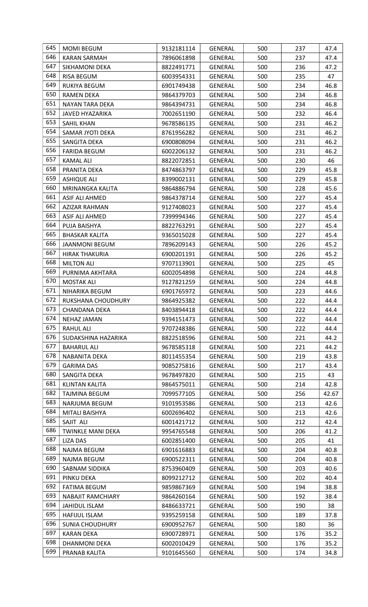| 645 | <b>MOMI BEGUM</b>        | 9132181114 | <b>GENERAL</b> | 500 | 237 | 47.4  |
|-----|--------------------------|------------|----------------|-----|-----|-------|
| 646 | <b>KARAN SARMAH</b>      | 7896061898 | GENERAL        | 500 | 237 | 47.4  |
| 647 | SIKHAMONI DEKA           | 8822491771 | <b>GENERAL</b> | 500 | 236 | 47.2  |
| 648 | <b>RISA BEGUM</b>        | 6003954331 | <b>GENERAL</b> | 500 | 235 | 47    |
| 649 | RUKIYA BEGUM             | 6901749438 | GENERAL        | 500 | 234 | 46.8  |
| 650 | <b>RAMEN DEKA</b>        | 9864379703 | GENERAL        | 500 | 234 | 46.8  |
| 651 | NAYAN TARA DEKA          | 9864394731 | GENERAL        | 500 | 234 | 46.8  |
| 652 | <b>JAVED HYAZARIKA</b>   | 7002651190 | GENERAL        | 500 | 232 | 46.4  |
| 653 | <b>SAHIL KHAN</b>        | 9678586135 | <b>GENERAL</b> | 500 | 231 | 46.2  |
| 654 | SAMAR JYOTI DEKA         | 8761956282 | GENERAL        | 500 | 231 | 46.2  |
| 655 | SANGITA DEKA             | 6900808094 | <b>GENERAL</b> | 500 | 231 | 46.2  |
| 656 | <b>FARIDA BEGUM</b>      | 6002206132 | GENERAL        | 500 | 231 | 46.2  |
| 657 | <b>KAMAL ALI</b>         | 8822072851 | <b>GENERAL</b> | 500 | 230 | 46    |
| 658 | PRANITA DEKA             | 8474863797 | GENERAL        | 500 | 229 | 45.8  |
| 659 | <b>ASHIQUE ALI</b>       | 8399002131 | GENERAL        | 500 | 229 | 45.8  |
| 660 | MRINANGKA KALITA         | 9864886794 | GENERAL        | 500 | 228 | 45.6  |
| 661 | ASIF ALI AHMED           | 9864378714 | GENERAL        | 500 | 227 | 45.4  |
| 662 | AZIZAR RAHMAN            | 9127408023 | GENERAL        | 500 | 227 | 45.4  |
| 663 | ASIF ALI AHMED           | 7399994346 | GENERAL        | 500 | 227 | 45.4  |
| 664 | PUJA BAISHYA             | 8822763291 | GENERAL        | 500 | 227 | 45.4  |
| 665 | <b>BHASKAR KALITA</b>    | 9365015028 | GENERAL        | 500 | 227 | 45.4  |
| 666 | <b>JAANMONI BEGUM</b>    | 7896209143 | <b>GENERAL</b> | 500 | 226 | 45.2  |
| 667 | <b>HIRAK THAKURIA</b>    | 6900201191 | <b>GENERAL</b> | 500 | 226 | 45.2  |
| 668 | <b>MILTON ALI</b>        | 9707113901 | GENERAL        | 500 | 225 | 45    |
| 669 | PURNIMA AKHTARA          | 6002054898 | GENERAL        | 500 | 224 | 44.8  |
| 670 | <b>MOSTAK ALI</b>        | 9127821259 | GENERAL        | 500 | 224 | 44.8  |
| 671 | NIHARIKA BEGUM           | 6901765972 | GENERAL        | 500 | 223 | 44.6  |
| 672 | RUKSHANA CHOUDHURY       | 9864925382 | GENERAL        | 500 | 222 | 44.4  |
| 673 | <b>CHANDANA DEKA</b>     | 8403894418 | <b>GENERAL</b> | 500 | 222 | 44.4  |
| 674 | <b>NEHAZ JAMAN</b>       | 9394151473 | <b>GENERAL</b> | 500 | 222 | 44.4  |
| 675 | <b>RAHUL ALI</b>         | 9707248386 | <b>GENERAL</b> | 500 | 222 | 44.4  |
| 676 | SUDAKSHINA HAZARIKA      | 8822518596 | <b>GENERAL</b> | 500 | 221 | 44.2  |
| 677 | <b>BAHARUL ALI</b>       | 9678585318 | GENERAL        | 500 | 221 | 44.2  |
| 678 | NABANITA DEKA            | 8011455354 | <b>GENERAL</b> | 500 | 219 | 43.8  |
| 679 | <b>GARIMA DAS</b>        | 9085275816 | <b>GENERAL</b> | 500 | 217 | 43.4  |
| 680 | SANGITA DEKA             | 9678497820 | GENERAL        | 500 | 215 | 43    |
| 681 | <b>KLINTAN KALITA</b>    | 9864575011 | GENERAL        | 500 | 214 | 42.8  |
| 682 | TAJMINA BEGUM            | 7099577105 | GENERAL        | 500 | 256 | 42.67 |
| 683 | NARJUMA BEGUM            | 9101953586 | <b>GENERAL</b> | 500 | 213 | 42.6  |
| 684 | MITALI BAISHYA           | 6002696402 | <b>GENERAL</b> | 500 | 213 | 42.6  |
| 685 | SAJIT ALI                | 6001421712 | <b>GENERAL</b> | 500 | 212 | 42.4  |
| 686 | <b>TWINKLE MANI DEKA</b> | 9954765548 | GENERAL        | 500 | 206 | 41.2  |
| 687 | <b>LIZA DAS</b>          | 6002851400 | <b>GENERAL</b> | 500 | 205 | 41    |
| 688 | NAJMA BEGUM              | 6901616883 | GENERAL        | 500 | 204 | 40.8  |
| 689 | NAJMA BEGUM              | 6900522311 | GENERAL        | 500 | 204 | 40.8  |
| 690 | SABNAM SIDDIKA           | 8753960409 | GENERAL        | 500 | 203 | 40.6  |
| 691 | PINKU DEKA               | 8099212712 | <b>GENERAL</b> | 500 | 202 | 40.4  |
| 692 | <b>FATIMA BEGUM</b>      | 9859867369 | <b>GENERAL</b> | 500 | 194 | 38.8  |
| 693 | <b>NABAJIT RAMCHIARY</b> | 9864260164 | <b>GENERAL</b> | 500 | 192 | 38.4  |
| 694 | <b>JAHIDUL ISLAM</b>     | 8486633721 | GENERAL        | 500 | 190 | 38    |
| 695 | HAFIJUL ISLAM            | 9395259158 | GENERAL        | 500 | 189 | 37.8  |
| 696 | <b>SUNIA CHOUDHURY</b>   | 6900952767 | GENERAL        | 500 | 180 | 36    |
| 697 | <b>KARAN DEKA</b>        | 6900728971 | GENERAL        | 500 | 176 | 35.2  |
| 698 | DHANMONI DEKA            | 6002010429 | GENERAL        | 500 | 176 | 35.2  |
| 699 | PRANAB KALITA            | 9101645560 | <b>GENERAL</b> | 500 | 174 | 34.8  |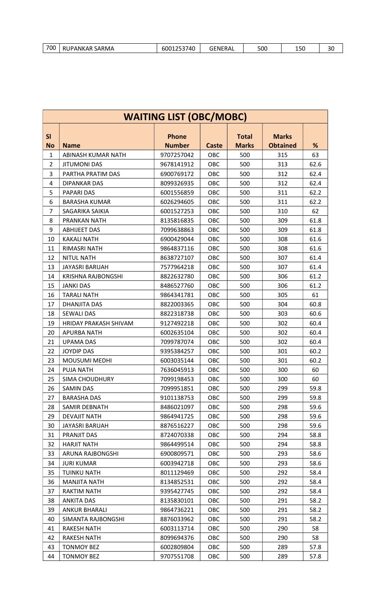| 700<br>6001253740<br>RUPANKAR SARMA<br>500<br><b>GENERAL</b><br>150 | 30 |
|---------------------------------------------------------------------|----|
|---------------------------------------------------------------------|----|

| <b>WAITING LIST (OBC/MOBC)</b> |                       |                               |              |                              |                                 |      |  |  |
|--------------------------------|-----------------------|-------------------------------|--------------|------------------------------|---------------------------------|------|--|--|
| SI<br><b>No</b>                | <b>Name</b>           | <b>Phone</b><br><b>Number</b> | <b>Caste</b> | <b>Total</b><br><b>Marks</b> | <b>Marks</b><br><b>Obtained</b> | %    |  |  |
| 1                              | ABINASH KUMAR NATH    | 9707257042                    | OBC          | 500                          | 315                             | 63   |  |  |
| $\overline{2}$                 | <b>JITUMONI DAS</b>   | 9678141912                    | OBC          | 500                          | 313                             | 62.6 |  |  |
| 3                              | PARTHA PRATIM DAS     | 6900769172                    | OBC          | 500                          | 312                             | 62.4 |  |  |
| 4                              | <b>DIPANKAR DAS</b>   | 8099326935                    | OBC          | 500                          | 312                             | 62.4 |  |  |
| 5                              | <b>PAPARI DAS</b>     | 6001556859                    | OBC          | 500                          | 311                             | 62.2 |  |  |
| 6                              | <b>BARASHA KUMAR</b>  | 6026294605                    | <b>OBC</b>   | 500                          | 311                             | 62.2 |  |  |
| $\overline{7}$                 | SAGARIKA SAIKIA       | 6001527253                    | OBC          | 500                          | 310                             | 62   |  |  |
| 8                              | <b>PRANKAN NATH</b>   | 8135816835                    | OBC          | 500                          | 309                             | 61.8 |  |  |
| 9                              | <b>ABHIJEET DAS</b>   | 7099638863                    | OBC          | 500                          | 309                             | 61.8 |  |  |
| 10                             | <b>KAKALI NATH</b>    | 6900429044                    | OBC          | 500                          | 308                             | 61.6 |  |  |
| 11                             | RIMASRI NATH          | 9864837116                    | OBC          | 500                          | 308                             | 61.6 |  |  |
| 12                             | <b>NITUL NATH</b>     | 8638727107                    | <b>OBC</b>   | 500                          | 307                             | 61.4 |  |  |
| 13                             | <b>JAYASRI BARUAH</b> | 7577964218                    | <b>OBC</b>   | 500                          | 307                             | 61.4 |  |  |
| 14                             | KRISHNA RAJBONGSHI    | 8822632780                    | OBC          | 500                          | 306                             | 61.2 |  |  |
| 15                             | <b>JANKI DAS</b>      | 8486527760                    | OBC          | 500                          | 306                             | 61.2 |  |  |
| 16                             | <b>TARALI NATH</b>    | 9864341781                    | <b>OBC</b>   | 500                          | 305                             | 61   |  |  |
| 17                             | <b>DHANJITA DAS</b>   | 8822003365                    | OBC          | 500                          | 304                             | 60.8 |  |  |
| 18                             | <b>SEWALI DAS</b>     | 8822318738                    | <b>OBC</b>   | 500                          | 303                             | 60.6 |  |  |
| 19                             | HRIDAY PRAKASH SHIVAM | 9127492218                    | OBC          | 500                          | 302                             | 60.4 |  |  |
| 20                             | <b>APURBA NATH</b>    | 6002635104                    | OBC          | 500                          | 302                             | 60.4 |  |  |
| 21                             | <b>UPAMA DAS</b>      | 7099787074                    | OBC          | 500                          | 302                             | 60.4 |  |  |
| 22                             | <b>JOYDIP DAS</b>     | 9395384257                    | OBC          | 500                          | 301                             | 60.2 |  |  |
| 23                             | <b>MOUSUMI MEDHI</b>  | 6003035144                    | <b>OBC</b>   | 500                          | 301                             | 60.2 |  |  |
| 24                             | <b>PUJA NATH</b>      | 7636045913                    | OBC          | 500                          | 300                             | 60   |  |  |
| 25                             | <b>SIMA CHOUDHURY</b> | 7099198453                    | OBC          | 500                          | 300                             | 60   |  |  |
| 26                             | <b>SAMIN DAS</b>      | 7099951851                    | OBC          | 500                          | 299                             | 59.8 |  |  |
| 27                             | <b>BARASHA DAS</b>    | 9101138753                    | OBC          | 500                          | 299                             | 59.8 |  |  |
| 28                             | SAMIR DEBNATH         | 8486021097                    | <b>OBC</b>   | 500                          | 298                             | 59.6 |  |  |
| 29                             | <b>DEVAJIT NATH</b>   | 9864941725                    | OBC          | 500                          | 298                             | 59.6 |  |  |
| 30                             | JAYASRI BARUAH        | 8876516227                    | OBC          | 500                          | 298                             | 59.6 |  |  |
| 31                             | PRANJIT DAS           | 8724070338                    | OBC          | 500                          | 294                             | 58.8 |  |  |
| 32                             | <b>HARJIT NATH</b>    | 9864499514                    | <b>OBC</b>   | 500                          | 294                             | 58.8 |  |  |
| 33                             | ARUNA RAJBONGSHI      | 6900809571                    | <b>OBC</b>   | 500                          | 293                             | 58.6 |  |  |
| 34                             | <b>JURI KUMAR</b>     | 6003942718                    | OBC          | 500                          | 293                             | 58.6 |  |  |
| 35                             | <b>TUINKU NATH</b>    | 8011129469                    | OBC          | 500                          | 292                             | 58.4 |  |  |
| 36                             | <b>MANJITA NATH</b>   | 8134852531                    | <b>OBC</b>   | 500                          | 292                             | 58.4 |  |  |
| 37                             | <b>RAKTIM NATH</b>    | 9395427745                    | <b>OBC</b>   | 500                          | 292                             | 58.4 |  |  |
| 38                             | <b>ANKITA DAS</b>     | 8135830101                    | OBC          | 500                          | 291                             | 58.2 |  |  |
| 39                             | <b>ANKUR BHARALI</b>  | 9864736221                    | <b>OBC</b>   | 500                          | 291                             | 58.2 |  |  |
| 40                             | SIMANTA RAJBONGSHI    | 8876033962                    | <b>OBC</b>   | 500                          | 291                             | 58.2 |  |  |
| 41                             | <b>RAKESH NATH</b>    | 6003113714                    | OBC          | 500                          | 290                             | 58   |  |  |
| 42                             | RAKESH NATH           | 8099694376                    | OBC          | 500                          | 290                             | 58   |  |  |
| 43                             | <b>TONMOY BEZ</b>     | 6002809804                    | OBC          | 500                          | 289                             | 57.8 |  |  |
| 44                             | <b>TONMOY BEZ</b>     | 9707551708                    | OBC          | 500                          | 289                             | 57.8 |  |  |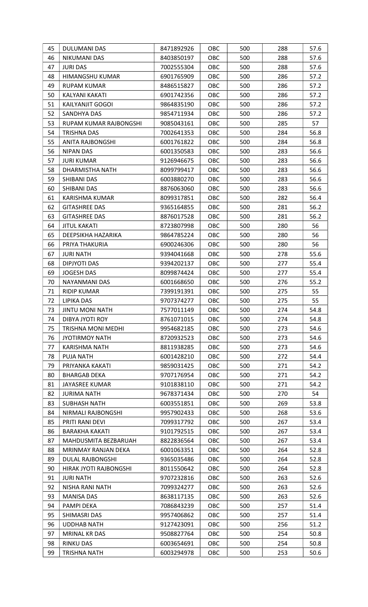| 45 | DULUMANI DAS              | 8471892926 | OBC        | 500 | 288 | 57.6 |
|----|---------------------------|------------|------------|-----|-----|------|
| 46 | NIKUMANI DAS              | 8403850197 | OBC        | 500 | 288 | 57.6 |
| 47 | <b>JURI DAS</b>           | 7002555304 | OBC        | 500 | 288 | 57.6 |
| 48 | HIMANGSHU KUMAR           | 6901765909 | <b>OBC</b> | 500 | 286 | 57.2 |
| 49 | <b>RUPAM KUMAR</b>        | 8486515827 | OBC        | 500 | 286 | 57.2 |
| 50 | KALYANI KAKATI            | 6901742356 | OBC        | 500 | 286 | 57.2 |
| 51 | KAILYANJIT GOGOI          | 9864835190 | OBC        | 500 | 286 | 57.2 |
| 52 | SANDHYA DAS               | 9854711934 | <b>OBC</b> | 500 | 286 | 57.2 |
| 53 | RUPAM KUMAR RAJBONGSHI    | 9085043161 | OBC        | 500 | 285 | 57   |
| 54 | <b>TRISHNA DAS</b>        | 7002641353 | OBC        | 500 | 284 | 56.8 |
| 55 | ANITA RAJBONGSHI          | 6001761822 | <b>OBC</b> | 500 | 284 | 56.8 |
| 56 | <b>NIPAN DAS</b>          | 6001350583 | OBC        | 500 | 283 | 56.6 |
| 57 | <b>JURI KUMAR</b>         | 9126946675 | OBC        | 500 | 283 | 56.6 |
| 58 | DHARMISTHA NATH           | 8099799417 | OBC        | 500 | 283 | 56.6 |
| 59 | SHIBANI DAS               | 6003880270 | OBC        | 500 | 283 | 56.6 |
| 60 | SHIBANI DAS               | 8876063060 | OBC        | 500 | 283 | 56.6 |
| 61 | <b>KARISHMA KUMAR</b>     | 8099317851 | OBC        | 500 | 282 | 56.4 |
| 62 | <b>GITASHREE DAS</b>      | 9365164855 | <b>OBC</b> | 500 | 281 | 56.2 |
| 63 | <b>GITASHREE DAS</b>      | 8876017528 | OBC        | 500 | 281 | 56.2 |
| 64 | <b>JITUL KAKATI</b>       | 8723807998 | <b>OBC</b> | 500 | 280 | 56   |
| 65 | DEEPSIKHA HAZARIKA        | 9864785224 | OBC        | 500 | 280 | 56   |
| 66 | PRIYA THAKURIA            | 6900246306 | OBC        | 500 | 280 | 56   |
| 67 | <b>JURI NATH</b>          | 9394041668 | <b>OBC</b> | 500 | 278 | 55.6 |
| 68 | DIPJYOTI DAS              | 9394202137 | OBC        | 500 | 277 | 55.4 |
| 69 | <b>JOGESH DAS</b>         | 8099874424 | <b>OBC</b> | 500 | 277 | 55.4 |
| 70 | NAYANMANI DAS             | 6001668650 | OBC        | 500 | 276 | 55.2 |
| 71 | <b>RIDIP KUMAR</b>        | 7399191391 | OBC        | 500 | 275 | 55   |
| 72 | <b>LIPIKA DAS</b>         | 9707374277 | OBC        | 500 | 275 | 55   |
| 73 | <b>JINTU MONI NATH</b>    | 7577011149 | <b>OBC</b> | 500 | 274 | 54.8 |
| 74 | DIBYA JYOTI ROY           | 8761071015 | OBC        | 500 | 274 | 54.8 |
| 75 | <b>TRISHNA MONI MEDHI</b> | 9954682185 | OBC        | 500 | 273 | 54.6 |
| 76 | <b>JYOTIRMOY NATH</b>     | 8720932523 | OBC        | 500 | 273 | 54.6 |
| 77 | KARISHMA NATH             | 8811938285 | OBC        | 500 | 273 | 54.6 |
| 78 | <b>PUJA NATH</b>          | 6001428210 | OBC        | 500 | 272 | 54.4 |
| 79 | PRIYANKA KAKATI           | 9859031425 | <b>OBC</b> | 500 | 271 | 54.2 |
| 80 | <b>BHARGAB DEKA</b>       | 9707176954 | OBC        | 500 | 271 | 54.2 |
| 81 | <b>JAYASREE KUMAR</b>     | 9101838110 | OBC        | 500 | 271 | 54.2 |
| 82 | <b>JURIMA NATH</b>        | 9678371434 | <b>OBC</b> | 500 | 270 | 54   |
| 83 | <b>SUBHASH NATH</b>       | 6003551851 | OBC        | 500 | 269 | 53.8 |
| 84 | NIRMALI RAJBONGSHI        | 9957902433 | OBC        | 500 | 268 | 53.6 |
| 85 | PRITI RANI DEVI           | 7099317792 | OBC        | 500 | 267 | 53.4 |
| 86 | <b>BARAKHA KAKATI</b>     | 9101792515 | OBC        | 500 | 267 | 53.4 |
| 87 | MAHDUSMITA BEZBARUAH      | 8822836564 | OBC        | 500 | 267 | 53.4 |
| 88 | MRINMAY RANJAN DEKA       | 6001063351 | OBC        | 500 | 264 | 52.8 |
| 89 | DULAL RAJBONGSHI          | 9365035486 | <b>OBC</b> | 500 | 264 | 52.8 |
| 90 | HIRAK JYOTI RAJBONGSHI    | 8011550642 | OBC        | 500 | 264 | 52.8 |
| 91 | <b>JURI NATH</b>          | 9707232816 | <b>OBC</b> | 500 | 263 | 52.6 |
| 92 | NISHA RANI NATH           | 7099324277 | OBC        | 500 | 263 | 52.6 |
| 93 | <b>MANISA DAS</b>         | 8638117135 | OBC        | 500 | 263 | 52.6 |
| 94 | PAMPI DEKA                | 7086843239 | OBC        | 500 | 257 | 51.4 |
| 95 | SHIMASRI DAS              | 9957406862 | OBC        | 500 | 257 | 51.4 |
| 96 | <b>UDDHAB NATH</b>        | 9127423091 | <b>OBC</b> | 500 | 256 | 51.2 |
| 97 | MRINAL KR DAS             | 9508827764 | OBC        | 500 | 254 | 50.8 |
| 98 | <b>RINKU DAS</b>          | 6003654691 | OBC        | 500 | 254 | 50.8 |
| 99 | <b>TRISHNA NATH</b>       | 6003294978 | OBC        | 500 | 253 | 50.6 |